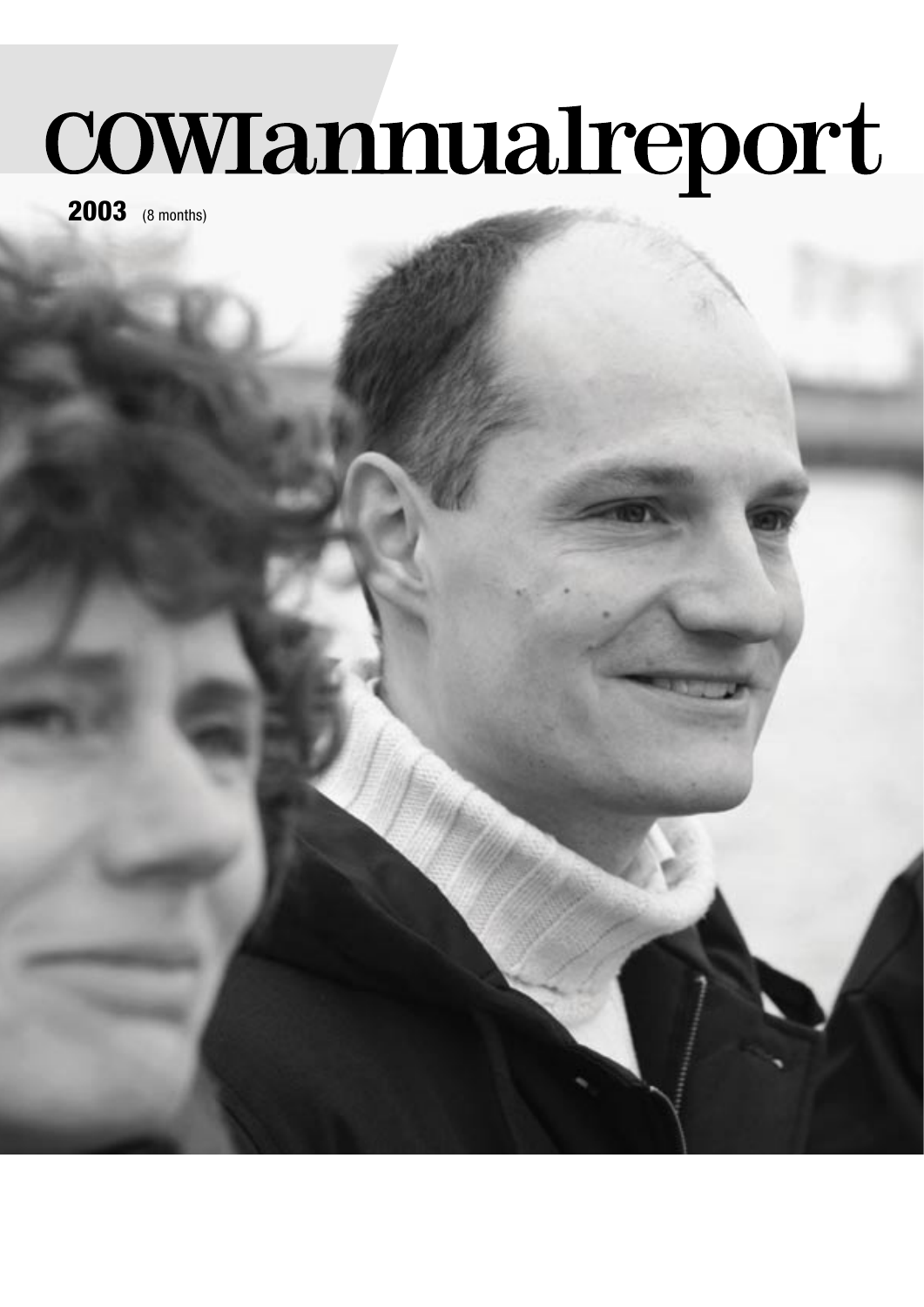# COWIannualreport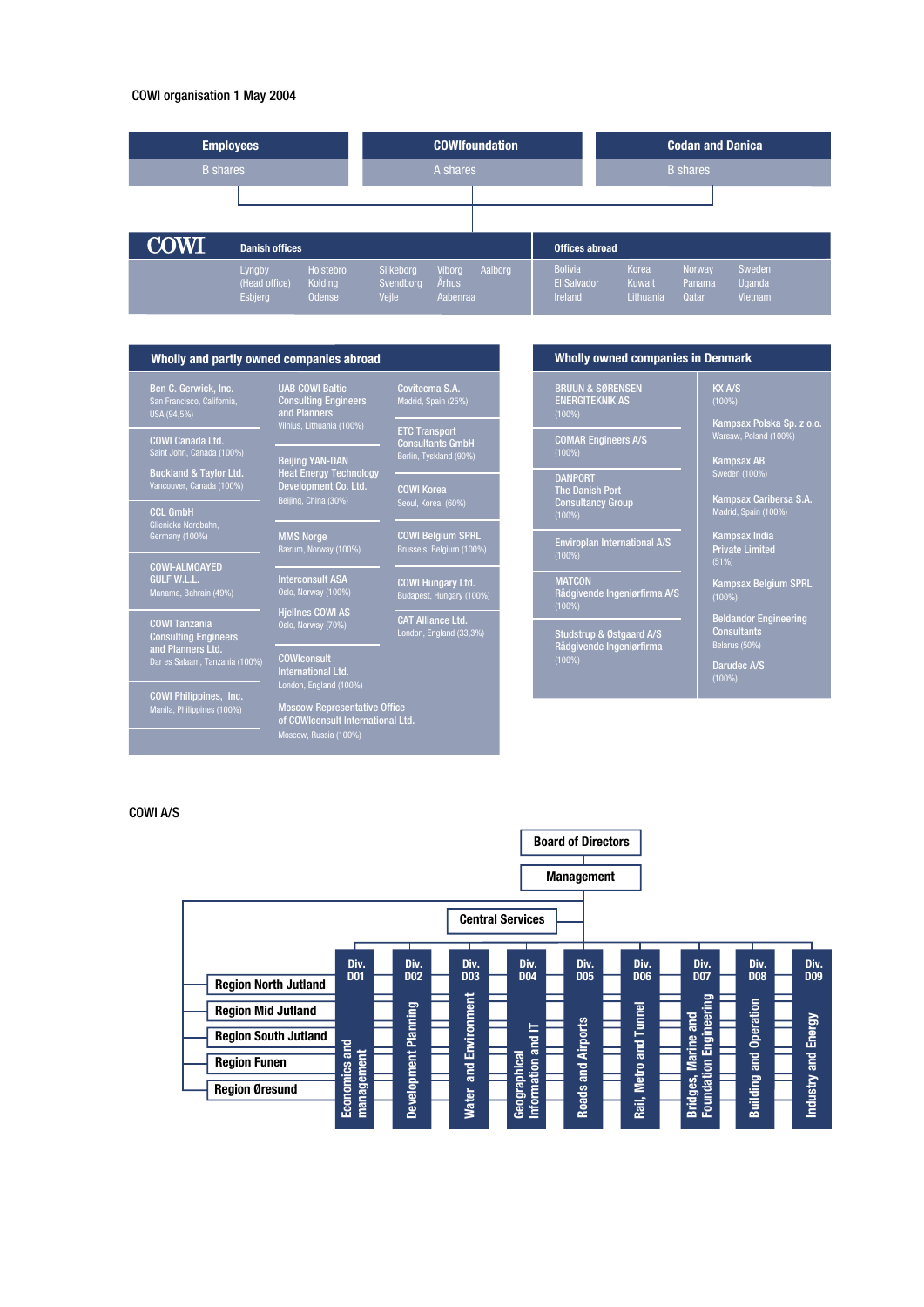#### COWI organisation 1 May 2004



#### Wholly and partly owned companies abroad Whole **Wholly owned companies in Denmark**

Ben C. Gerwick, Inc. San Francisco, California, USA (94,5%) COWI Canada Ltd. Saint John, Canada (100%) Buckland & Taylor Ltd. Vancouver, Canada (100%)

CCL GmbH Glienicke Nordbahn, Germany (100%)

COWI-ALMOAYED GULF W.L.L. Manama, Bahrain (49%)

COWI Tanzania Consulting Engineers

**and Planners Ltd.**<br>Dar es Salaam, Tanzania (100%)

COWI Philippines, Inc. Manila, Philippines (100%)

Beijing YAN-DAN Heat Energy Technology Development Co. Ltd. Beijing, China (30%) COWI Korea Seoul, Korea (60%) ETC Transport Consultants GmbH Berlin, Tyskland (90%)

UAB COWI Baltic Consulting Engineers and Planners Vilnius, Lithuania (100%)

MMS Norge Bærum, Norway (100%) COWI Belgium SPRL Brussels, Belgium (100%)

Interconsult ASA

Hjellnes COWI AS Oslo, Norway (70%)

CAT Alliance Ltd. London, England (33,3%)

COWI Hungary Ltd. Budapest, Hungary (100%)

Covitecma S.A. Madrid, Spain (25%)

**COWIconsult** International Ltd. London, England (100%)

Moscow Representative Office of COWIconsult International Ltd.

Moscow, Russia (100%)

BRUUN & SØRENSEN ENERGITEKNIK AS (100%)

COMAR Engineers A/S

DANPORT The Danish Port Consultancy Group (100%)

Enviroplan International A/S (100%)

MATCON Rådgivende Ingeniørfirma A/S (100%)

Studstrup & Østgaard A/S Rådgivende Ingeniørfirma (100%)

Kampsax Polska Sp. z o.o. Warsaw, Poland (100%)

Kampsax AB Sweden (100%)

KX A/S

Kampsax Caribersa S.A. Madrid, Spain (100%)

Kampsax India Private Limited (51%)

Kampsax Belgium SPRL (100%)

Beldandor Engineering **Consultants** Belarus (50%)

Darudec A/S (100%)

#### COWI A/S

|                                                                                         |                           |                                |                                   |                                 | <b>Board of Directors</b><br><b>Management</b> |                                            |                                            |                                     |                              |
|-----------------------------------------------------------------------------------------|---------------------------|--------------------------------|-----------------------------------|---------------------------------|------------------------------------------------|--------------------------------------------|--------------------------------------------|-------------------------------------|------------------------------|
|                                                                                         |                           |                                |                                   | <b>Central Services</b>         |                                                |                                            |                                            |                                     |                              |
| <b>Region North Jutland</b><br><b>Region Mid Jutland</b><br><b>Region South Jutland</b> | Div.<br><b>D01</b><br>and | Div.<br><b>D02</b><br>Planning | Div.<br><b>D03</b><br>Environment | Div.<br><b>D04</b><br>ᄇ         | Div.<br><b>D05</b><br><b>Airports</b>          | Div.<br><b>DO6</b><br><b>Tunnel</b><br>and | Div.<br><b>D07</b><br>Engineering<br>and   | Div.<br><b>D08</b><br>and Operation | Div.<br><b>DO9</b><br>Energy |
| <b>Region Funen</b><br><b>Region Øresund</b>                                            | management<br>Economics   | <b>Development</b>             | and<br><b>Water</b>               | Information and<br>Geographical | and<br><b>Roads</b>                            | <b>Metro</b><br>Rail,                      | <b>Marine</b><br>Bridges, Ma<br>Foundation | <b>Building</b>                     | and<br><b>Industry</b>       |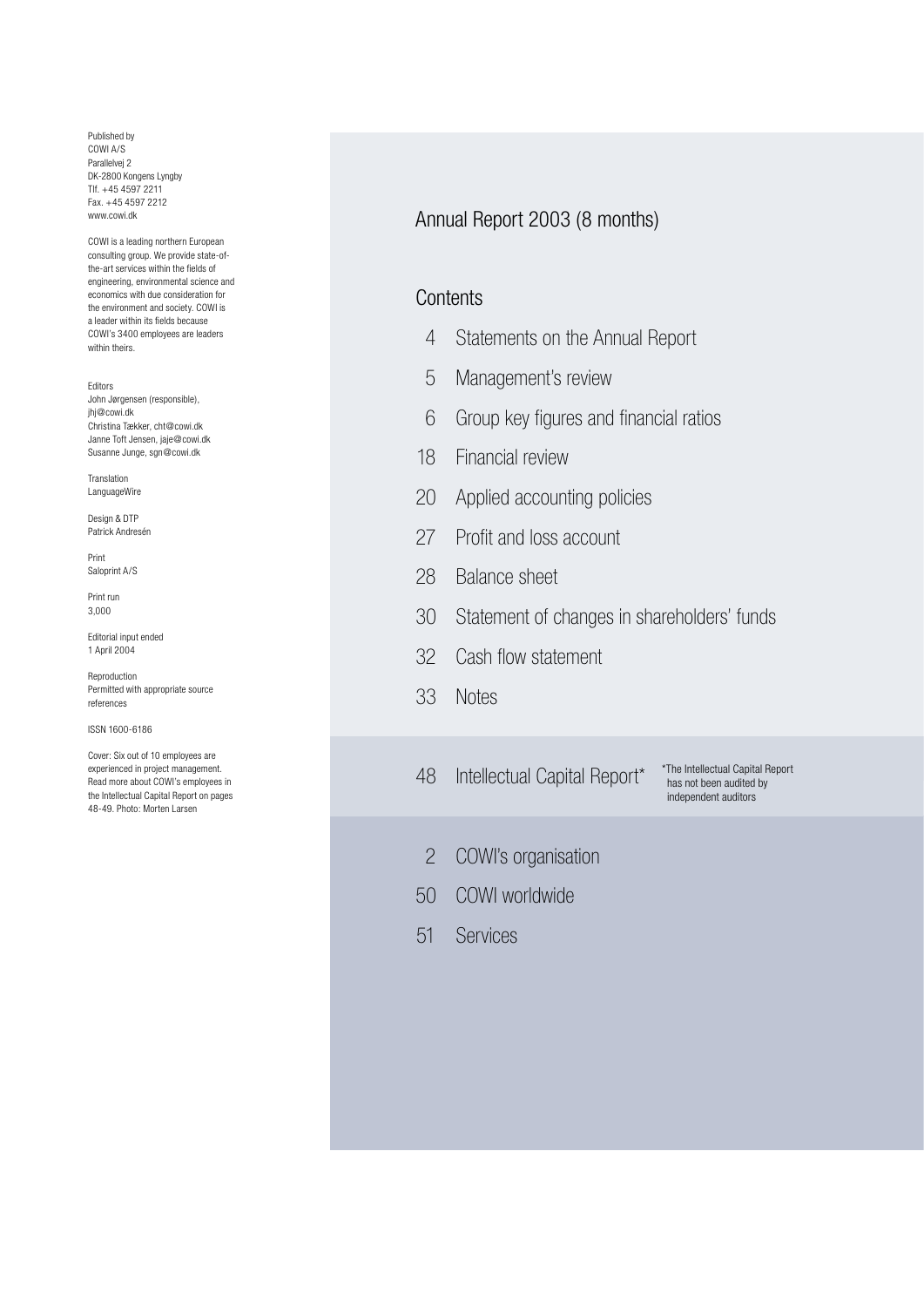Published by COWI A/S Parallelvej 2 DK-2800 Kongens Lyngby Tlf. +45 4597 2211 Fax. +45 4597 2212 www.cowi.dk

COWI is a leading northern European consulting group. We provide state-ofthe-art services within the fields of engineering, environmental science and economics with due consideration for the environment and society. COWI is a leader within its fields because COWI's 3400 employees are leaders within theirs.

Editors John Jørgensen (responsible), jhj@cowi.dk Christina Tækker, cht@cowi.dk Janne Toft Jensen, jaje@cowi.dk Susanne Junge, sgn@cowi.dk

Translation LanguageWire

Design & DTP Patrick Andresén

Print Saloprint A/S

Print run 3,000

Editorial input ended 1 April 2004

Reproduction Permitted with appropriate source references

ISSN 1600-6186

Cover: Six out of 10 employees are experienced in project management. Read more about COWI's employees in the Intellectual Capital Report on pages 48-49. Photo: Morten Larsen

## Annual Report 2003 (8 months)

## **Contents**

- 4 Statements on the Annual Report
- 5 Management's review
- 6 Group key figures and financial ratios
- 18 Financial review
- 20 Applied accounting policies
- 27 Profit and loss account
- 28 Balance sheet
- 30 Statement of changes in shareholders' funds
- 32 Cash flow statement
- 33 Notes
- 48 Intellectual Capital Report\*

\*The Intellectual Capital Report has not been audited by independent auditors

- 2 COWI's organisation
- 50 COWI worldwide
- 51 Services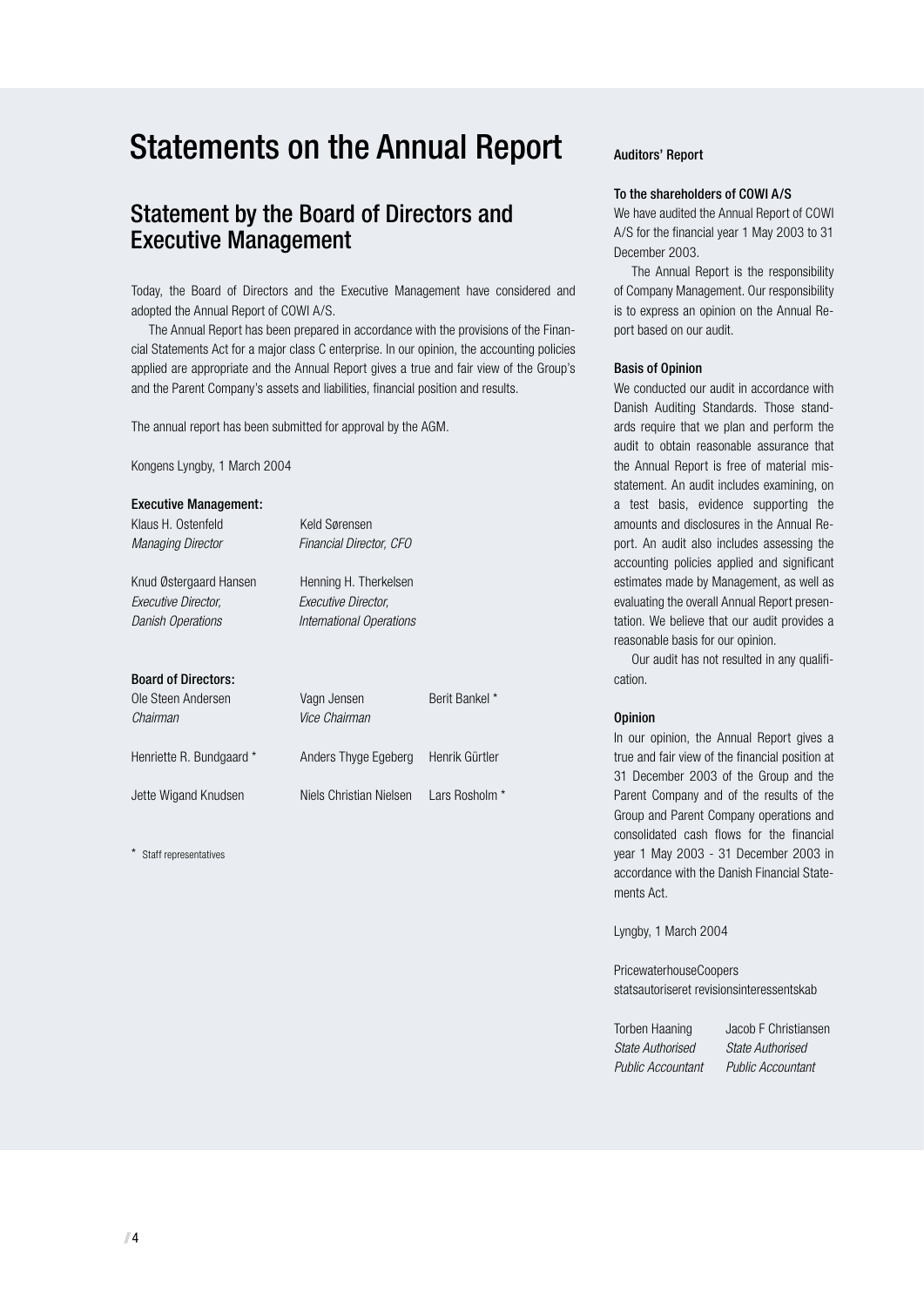# Statements on the Annual Report

# Statement by the Board of Directors and Executive Management

Today, the Board of Directors and the Executive Management have considered and adopted the Annual Report of COWI A/S.

The Annual Report has been prepared in accordance with the provisions of the Financial Statements Act for a major class C enterprise. In our opinion, the accounting policies applied are appropriate and the Annual Report gives a true and fair view of the Group's and the Parent Company's assets and liabilities, financial position and results.

The annual report has been submitted for approval by the AGM.

Kongens Lyngby, 1 March 2004

| <b>Executive Management:</b> |                          |                |
|------------------------------|--------------------------|----------------|
| Klaus H. Ostenfeld           | Keld Sørensen            |                |
| <b>Managing Director</b>     | Financial Director, CFO  |                |
| Knud Østergaard Hansen       | Henning H. Therkelsen    |                |
| Executive Director.          | Executive Director.      |                |
| <b>Danish Operations</b>     | International Operations |                |
|                              |                          |                |
| <b>Board of Directors:</b>   |                          |                |
| Ole Steen Andersen           | Vagn Jensen              | Berit Bankel * |
| Chairman                     | Vice Chairman            |                |
| Henriette R. Bundgaard *     | Anders Thyge Egeberg     | Henrik Gürtler |
| Jette Wigand Knudsen         | Niels Christian Nielsen  | Lars Rosholm   |

\* Staff representatives

#### Auditors' Report

#### To the shareholders of COWI A/S

We have audited the Annual Report of COWI A/S for the financial year 1 May 2003 to 31 December 2003.

The Annual Report is the responsibility of Company Management. Our responsibility is to express an opinion on the Annual Report based on our audit.

#### Basis of Opinion

We conducted our audit in accordance with Danish Auditing Standards. Those standards require that we plan and perform the audit to obtain reasonable assurance that the Annual Report is free of material misstatement. An audit includes examining, on a test basis, evidence supporting the amounts and disclosures in the Annual Report. An audit also includes assessing the accounting policies applied and significant estimates made by Management, as well as evaluating the overall Annual Report presentation. We believe that our audit provides a reasonable basis for our opinion.

Our audit has not resulted in any qualification.

#### **Opinion**

In our opinion, the Annual Report gives a true and fair view of the financial position at 31 December 2003 of the Group and the Parent Company and of the results of the Group and Parent Company operations and consolidated cash flows for the financial year 1 May 2003 - 31 December 2003 in accordance with the Danish Financial Statements Act.

Lyngby, 1 March 2004

PricewaterhouseCoopers statsautoriseret revisionsinteressentskab

Torben Haaning Jacob F Christiansen State Authorised State Authorised Public Accountant Public Accountant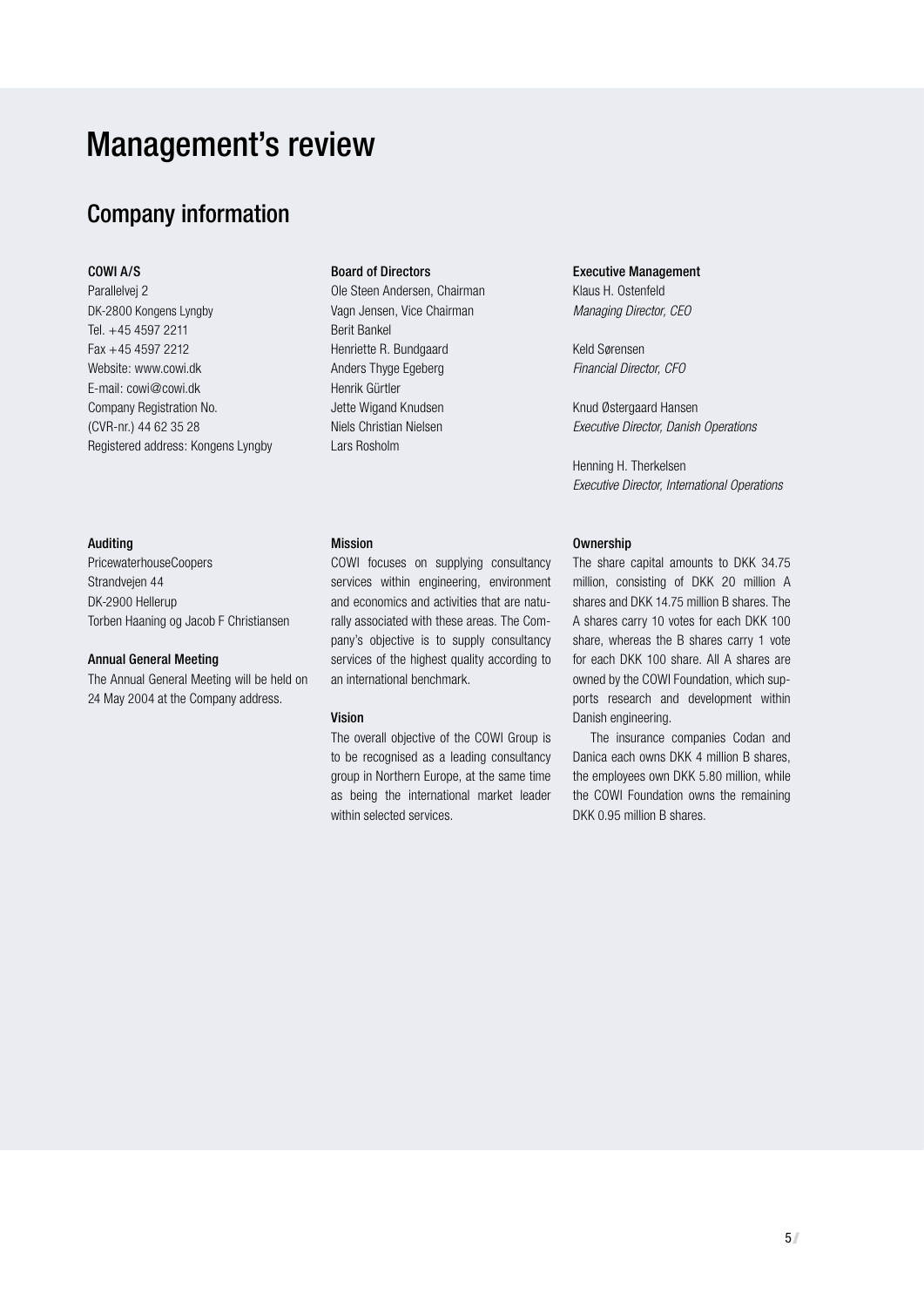# Management's review

# Company information

#### COWI A/S

Parallelvej 2 DK-2800 Kongens Lyngby Tel. +45 4597 2211 Fax +45 4597 2212 Website: www.cowi.dk E-mail: cowi@cowi.dk Company Registration No. (CVR-nr.) 44 62 35 28 Registered address: Kongens Lyngby

#### Auditing

PricewaterhouseCoopers Strandvejen 44 DK-2900 Hellerup Torben Haaning og Jacob F Christiansen

#### Annual General Meeting

The Annual General Meeting will be held on 24 May 2004 at the Company address.

#### Board of Directors

Ole Steen Andersen, Chairman Vagn Jensen, Vice Chairman Berit Bankel Henriette R. Bundgaard Anders Thyge Egeberg Henrik Gürtler Jette Wigand Knudsen Niels Christian Nielsen Lars Rosholm

#### Mission

COWI focuses on supplying consultancy services within engineering, environment and economics and activities that are naturally associated with these areas. The Company's objective is to supply consultancy services of the highest quality according to an international benchmark.

#### Vision

The overall objective of the COWI Group is to be recognised as a leading consultancy group in Northern Europe, at the same time as being the international market leader within selected services.

#### Executive Management Klaus H. Ostenfeld

Managing Director, CEO

Keld Sørensen Financial Director, CFO

Knud Østergaard Hansen Executive Director, Danish Operations

Henning H. Therkelsen Executive Director, International Operations

#### Ownership

The share capital amounts to DKK 34.75 million, consisting of DKK 20 million A shares and DKK 14.75 million B shares. The A shares carry 10 votes for each DKK 100 share, whereas the B shares carry 1 vote for each DKK 100 share. All A shares are owned by the COWI Foundation, which supports research and development within Danish engineering.

The insurance companies Codan and Danica each owns DKK 4 million B shares, the employees own DKK 5.80 million, while the COWI Foundation owns the remaining DKK 0.95 million B shares.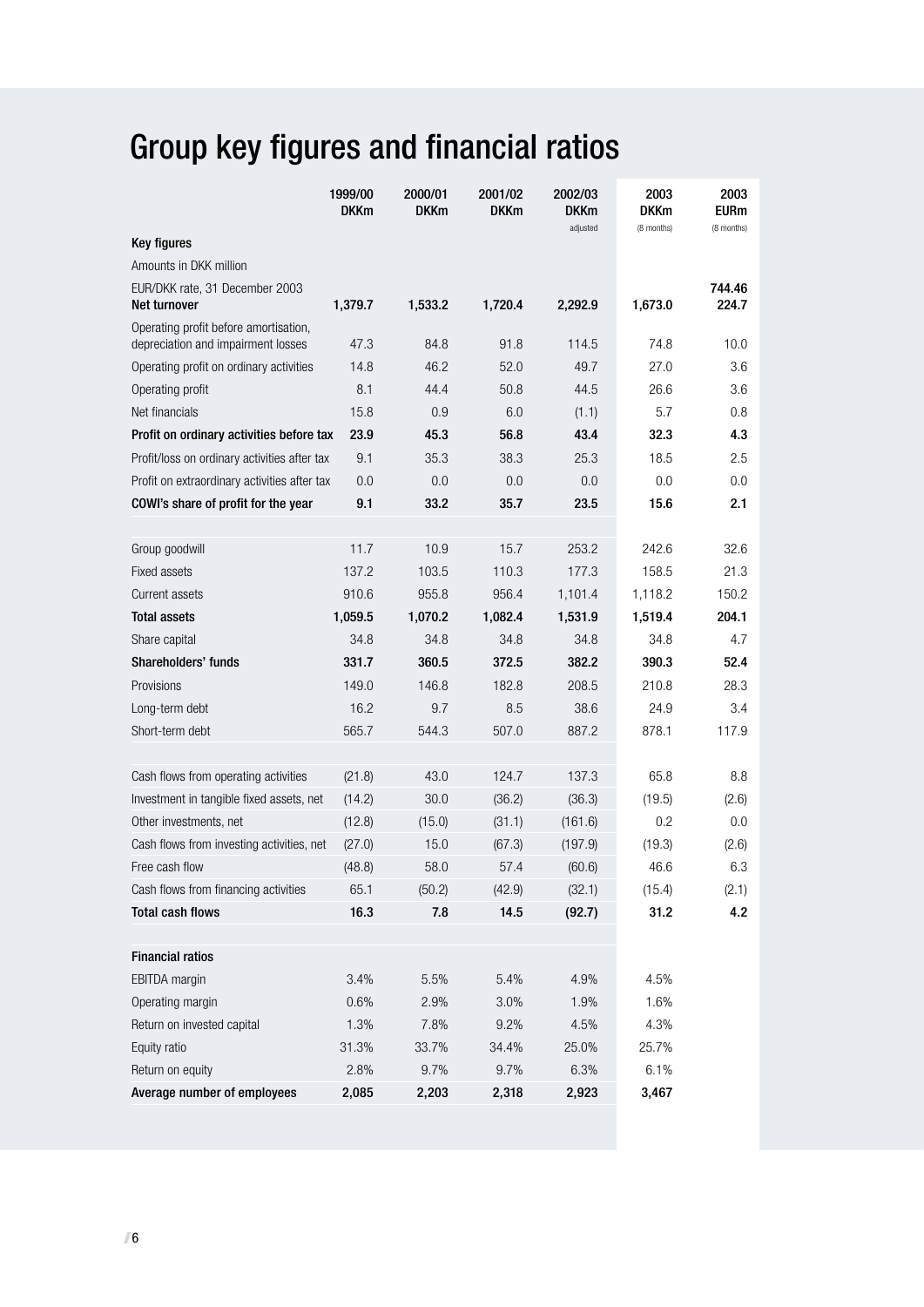# Group key figures and financial ratios

|                                                | 1999/00<br><b>DKKm</b> | 2000/01<br><b>DKKm</b> | 2001/02<br><b>DKKm</b> | 2002/03<br><b>DKKm</b><br>adjusted | 2003<br><b>DKKm</b><br>(8 months) | 2003<br><b>EURm</b><br>(8 months) |
|------------------------------------------------|------------------------|------------------------|------------------------|------------------------------------|-----------------------------------|-----------------------------------|
| <b>Key figures</b>                             |                        |                        |                        |                                    |                                   |                                   |
| Amounts in DKK million                         |                        |                        |                        |                                    |                                   |                                   |
| EUR/DKK rate, 31 December 2003<br>Net turnover | 1,379.7                | 1,533.2                | 1,720.4                | 2,292.9                            | 1,673.0                           | 744.46<br>224.7                   |
| Operating profit before amortisation,          |                        |                        |                        |                                    |                                   |                                   |
| depreciation and impairment losses             | 47.3                   | 84.8                   | 91.8                   | 114.5                              | 74.8                              | 10.0                              |
| Operating profit on ordinary activities        | 14.8                   | 46.2                   | 52.0                   | 49.7                               | 27.0                              | 3.6                               |
| Operating profit                               | 8.1                    | 44.4                   | 50.8                   | 44.5                               | 26.6                              | 3.6                               |
| Net financials                                 | 15.8                   | 0.9                    | 6.0                    | (1.1)                              | 5.7                               | 0.8                               |
| Profit on ordinary activities before tax       | 23.9                   | 45.3                   | 56.8                   | 43.4                               | 32.3                              | 4.3                               |
| Profit/loss on ordinary activities after tax   | 9.1                    | 35.3                   | 38.3                   | 25.3                               | 18.5                              | 2.5                               |
| Profit on extraordinary activities after tax   | 0.0                    | 0.0                    | 0.0                    | 0.0                                | 0.0                               | 0.0                               |
| COWI's share of profit for the year            | 9.1                    | 33.2                   | 35.7                   | 23.5                               | 15.6                              | 2.1                               |
| Group goodwill                                 | 11.7                   | 10.9                   | 15.7                   | 253.2                              | 242.6                             | 32.6                              |
| <b>Fixed assets</b>                            | 137.2                  | 103.5                  | 110.3                  | 177.3                              | 158.5                             | 21.3                              |
| <b>Current assets</b>                          | 910.6                  | 955.8                  | 956.4                  | 1,101.4                            | 1,118.2                           | 150.2                             |
| <b>Total assets</b>                            | 1,059.5                | 1,070.2                | 1,082.4                | 1,531.9                            | 1,519.4                           | 204.1                             |
| Share capital                                  | 34.8                   | 34.8                   | 34.8                   | 34.8                               | 34.8                              | 4.7                               |
| Shareholders' funds                            | 331.7                  | 360.5                  | 372.5                  | 382.2                              | 390.3                             | 52.4                              |
| Provisions                                     | 149.0                  | 146.8                  | 182.8                  | 208.5                              | 210.8                             | 28.3                              |
| Long-term debt                                 | 16.2                   | 9.7                    | 8.5                    | 38.6                               | 24.9                              | 3.4                               |
| Short-term debt                                | 565.7                  | 544.3                  | 507.0                  | 887.2                              | 878.1                             | 117.9                             |
|                                                |                        |                        |                        |                                    |                                   |                                   |
| Cash flows from operating activities           | (21.8)                 | 43.0                   | 124.7                  | 137.3                              | 65.8                              | 8.8                               |
| Investment in tangible fixed assets, net       | (14.2)                 | 30.0                   | (36.2)                 | (36.3)                             | (19.5)                            | (2.6)                             |
| Other investments, net                         | (12.8)                 | (15.0)                 | (31.1)                 | (161.6)                            | 0.2                               | 0.0                               |
| Cash flows from investing activities, net      | (27.0)                 | 15.0                   | (67.3)                 | (197.9)                            | (19.3)                            | (2.6)                             |
| Free cash flow                                 | (48.8)                 | 58.0                   | 57.4                   | (60.6)                             | 46.6                              | 6.3                               |
| Cash flows from financing activities           | 65.1                   | (50.2)                 | (42.9)                 | (32.1)                             | (15.4)                            | (2.1)                             |
| <b>Total cash flows</b>                        | 16.3                   | 7.8                    | 14.5                   | (92.7)                             | 31.2                              | 4.2                               |
| <b>Financial ratios</b>                        |                        |                        |                        |                                    |                                   |                                   |
| <b>EBITDA</b> margin                           | 3.4%                   | 5.5%                   | 5.4%                   | 4.9%                               | 4.5%                              |                                   |
| Operating margin                               | 0.6%                   | 2.9%                   | 3.0%                   | 1.9%                               | 1.6%                              |                                   |
| Return on invested capital                     | 1.3%                   | 7.8%                   | 9.2%                   | 4.5%                               | 4.3%                              |                                   |
| Equity ratio                                   | 31.3%                  | 33.7%                  | 34.4%                  | 25.0%                              | 25.7%                             |                                   |
| Return on equity                               | 2.8%                   | 9.7%                   | 9.7%                   | 6.3%                               | 6.1%                              |                                   |
| Average number of employees                    |                        |                        |                        |                                    |                                   |                                   |
|                                                | 2,085                  | 2,203                  | 2,318                  | 2,923                              | 3,467                             |                                   |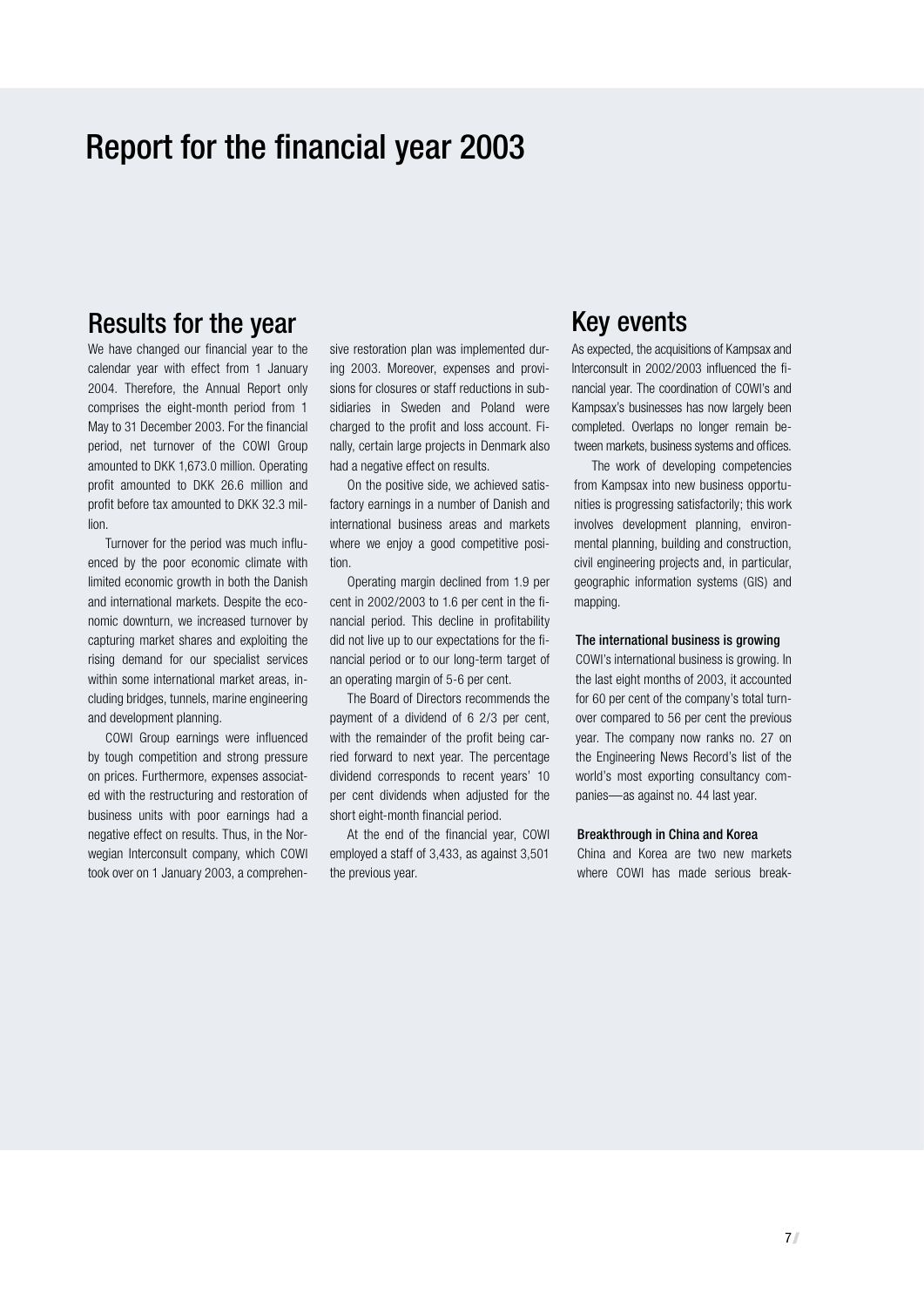# Report for the financial year 2003

# Results for the year

We have changed our financial year to the calendar year with effect from 1 January 2004. Therefore, the Annual Report only comprises the eight-month period from 1 May to 31 December 2003. For the financial period, net turnover of the COWI Group amounted to DKK 1,673.0 million. Operating profit amounted to DKK 26.6 million and profit before tax amounted to DKK 32.3 million.

Turnover for the period was much influenced by the poor economic climate with limited economic growth in both the Danish and international markets. Despite the economic downturn, we increased turnover by capturing market shares and exploiting the rising demand for our specialist services within some international market areas, including bridges, tunnels, marine engineering and development planning.

COWI Group earnings were influenced by tough competition and strong pressure on prices. Furthermore, expenses associated with the restructuring and restoration of business units with poor earnings had a negative effect on results. Thus, in the Norwegian Interconsult company, which COWI took over on 1 January 2003, a comprehen-

sive restoration plan was implemented during 2003. Moreover, expenses and provisions for closures or staff reductions in subsidiaries in Sweden and Poland were charged to the profit and loss account. Finally, certain large projects in Denmark also had a negative effect on results.

On the positive side, we achieved satisfactory earnings in a number of Danish and international business areas and markets where we enjoy a good competitive position.

Operating margin declined from 1.9 per cent in 2002/2003 to 1.6 per cent in the financial period. This decline in profitability did not live up to our expectations for the financial period or to our long-term target of an operating margin of 5-6 per cent.

The Board of Directors recommends the payment of a dividend of 6 2/3 per cent, with the remainder of the profit being carried forward to next year. The percentage dividend corresponds to recent years' 10 per cent dividends when adjusted for the short eight-month financial period.

At the end of the financial year, COWI employed a staff of 3,433, as against 3,501 the previous year.

## Key events

As expected, the acquisitions of Kampsax and Interconsult in 2002/2003 influenced the financial year. The coordination of COWI's and Kampsax's businesses has now largely been completed. Overlaps no longer remain between markets, business systems and offices.

The work of developing competencies from Kampsax into new business opportunities is progressing satisfactorily; this work involves development planning, environmental planning, building and construction, civil engineering projects and, in particular, geographic information systems (GIS) and mapping.

#### The international business is growing

COWI's international business is growing. In the last eight months of 2003, it accounted for 60 per cent of the company's total turnover compared to 56 per cent the previous year. The company now ranks no. 27 on the Engineering News Record's list of the world's most exporting consultancy companies—as against no. 44 last year.

#### Breakthrough in China and Korea

China and Korea are two new markets where COWI has made serious break-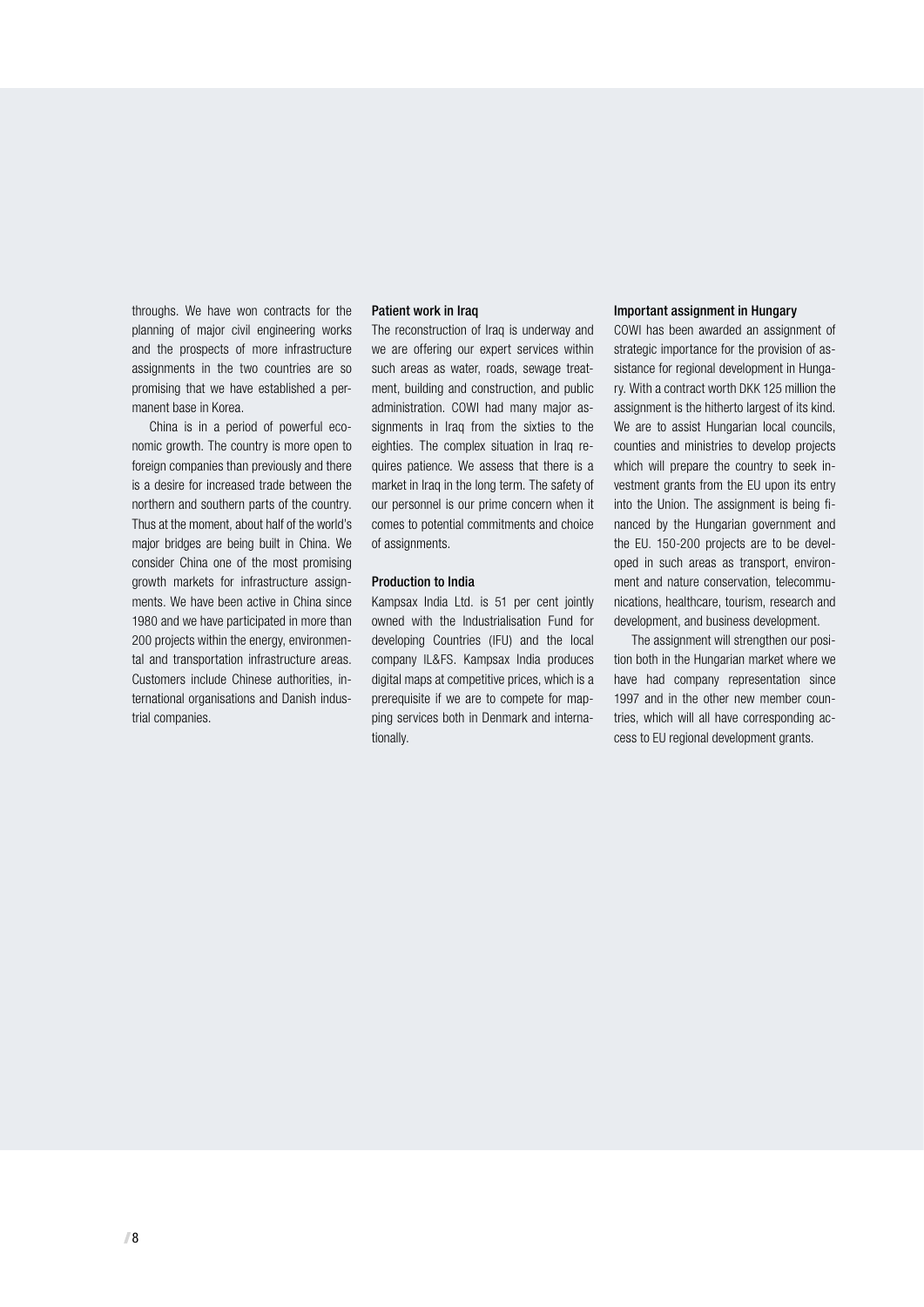throughs. We have won contracts for the planning of major civil engineering works and the prospects of more infrastructure assignments in the two countries are so promising that we have established a permanent base in Korea.

China is in a period of powerful economic growth. The country is more open to foreign companies than previously and there is a desire for increased trade between the northern and southern parts of the country. Thus at the moment, about half of the world's major bridges are being built in China. We consider China one of the most promising growth markets for infrastructure assignments. We have been active in China since 1980 and we have participated in more than 200 projects within the energy, environmental and transportation infrastructure areas. Customers include Chinese authorities, international organisations and Danish industrial companies.

#### Patient work in Iraq

The reconstruction of Iraq is underway and we are offering our expert services within such areas as water, roads, sewage treatment, building and construction, and public administration. COWI had many major assignments in Iraq from the sixties to the eighties. The complex situation in Iraq requires patience. We assess that there is a market in Iraq in the long term. The safety of our personnel is our prime concern when it comes to potential commitments and choice of assignments.

#### Production to India

Kampsax India Ltd. is 51 per cent jointly owned with the Industrialisation Fund for developing Countries (IFU) and the local company IL&FS. Kampsax India produces digital maps at competitive prices, which is a prerequisite if we are to compete for mapping services both in Denmark and internationally.

#### Important assignment in Hungary

COWI has been awarded an assignment of strategic importance for the provision of assistance for regional development in Hungary. With a contract worth DKK 125 million the assignment is the hitherto largest of its kind. We are to assist Hungarian local councils, counties and ministries to develop projects which will prepare the country to seek investment grants from the EU upon its entry into the Union. The assignment is being financed by the Hungarian government and the EU. 150-200 projects are to be developed in such areas as transport, environment and nature conservation, telecommunications, healthcare, tourism, research and development, and business development.

The assignment will strengthen our position both in the Hungarian market where we have had company representation since 1997 and in the other new member countries, which will all have corresponding access to EU regional development grants.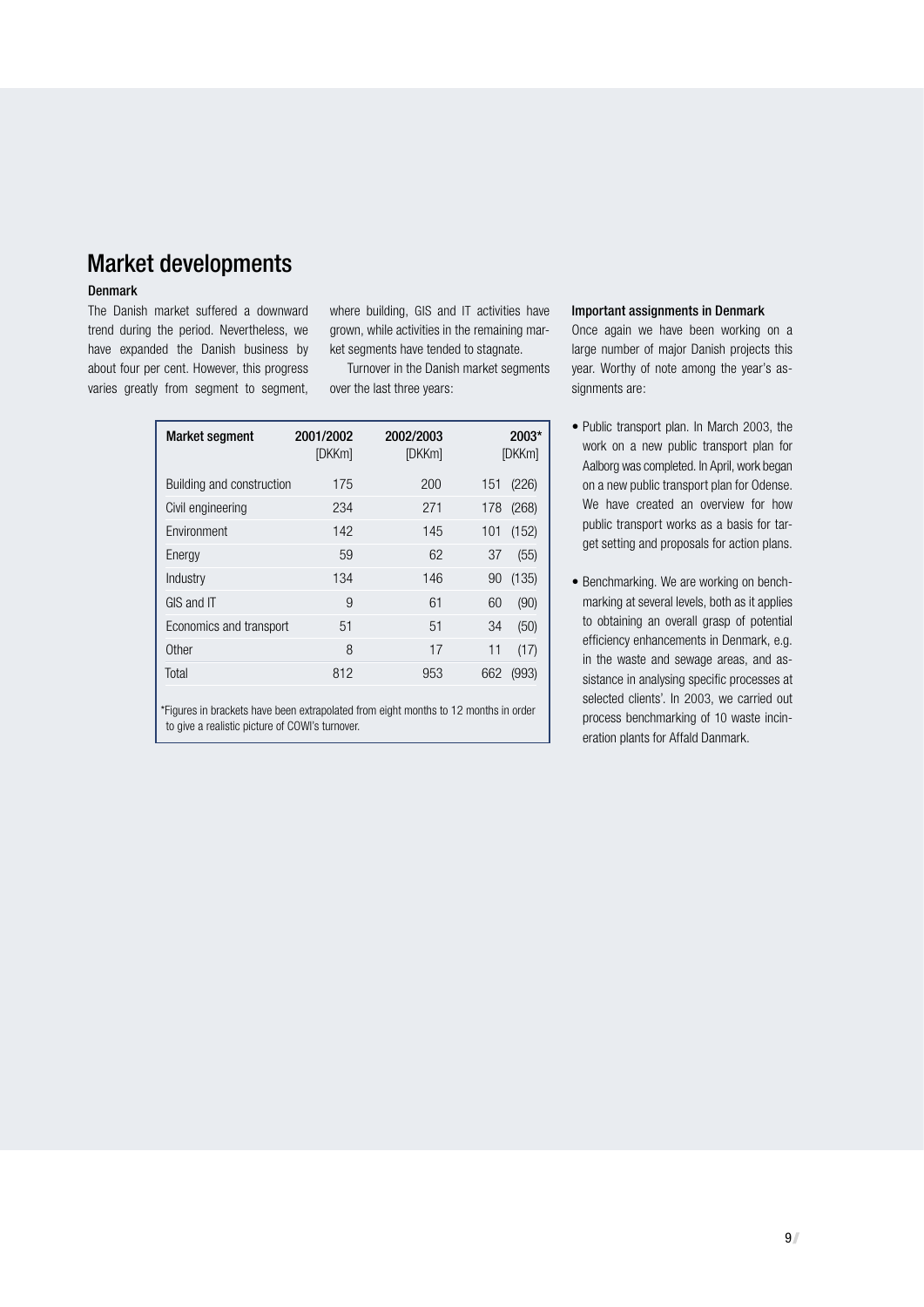# Market developments

#### Denmark

The Danish market suffered a downward trend during the period. Nevertheless, we have expanded the Danish business by about four per cent. However, this progress varies greatly from segment to segment, where building, GIS and IT activities have grown, while activities in the remaining market segments have tended to stagnate.

Turnover in the Danish market segments over the last three years:

| <b>Market segment</b>     | 2001/2002<br>[DKKm] | 2002/2003<br>[DKKm] |     | $2003*$<br>[DKKm] |
|---------------------------|---------------------|---------------------|-----|-------------------|
| Building and construction | 175                 | 200                 | 151 | (226)             |
| Civil engineering         | 234                 | 271                 | 178 | (268)             |
| Environment               | 142                 | 145                 | 101 | (152)             |
| Energy                    | 59                  | 62                  | 37  | (55)              |
| Industry                  | 134                 | 146                 | 90  | (135)             |
| GIS and IT                | 9                   | 61                  | 60  | (90)              |
| Economics and transport   | 51                  | 51                  | 34  | (50)              |
| Other                     | 8                   | 17                  | 11  | (17)              |
| Total                     | 812                 | 953                 | 662 | (993)             |

\*Figures in brackets have been extrapolated from eight months to 12 months in order to give a realistic picture of COWI's turnover.

#### Important assignments in Denmark

Once again we have been working on a large number of major Danish projects this year. Worthy of note among the year's assignments are:

- Public transport plan. In March 2003, the work on a new public transport plan for Aalborg was completed. In April, work began on a new public transport plan for Odense. We have created an overview for how public transport works as a basis for target setting and proposals for action plans.
- Benchmarking. We are working on benchmarking at several levels, both as it applies to obtaining an overall grasp of potential efficiency enhancements in Denmark, e.g. in the waste and sewage areas, and assistance in analysing specific processes at selected clients'. In 2003, we carried out process benchmarking of 10 waste incineration plants for Affald Danmark.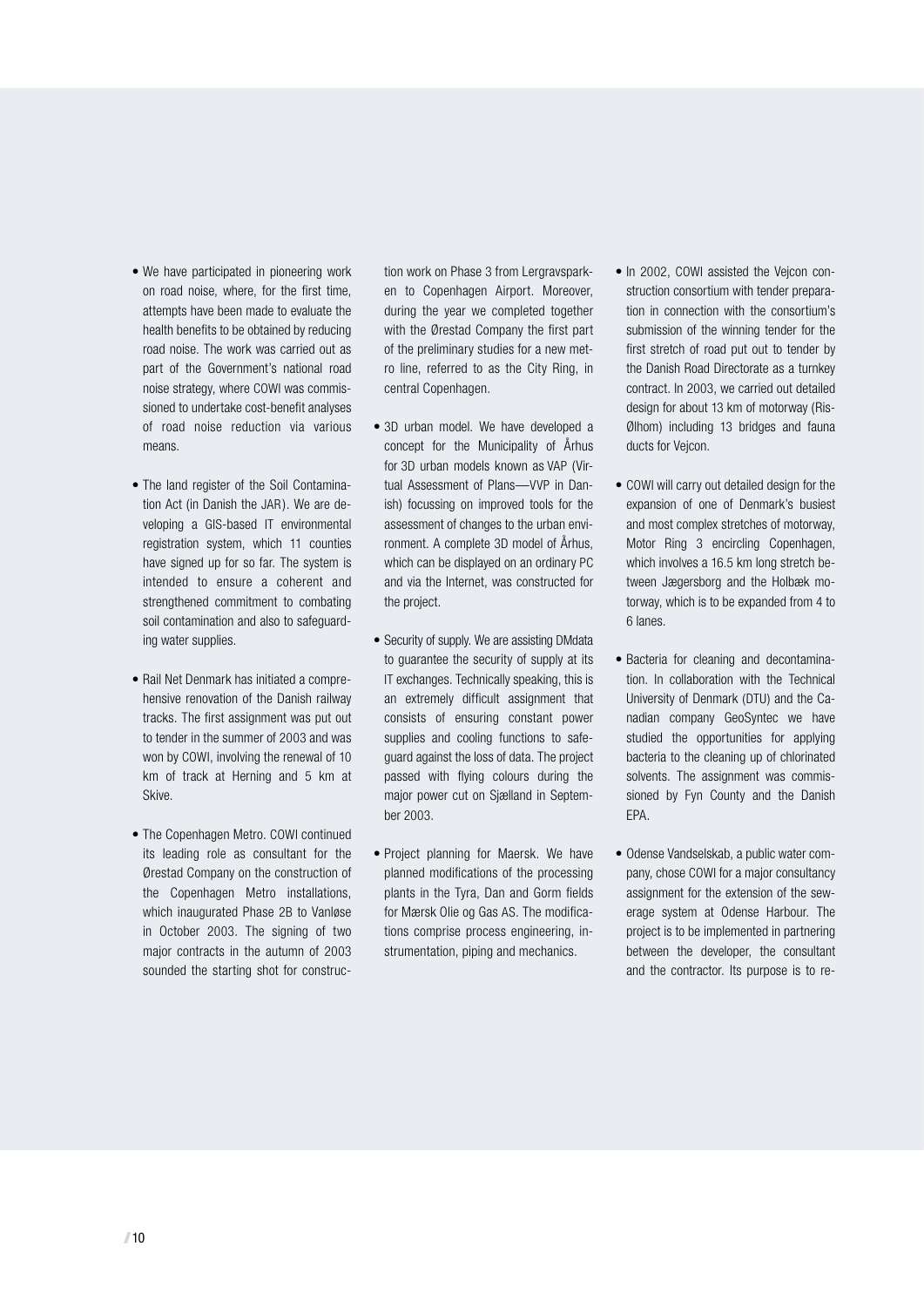- We have participated in pioneering work on road noise, where, for the first time, attempts have been made to evaluate the health benefits to be obtained by reducing road noise. The work was carried out as part of the Government's national road noise strategy, where COWI was commissioned to undertake cost-benefit analyses of road noise reduction via various means.
- The land register of the Soil Contamination Act (in Danish the JAR). We are developing a GIS-based IT environmental registration system, which 11 counties have signed up for so far. The system is intended to ensure a coherent and strengthened commitment to combating soil contamination and also to safeguarding water supplies.
- Rail Net Denmark has initiated a comprehensive renovation of the Danish railway tracks. The first assignment was put out to tender in the summer of 2003 and was won by COWI, involving the renewal of 10 km of track at Herning and 5 km at Skive.
- The Copenhagen Metro. COWI continued its leading role as consultant for the Ørestad Company on the construction of the Copenhagen Metro installations, which inaugurated Phase 2B to Vanløse in October 2003. The signing of two major contracts in the autumn of 2003 sounded the starting shot for construc-

tion work on Phase 3 from Lergravsparken to Copenhagen Airport. Moreover, during the year we completed together with the Ørestad Company the first part of the preliminary studies for a new metro line, referred to as the City Ring, in central Copenhagen.

- 3D urban model. We have developed a concept for the Municipality of Århus for 3D urban models known as VAP (Virtual Assessment of Plans—VVP in Danish) focussing on improved tools for the assessment of changes to the urban environment. A complete 3D model of Århus, which can be displayed on an ordinary PC and via the Internet, was constructed for the project.
- Security of supply. We are assisting DMdata to guarantee the security of supply at its IT exchanges. Technically speaking, this is an extremely difficult assignment that consists of ensuring constant power supplies and cooling functions to safeguard against the loss of data. The project passed with flying colours during the major power cut on Sjælland in September 2003.
- Project planning for Maersk. We have planned modifications of the processing plants in the Tyra, Dan and Gorm fields for Mærsk Olie og Gas AS. The modifications comprise process engineering, instrumentation, piping and mechanics.
- In 2002, COWI assisted the Vejcon construction consortium with tender preparation in connection with the consortium's submission of the winning tender for the first stretch of road put out to tender by the Danish Road Directorate as a turnkey contract. In 2003, we carried out detailed design for about 13 km of motorway (Ris-Ølhom) including 13 bridges and fauna ducts for Vejcon.
- COWI will carry out detailed design for the expansion of one of Denmark's busiest and most complex stretches of motorway, Motor Ring 3 encircling Copenhagen, which involves a 16.5 km long stretch between Jægersborg and the Holbæk motorway, which is to be expanded from 4 to 6 lanes.
- Bacteria for cleaning and decontamination. In collaboration with the Technical University of Denmark (DTU) and the Canadian company GeoSyntec we have studied the opportunities for applying bacteria to the cleaning up of chlorinated solvents. The assignment was commissioned by Fyn County and the Danish EPA.
- Odense Vandselskab, a public water company, chose COWI for a major consultancy assignment for the extension of the sewerage system at Odense Harbour. The project is to be implemented in partnering between the developer, the consultant and the contractor. Its purpose is to re-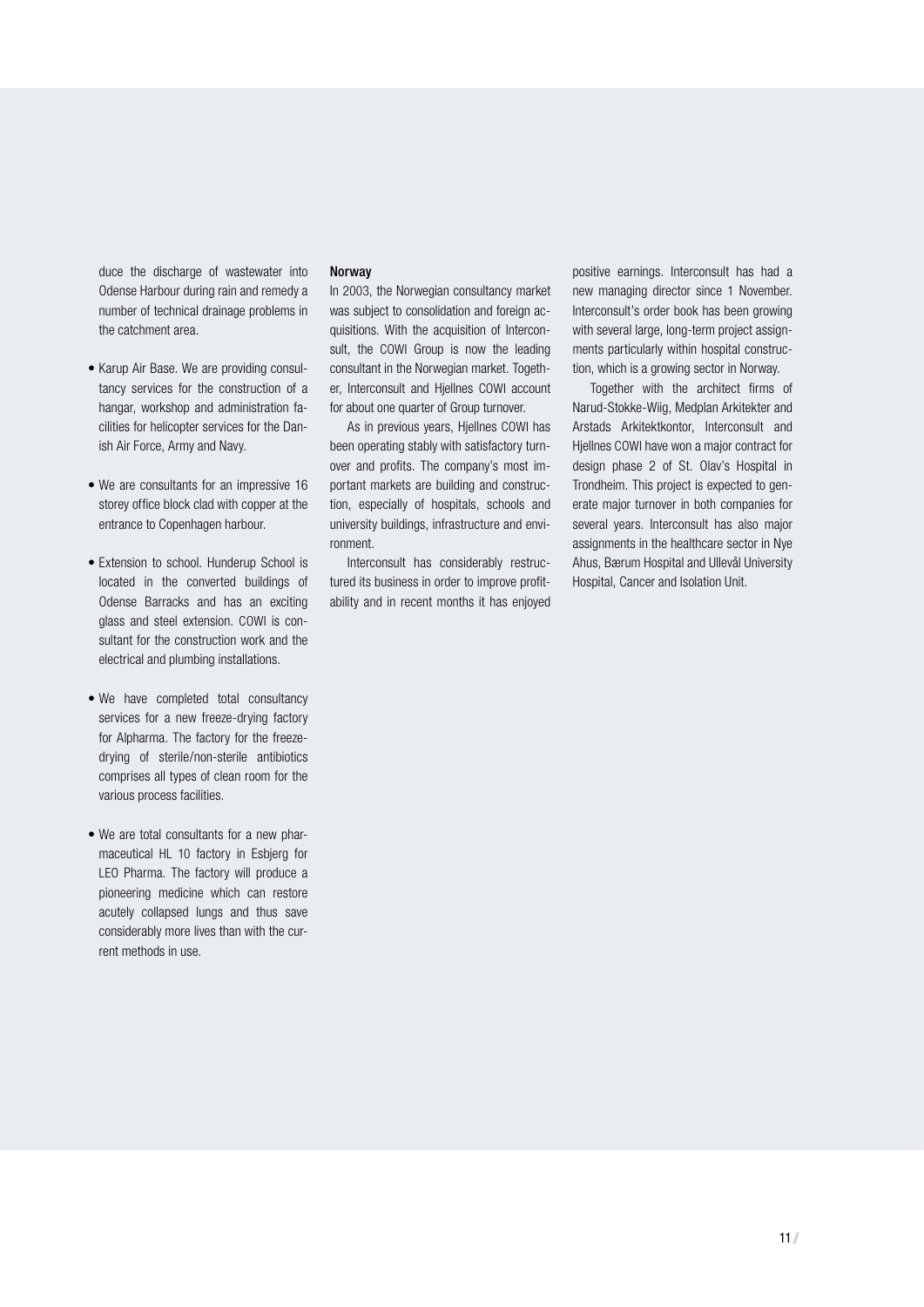duce the discharge of wastewater into Odense Harbour during rain and remedy a number of technical drainage problems in the catchment area.

- Karup Air Base. We are providing consultancy services for the construction of a hangar, workshop and administration facilities for helicopter services for the Danish Air Force, Army and Navy.
- We are consultants for an impressive 16 storey office block clad with copper at the entrance to Copenhagen harbour.
- Extension to school. Hunderup School is located in the converted buildings of Odense Barracks and has an exciting glass and steel extension. COWI is consultant for the construction work and the electrical and plumbing installations.
- We have completed total consultancy services for a new freeze-drying factory for Alpharma. The factory for the freezedrying of sterile/non-sterile antibiotics comprises all types of clean room for the various process facilities.
- We are total consultants for a new pharmaceutical HL 10 factory in Esbjerg for LEO Pharma. The factory will produce a pioneering medicine which can restore acutely collapsed lungs and thus save considerably more lives than with the current methods in use.

#### Norway

In 2003, the Norwegian consultancy market was subject to consolidation and foreign acquisitions. With the acquisition of Interconsult, the COWI Group is now the leading consultant in the Norwegian market. Together, Interconsult and Hjellnes COWI account for about one quarter of Group turnover.

As in previous years, Hjellnes COWI has been operating stably with satisfactory turnover and profits. The company's most important markets are building and construction, especially of hospitals, schools and university buildings, infrastructure and environment.

Interconsult has considerably restructured its business in order to improve profitability and in recent months it has enjoyed positive earnings. Interconsult has had a new managing director since 1 November. Interconsult's order book has been growing with several large, long-term project assignments particularly within hospital construction, which is a growing sector in Norway.

Together with the architect firms of Narud-Stokke-Wiig, Medplan Arkitekter and Arstads Arkitektkontor, Interconsult and Hjellnes COWI have won a major contract for design phase 2 of St. Olav's Hospital in Trondheim. This project is expected to generate major turnover in both companies for several years. Interconsult has also major assignments in the healthcare sector in Nye Ahus, Bærum Hospital and Ullevål University Hospital, Cancer and Isolation Unit.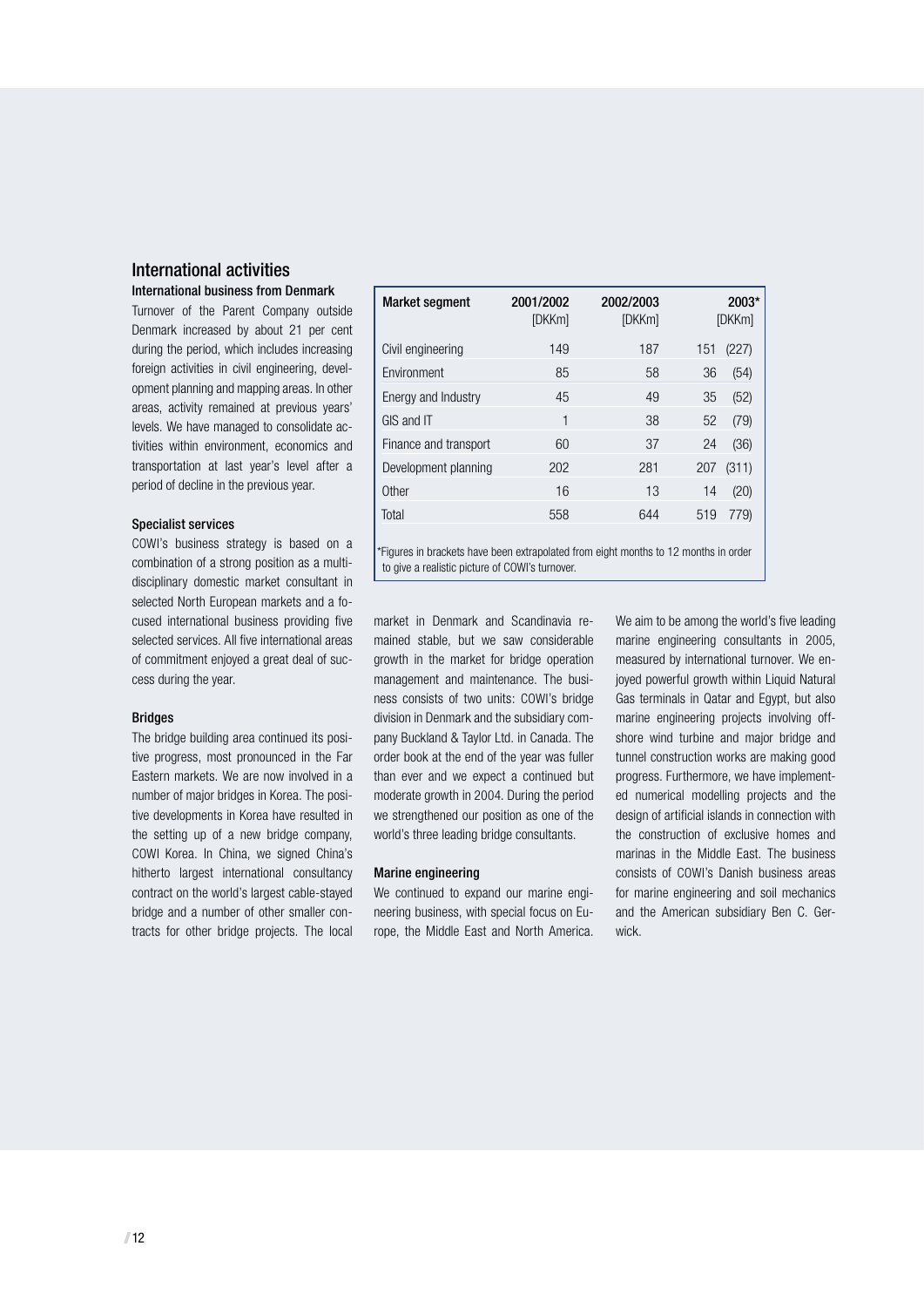#### International activities International business from Denmark

Turnover of the Parent Company outside Denmark increased by about 21 per cent during the period, which includes increasing foreign activities in civil engineering, development planning and mapping areas. In other areas, activity remained at previous years' levels. We have managed to consolidate activities within environment, economics and transportation at last year's level after a period of decline in the previous year.

#### Specialist services

COWI's business strategy is based on a combination of a strong position as a multidisciplinary domestic market consultant in selected North European markets and a focused international business providing five selected services. All five international areas of commitment enjoyed a great deal of success during the year.

#### Bridges

The bridge building area continued its positive progress, most pronounced in the Far Eastern markets. We are now involved in a number of major bridges in Korea. The positive developments in Korea have resulted in the setting up of a new bridge company, COWI Korea. In China, we signed China's hitherto largest international consultancy contract on the world's largest cable-stayed bridge and a number of other smaller contracts for other bridge projects. The local

| <b>Market segment</b> | 2001/2002<br>[DKKm] | 2002/2003<br>[DKKm] | 2003*<br>[DKKm] |
|-----------------------|---------------------|---------------------|-----------------|
| Civil engineering     | 149                 | 187                 | 151<br>(227)    |
| Environment           | 85                  | 58                  | 36<br>(54)      |
| Energy and Industry   | 45                  | 49                  | (52)<br>35      |
| GIS and IT            | 1                   | 38                  | 52<br>(79)      |
| Finance and transport | 60                  | 37                  | 24<br>(36)      |
| Development planning  | 202                 | 281                 | (311)<br>207    |
| Other                 | 16                  | 13                  | 14<br>(20)      |
| Total                 | 558                 | 644                 | 779)<br>519     |
|                       |                     |                     |                 |

\*Figures in brackets have been extrapolated from eight months to 12 months in order to give a realistic picture of COWI's turnover.

market in Denmark and Scandinavia remained stable, but we saw considerable growth in the market for bridge operation management and maintenance. The business consists of two units: COWI's bridge division in Denmark and the subsidiary company Buckland & Taylor Ltd. in Canada. The order book at the end of the year was fuller than ever and we expect a continued but moderate growth in 2004. During the period we strengthened our position as one of the world's three leading bridge consultants.

#### Marine engineering

We continued to expand our marine engineering business, with special focus on Europe, the Middle East and North America.

We aim to be among the world's five leading marine engineering consultants in 2005, measured by international turnover. We enjoyed powerful growth within Liquid Natural Gas terminals in Qatar and Egypt, but also marine engineering projects involving offshore wind turbine and major bridge and tunnel construction works are making good progress. Furthermore, we have implemented numerical modelling projects and the design of artificial islands in connection with the construction of exclusive homes and marinas in the Middle East. The business consists of COWI's Danish business areas for marine engineering and soil mechanics and the American subsidiary Ben C. Gerwick.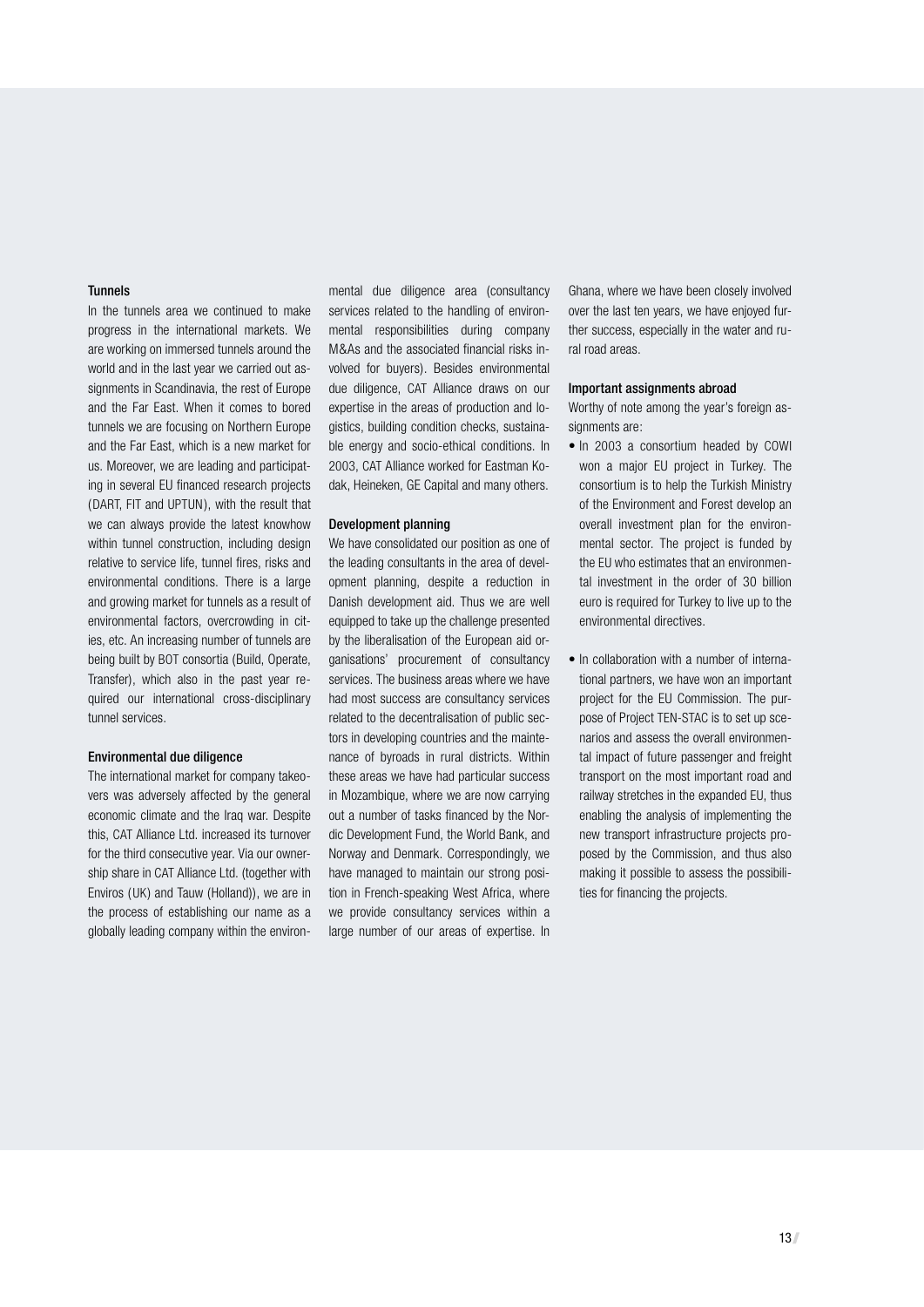#### Tunnels

In the tunnels area we continued to make progress in the international markets. We are working on immersed tunnels around the world and in the last year we carried out assignments in Scandinavia, the rest of Europe and the Far East. When it comes to bored tunnels we are focusing on Northern Europe and the Far East, which is a new market for us. Moreover, we are leading and participating in several EU financed research projects ( DART, FIT and UPTUN ), with the result that we can always provide the latest knowhow within tunnel construction, including design relative to service life, tunnel fires, risks and environmental conditions. There is a large and growing market for tunnels as a result of environmental factors, overcrowding in cities, etc. An increasing number of tunnels are being built by BOT consortia (Build, Operate, Transfer), which also in the past year required our international cross-disciplinary tunnel services.

#### Environmental due diligence

The international market for company takeovers was adversely affected by the general economic climate and the Iraq war. Despite this, CAT Alliance Ltd. increased its turnover for the third consecutive year. Via our ownership share in CAT Alliance Ltd. (together with Enviros ( UK) and Tauw (Holland)), we are in the process of establishing our name as a globally leading company within the environmental due diligence area (consultancy services related to the handling of environmental responsibilities during company M&As and the associated financial risks involved for buyers). Besides environmental due diligence, CAT Alliance draws on our expertise in the areas of production and logistics, building condition checks, sustainable energy and socio-ethical conditions. In 2003, CAT Alliance worked for Eastman Kodak, Heineken, GE Capital and many others.

#### Development planning

We have consolidated our position as one of the leading consultants in the area of development planning, despite a reduction in Danish development aid. Thus we are well equipped to take up the challenge presented by the liberalisation of the European aid organisations' procurement of consultancy services. The business areas where we have had most success are consultancy services related to the decentralisation of public sectors in developing countries and the maintenance of byroads in rural districts. Within these areas we have had particular success in Mozambique, where we are now carrying out a number of tasks financed by the Nordic Development Fund, the World Bank, and Norway and Denmark. Correspondingly, we have managed to maintain our strong position in French-speaking West Africa, where we provide consultancy services within a large number of our areas of expertise. In

Ghana, where we have been closely involved over the last ten years, we have enjoyed further success, especially in the water and rural road areas.

#### Important assignments abroad

Worthy of note among the year's foreign assignments are:

- In 2003 a consortium headed by COWI won a major EU project in Turkey. The consortium is to help the Turkish Ministry of the Environment and Forest develop an overall investment plan for the environmental sector. The project is funded by the EU who estimates that an environmental investment in the order of 30 billion euro is required for Turkey to live up to the environmental directives.
- In collaboration with a number of international partners, we have won an important project for the EU Commission. The purpose of Project TEN-STAC is to set up scenarios and assess the overall environmental impact of future passenger and freight transport on the most important road and railway stretches in the expanded EU, thus enabling the analysis of implementing the new transport infrastructure projects proposed by the Commission, and thus also making it possible to assess the possibilities for financing the projects.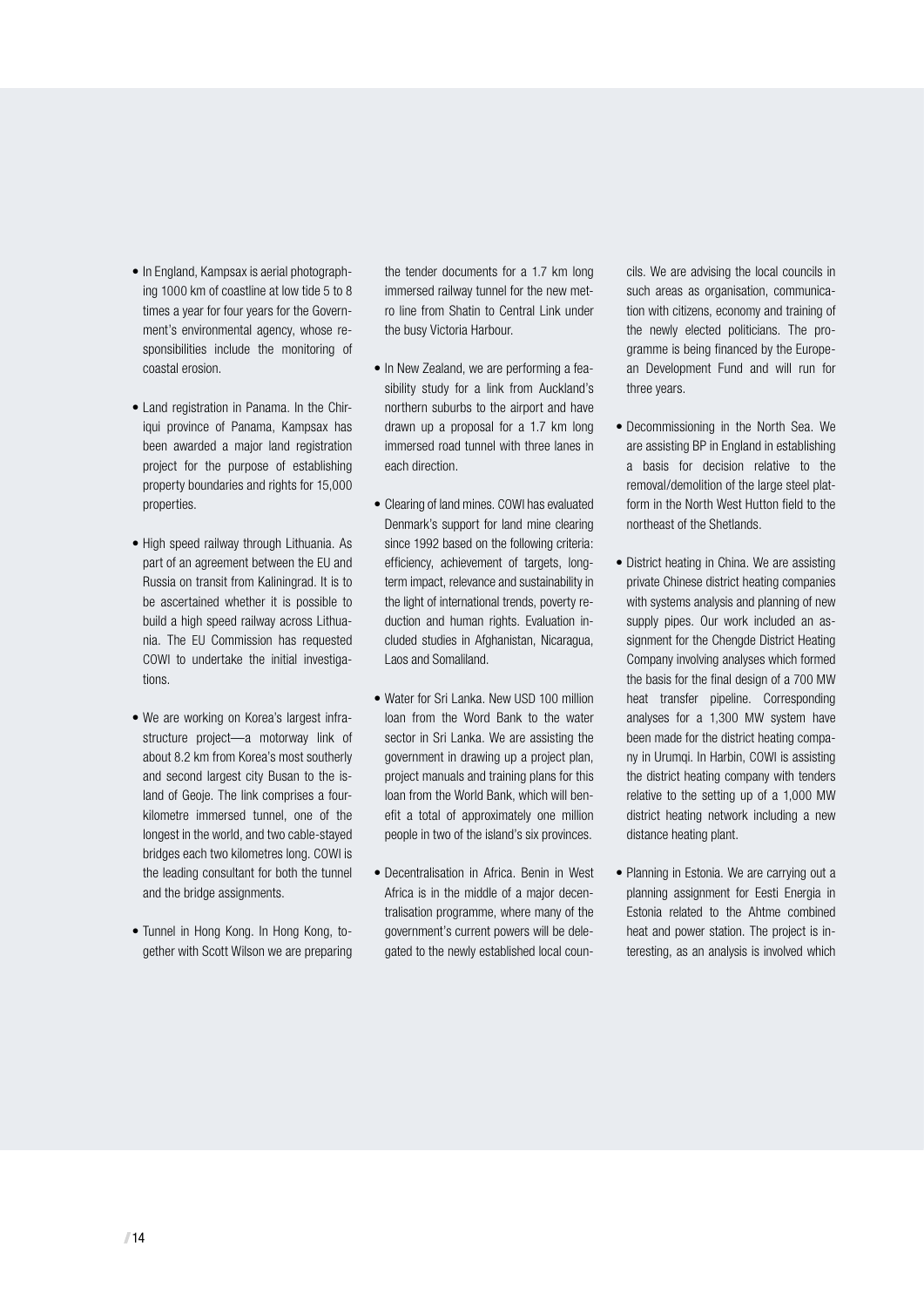- In England, Kampsax is aerial photographing 1000 km of coastline at low tide 5 to 8 times a year for four years for the Government's environmental agency, whose responsibilities include the monitoring of coastal erosion.
- Land registration in Panama. In the Chiriqui province of Panama, Kampsax has been awarded a major land registration project for the purpose of establishing property boundaries and rights for 15,000 properties.
- High speed railway through Lithuania. As part of an agreement between the EU and Russia on transit from Kaliningrad. It is to be ascertained whether it is possible to build a high speed railway across Lithuania. The EU Commission has requested COWI to undertake the initial investigations.
- We are working on Korea's largest infrastructure project—a motorway link of about 8.2 km from Korea's most southerly and second largest city Busan to the island of Geoje. The link comprises a fourkilometre immersed tunnel, one of the longest in the world, and two cable-stayed bridges each two kilometres long. COWI is the leading consultant for both the tunnel and the bridge assignments.
- Tunnel in Hong Kong. In Hong Kong, together with Scott Wilson we are preparing

the tender documents for a 1.7 km long immersed railway tunnel for the new metro line from Shatin to Central Link under the busy Victoria Harbour.

- In New Zealand, we are performing a feasibility study for a link from Auckland's northern suburbs to the airport and have drawn up a proposal for a 1.7 km long immersed road tunnel with three lanes in each direction.
- Clearing of land mines. COWI has evaluated Denmark's support for land mine clearing since 1992 based on the following criteria: efficiency, achievement of targets, longterm impact, relevance and sustainability in the light of international trends, poverty reduction and human rights. Evaluation included studies in Afghanistan, Nicaragua, Laos and Somaliland.
- Water for Sri Lanka. New USD 100 million loan from the Word Bank to the water sector in Sri Lanka. We are assisting the government in drawing up a project plan, project manuals and training plans for this loan from the World Bank, which will benefit a total of approximately one million people in two of the island's six provinces.
- Decentralisation in Africa. Benin in West Africa is in the middle of a major decentralisation programme, where many of the government's current powers will be delegated to the newly established local coun-

cils. We are advising the local councils in such areas as organisation, communication with citizens, economy and training of the newly elected politicians. The programme is being financed by the European Development Fund and will run for three years.

- Decommissioning in the North Sea. We are assisting BP in England in establishing a basis for decision relative to the removal/demolition of the large steel platform in the North West Hutton field to the northeast of the Shetlands.
- District heating in China. We are assisting private Chinese district heating companies with systems analysis and planning of new supply pipes. Our work included an assignment for the Chengde District Heating Company involving analyses which formed the basis for the final design of a 700 MW heat transfer pipeline. Corresponding analyses for a 1,300 MW system have been made for the district heating company in Urumqi. In Harbin, COWI is assisting the district heating company with tenders relative to the setting up of a 1,000 MW district heating network including a new distance heating plant.
- Planning in Estonia. We are carrying out a planning assignment for Eesti Energia in Estonia related to the Ahtme combined heat and power station. The project is interesting, as an analysis is involved which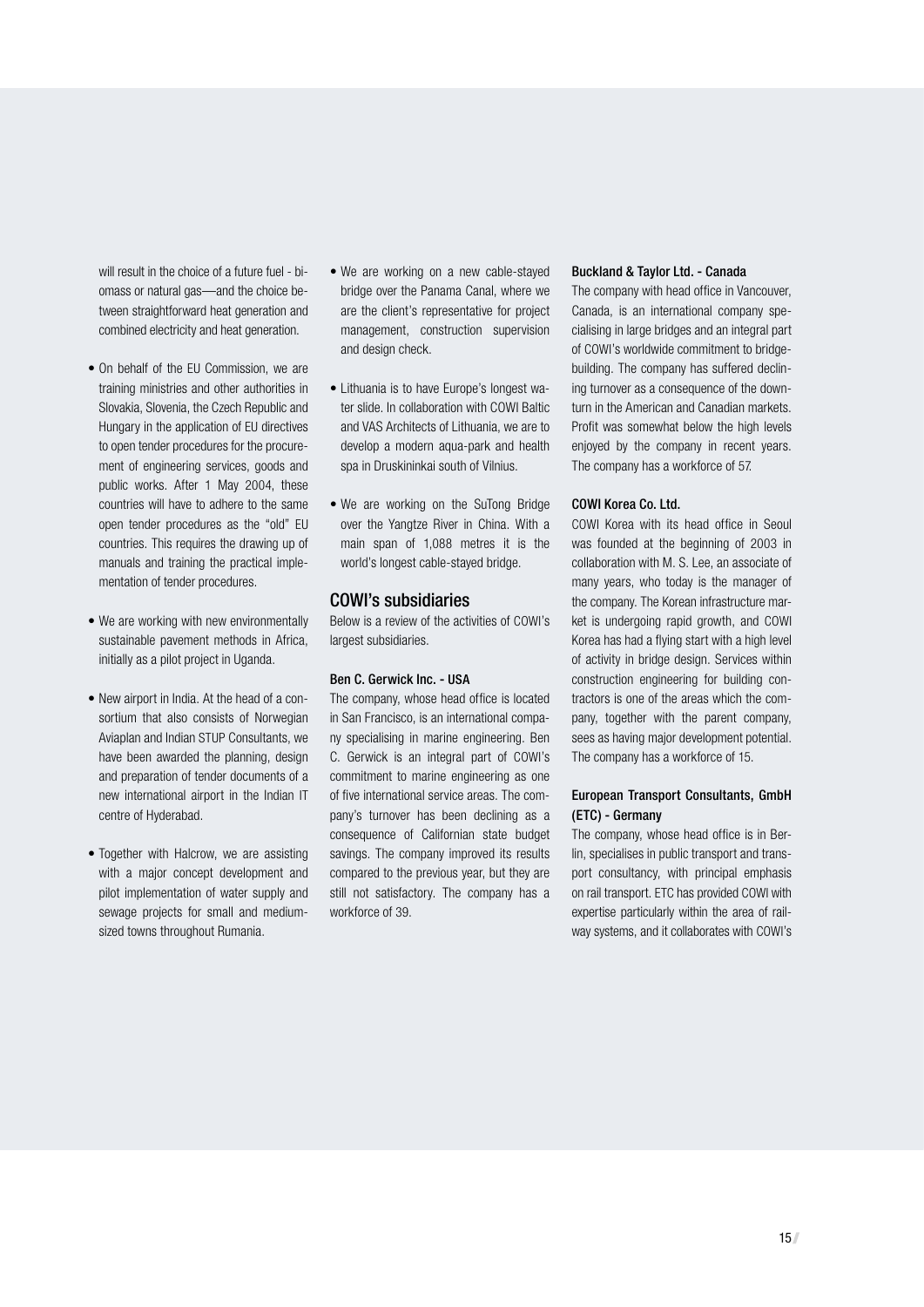will result in the choice of a future fuel - biomass or natural gas—and the choice between straightforward heat generation and combined electricity and heat generation.

- On behalf of the EU Commission, we are training ministries and other authorities in Slovakia, Slovenia, the Czech Republic and Hungary in the application of EU directives to open tender procedures for the procurement of engineering services, goods and public works. After 1 May 2004, these countries will have to adhere to the same open tender procedures as the "old" EU countries. This requires the drawing up of manuals and training the practical implementation of tender procedures.
- We are working with new environmentally sustainable pavement methods in Africa, initially as a pilot project in Uganda.
- New airport in India. At the head of a consortium that also consists of Norwegian Aviaplan and Indian STUP Consultants, we have been awarded the planning, design and preparation of tender documents of a new international airport in the Indian IT centre of Hyderabad.
- Together with Halcrow, we are assisting with a major concept development and pilot implementation of water supply and sewage projects for small and mediumsized towns throughout Rumania.
- We are working on a new cable-stayed bridge over the Panama Canal, where we are the client's representative for project management, construction supervision and design check.
- Lithuania is to have Europe's longest water slide. In collaboration with COWI Baltic and VAS Architects of Lithuania, we are to develop a modern aqua-park and health spa in Druskininkai south of Vilnius.
- We are working on the SuTong Bridge over the Yangtze River in China. With a main span of 1,088 metres it is the world's longest cable-stayed bridge.

#### COWI's subsidiaries

Below is a review of the activities of COWI's largest subsidiaries.

#### Ben C. Gerwick Inc. - USA

The company, whose head office is located in San Francisco, is an international company specialising in marine engineering. Ben C. Gerwick is an integral part of COWI's commitment to marine engineering as one of five international service areas. The company's turnover has been declining as a consequence of Californian state budget savings. The company improved its results compared to the previous year, but they are still not satisfactory. The company has a workforce of 39.

#### Buckland & Taylor Ltd. - Canada

The company with head office in Vancouver, Canada, is an international company specialising in large bridges and an integral part of COWI's worldwide commitment to bridgebuilding. The company has suffered declining turnover as a consequence of the downturn in the American and Canadian markets. Profit was somewhat below the high levels enjoyed by the company in recent years. The company has a workforce of 57.

#### COWI Korea Co. Ltd.

COWI Korea with its head office in Seoul was founded at the beginning of 2003 in collaboration with M. S. Lee, an associate of many years, who today is the manager of the company. The Korean infrastructure market is undergoing rapid growth, and COWI Korea has had a flying start with a high level of activity in bridge design. Services within construction engineering for building contractors is one of the areas which the company, together with the parent company, sees as having major development potential. The company has a workforce of 15.

#### European Transport Consultants, GmbH (ETC) - Germany

The company, whose head office is in Berlin, specialises in public transport and transport consultancy, with principal emphasis on rail transport. ETC has provided COWI with expertise particularly within the area of railway systems, and it collaborates with COWI's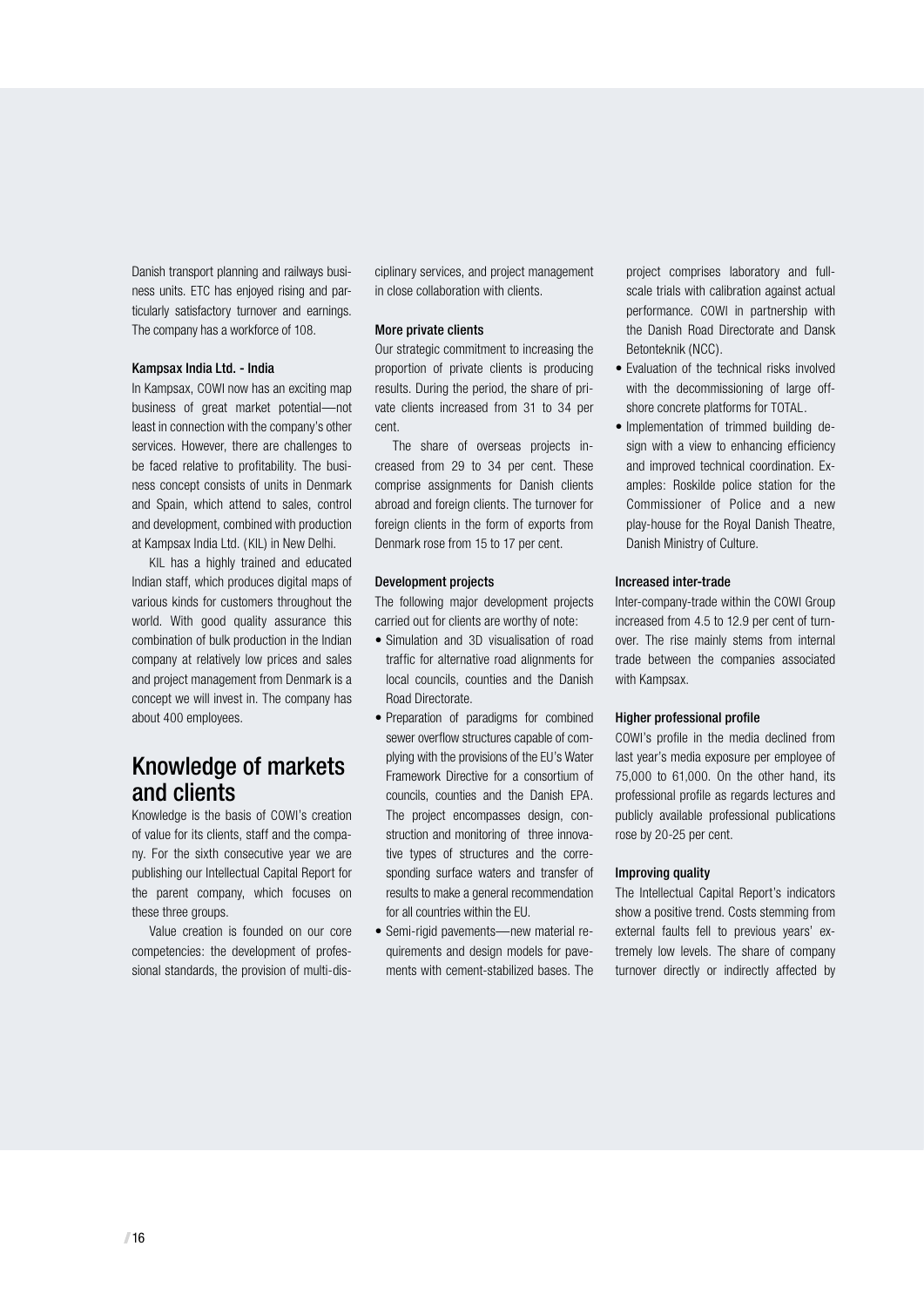Danish transport planning and railways business units. ETC has enjoyed rising and particularly satisfactory turnover and earnings. The company has a workforce of 108.

#### Kampsax India Ltd. - India

In Kampsax, COWI now has an exciting map business of great market potential—not least in connection with the company's other services. However, there are challenges to be faced relative to profitability. The business concept consists of units in Denmark and Spain, which attend to sales, control and development, combined with production at Kampsax India Ltd. ( KIL) in New Delhi.

KIL has a highly trained and educated Indian staff, which produces digital maps of various kinds for customers throughout the world. With good quality assurance this combination of bulk production in the Indian company at relatively low prices and sales and project management from Denmark is a concept we will invest in. The company has about 400 employees.

## Knowledge of markets and clients

Knowledge is the basis of COWI's creation of value for its clients, staff and the company. For the sixth consecutive year we are publishing our Intellectual Capital Report for the parent company, which focuses on these three groups.

Value creation is founded on our core competencies: the development of professional standards, the provision of multi-disciplinary services, and project management in close collaboration with clients.

#### More private clients

Our strategic commitment to increasing the proportion of private clients is producing results. During the period, the share of private clients increased from 31 to 34 per cent.

The share of overseas projects increased from 29 to 34 per cent. These comprise assignments for Danish clients abroad and foreign clients. The turnover for foreign clients in the form of exports from Denmark rose from 15 to 17 per cent.

#### Development projects

The following major development projects carried out for clients are worthy of note:

- Simulation and 3D visualisation of road traffic for alternative road alignments for local councils, counties and the Danish Road Directorate.
- Preparation of paradigms for combined sewer overflow structures capable of complying with the provisions of the EU's Water Framework Directive for a consortium of councils, counties and the Danish EPA. The project encompasses design, construction and monitoring of three innovative types of structures and the corresponding surface waters and transfer of results to make a general recommendation for all countries within the EU.
- Semi-rigid pavements—new material requirements and design models for pavements with cement-stabilized bases. The

project comprises laboratory and fullscale trials with calibration against actual performance. COWI in partnership with the Danish Road Directorate and Dansk Betonteknik (NCC).

- Evaluation of the technical risks involved with the decommissioning of large offshore concrete platforms for TOTAL.
- Implementation of trimmed building design with a view to enhancing efficiency and improved technical coordination. Examples: Roskilde police station for the Commissioner of Police and a new play-house for the Royal Danish Theatre, Danish Ministry of Culture.

#### Increased inter-trade

Inter-company-trade within the COWI Group increased from 4.5 to 12.9 per cent of turnover. The rise mainly stems from internal trade between the companies associated with Kampsax.

#### Higher professional profile

COWI's profile in the media declined from last year's media exposure per employee of 75,000 to 61,000. On the other hand, its professional profile as regards lectures and publicly available professional publications rose by 20-25 per cent.

#### Improving quality

The Intellectual Capital Report's indicators show a positive trend. Costs stemming from external faults fell to previous years' extremely low levels. The share of company turnover directly or indirectly affected by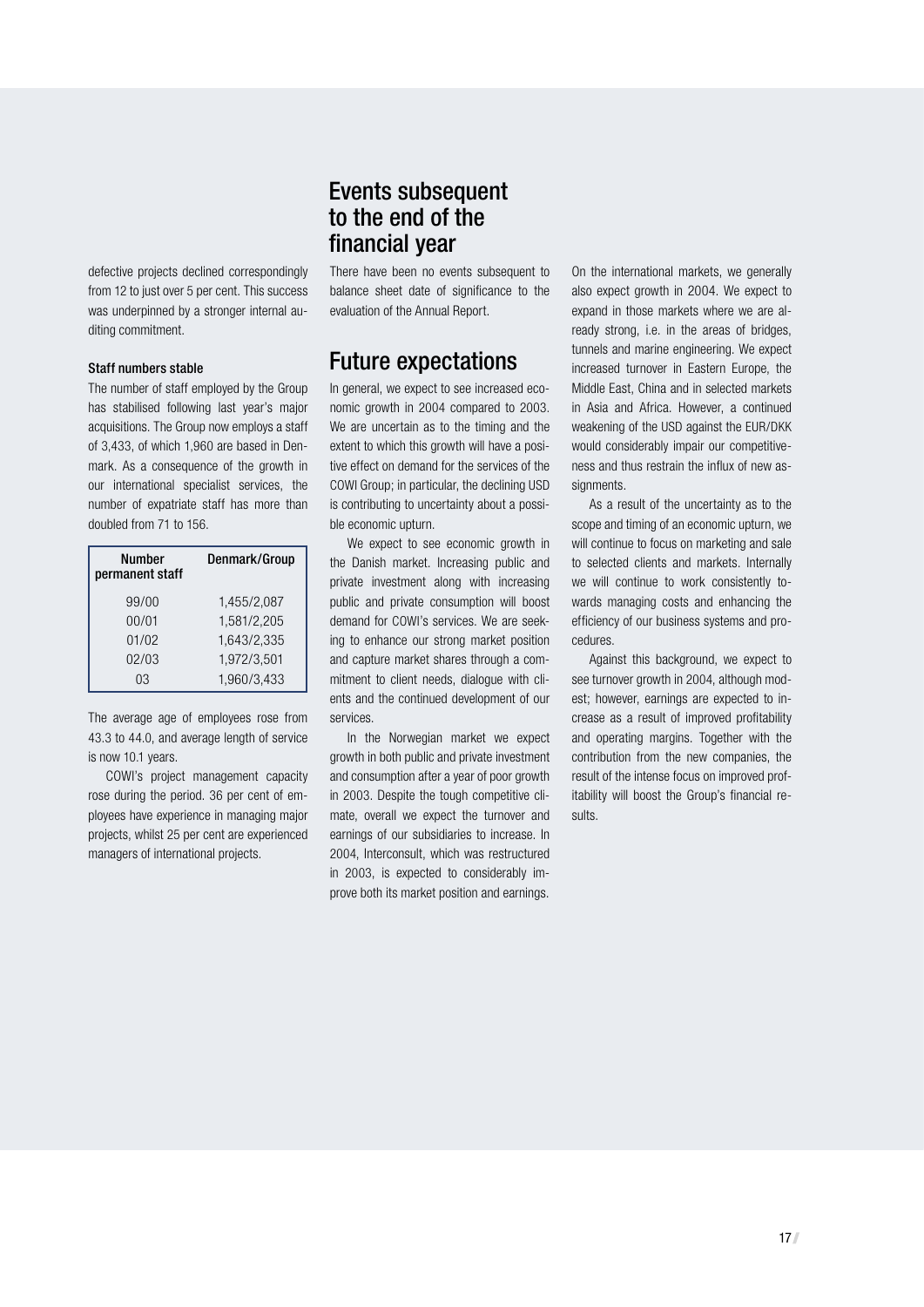defective projects declined correspondingly from 12 to just over 5 per cent. This success was underpinned by a stronger internal auditing commitment.

#### Staff numbers stable

The number of staff employed by the Group has stabilised following last year's major acquisitions. The Group now employs a staff of 3,433, of which 1,960 are based in Denmark. As a consequence of the growth in our international specialist services, the number of expatriate staff has more than doubled from 71 to 156.

| <b>Number</b><br>permanent staff | Denmark/Group |
|----------------------------------|---------------|
| 99/00                            | 1,455/2,087   |
| 00/01                            | 1,581/2,205   |
| 01/02                            | 1,643/2,335   |
| 02/03                            | 1,972/3,501   |
| 03                               | 1,960/3,433   |

The average age of employees rose from 43.3 to 44.0, and average length of service is now 10.1 years.

COWI's project management capacity rose during the period. 36 per cent of employees have experience in managing major projects, whilst 25 per cent are experienced managers of international projects.

## Events subsequent to the end of the financial year

There have been no events subsequent to balance sheet date of significance to the evaluation of the Annual Report.

## Future expectations

In general, we expect to see increased economic growth in 2004 compared to 2003. We are uncertain as to the timing and the extent to which this growth will have a positive effect on demand for the services of the COWI Group; in particular, the declining USD is contributing to uncertainty about a possible economic upturn.

We expect to see economic growth in the Danish market. Increasing public and private investment along with increasing public and private consumption will boost demand for COWI's services. We are seeking to enhance our strong market position and capture market shares through a commitment to client needs, dialogue with clients and the continued development of our services.

In the Norwegian market we expect growth in both public and private investment and consumption after a year of poor growth in 2003. Despite the tough competitive climate, overall we expect the turnover and earnings of our subsidiaries to increase. In 2004, Interconsult, which was restructured in 2003, is expected to considerably improve both its market position and earnings.

On the international markets, we generally also expect growth in 2004. We expect to expand in those markets where we are already strong, i.e. in the areas of bridges, tunnels and marine engineering. We expect increased turnover in Eastern Europe, the Middle East, China and in selected markets in Asia and Africa. However, a continued weakening of the USD against the EUR/DKK would considerably impair our competitiveness and thus restrain the influx of new assignments.

As a result of the uncertainty as to the scope and timing of an economic upturn, we will continue to focus on marketing and sale to selected clients and markets. Internally we will continue to work consistently towards managing costs and enhancing the efficiency of our business systems and procedures.

Against this background, we expect to see turnover growth in 2004, although modest; however, earnings are expected to increase as a result of improved profitability and operating margins. Together with the contribution from the new companies, the result of the intense focus on improved profitability will boost the Group's financial results.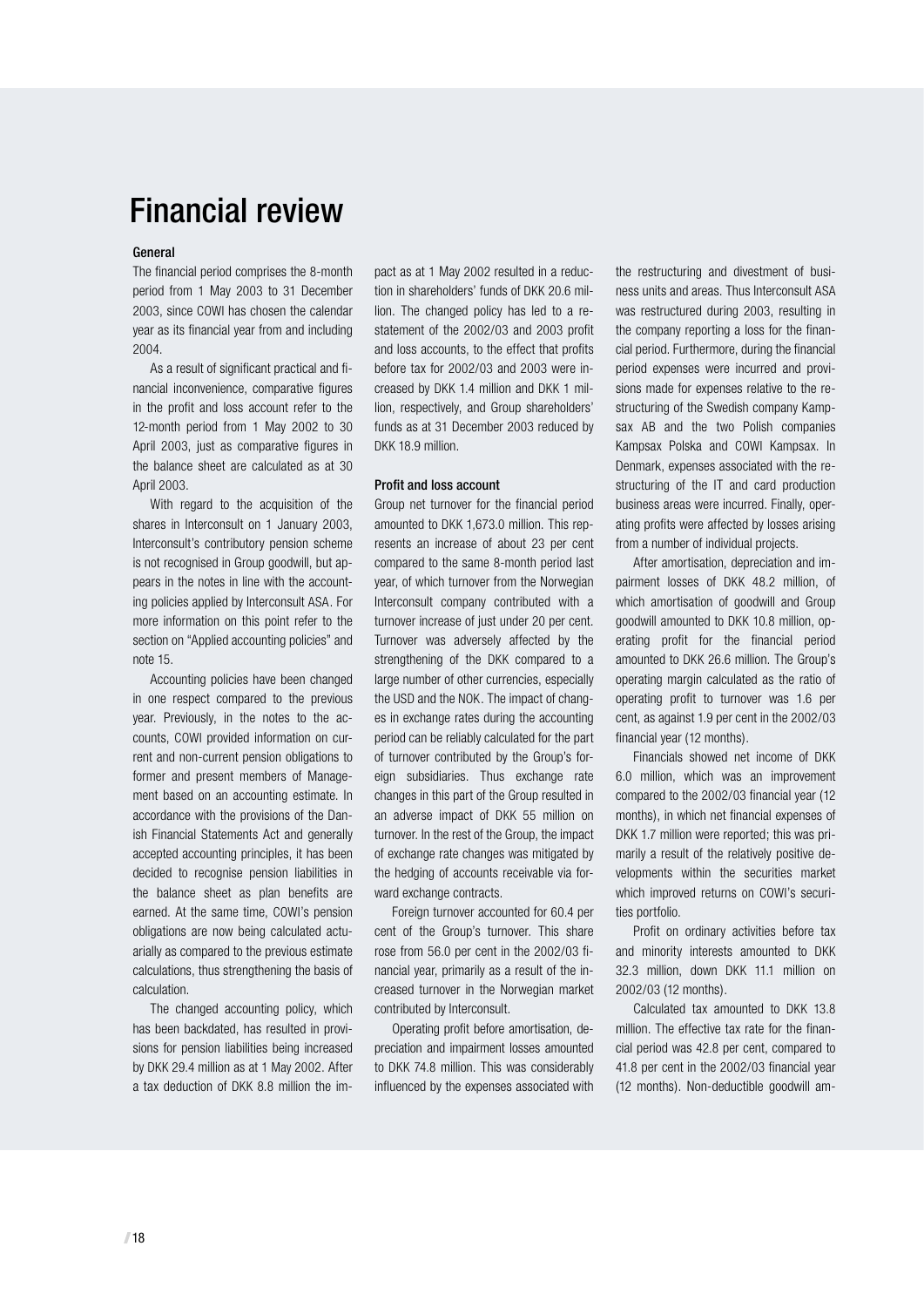# Financial review

#### General

The financial period comprises the 8-month period from 1 May 2003 to 31 December 2003, since COWI has chosen the calendar year as its financial year from and including 2004.

As a result of significant practical and financial inconvenience, comparative figures in the profit and loss account refer to the 12-month period from 1 May 2002 to 30 April 2003, just as comparative figures in the balance sheet are calculated as at 30 April 2003.

With regard to the acquisition of the shares in Interconsult on 1 January 2003, Interconsult's contributory pension scheme is not recognised in Group goodwill, but appears in the notes in line with the accounting policies applied by Interconsult ASA. For more information on this point refer to the section on "Applied accounting policies" and note 15.

Accounting policies have been changed in one respect compared to the previous year. Previously, in the notes to the accounts, COWI provided information on current and non-current pension obligations to former and present members of Management based on an accounting estimate. In accordance with the provisions of the Danish Financial Statements Act and generally accepted accounting principles, it has been decided to recognise pension liabilities in the balance sheet as plan benefits are earned. At the same time, COWI's pension obligations are now being calculated actuarially as compared to the previous estimate calculations, thus strengthening the basis of calculation.

The changed accounting policy, which has been backdated, has resulted in provisions for pension liabilities being increased by DKK 29.4 million as at 1 May 2002. After a tax deduction of DKK 8.8 million the impact as at 1 May 2002 resulted in a reduction in shareholders' funds of DKK 20.6 million. The changed policy has led to a restatement of the 2002/03 and 2003 profit and loss accounts, to the effect that profits before tax for 2002/03 and 2003 were increased by DKK 1.4 million and DKK 1 million, respectively, and Group shareholders' funds as at 31 December 2003 reduced by DKK 18.9 million.

#### Profit and loss account

Group net turnover for the financial period amounted to DKK 1,673.0 million. This represents an increase of about 23 per cent compared to the same 8-month period last year, of which turnover from the Norwegian Interconsult company contributed with a turnover increase of just under 20 per cent. Turnover was adversely affected by the strengthening of the DKK compared to a large number of other currencies, especially the USD and the NOK. The impact of changes in exchange rates during the accounting period can be reliably calculated for the part of turnover contributed by the Group's foreign subsidiaries. Thus exchange rate changes in this part of the Group resulted in an adverse impact of DKK 55 million on turnover. In the rest of the Group, the impact of exchange rate changes was mitigated by the hedging of accounts receivable via forward exchange contracts.

Foreign turnover accounted for 60.4 per cent of the Group's turnover. This share rose from 56.0 per cent in the 2002/03 financial year, primarily as a result of the increased turnover in the Norwegian market contributed by Interconsult.

Operating profit before amortisation, depreciation and impairment losses amounted to DKK 74.8 million. This was considerably influenced by the expenses associated with the restructuring and divestment of business units and areas. Thus Interconsult ASA was restructured during 2003, resulting in the company reporting a loss for the financial period. Furthermore, during the financial period expenses were incurred and provisions made for expenses relative to the restructuring of the Swedish company Kampsax AB and the two Polish companies Kampsax Polska and COWI Kampsax. In Denmark, expenses associated with the restructuring of the IT and card production business areas were incurred. Finally, operating profits were affected by losses arising from a number of individual projects.

After amortisation, depreciation and impairment losses of DKK 48.2 million, of which amortisation of goodwill and Group goodwill amounted to DKK 10.8 million, operating profit for the financial period amounted to DKK 26.6 million. The Group's operating margin calculated as the ratio of operating profit to turnover was 1.6 per cent, as against 1.9 per cent in the 2002/03 financial year (12 months).

Financials showed net income of DKK 6.0 million, which was an improvement compared to the 2002/03 financial year (12 months), in which net financial expenses of DKK 1.7 million were reported; this was primarily a result of the relatively positive developments within the securities market which improved returns on COWI's securities portfolio.

Profit on ordinary activities before tax and minority interests amounted to DKK 32.3 million, down DKK 11.1 million on 2002/03 (12 months).

Calculated tax amounted to DKK 13.8 million. The effective tax rate for the financial period was 42.8 per cent, compared to 41.8 per cent in the 2002/03 financial year (12 months). Non-deductible goodwill am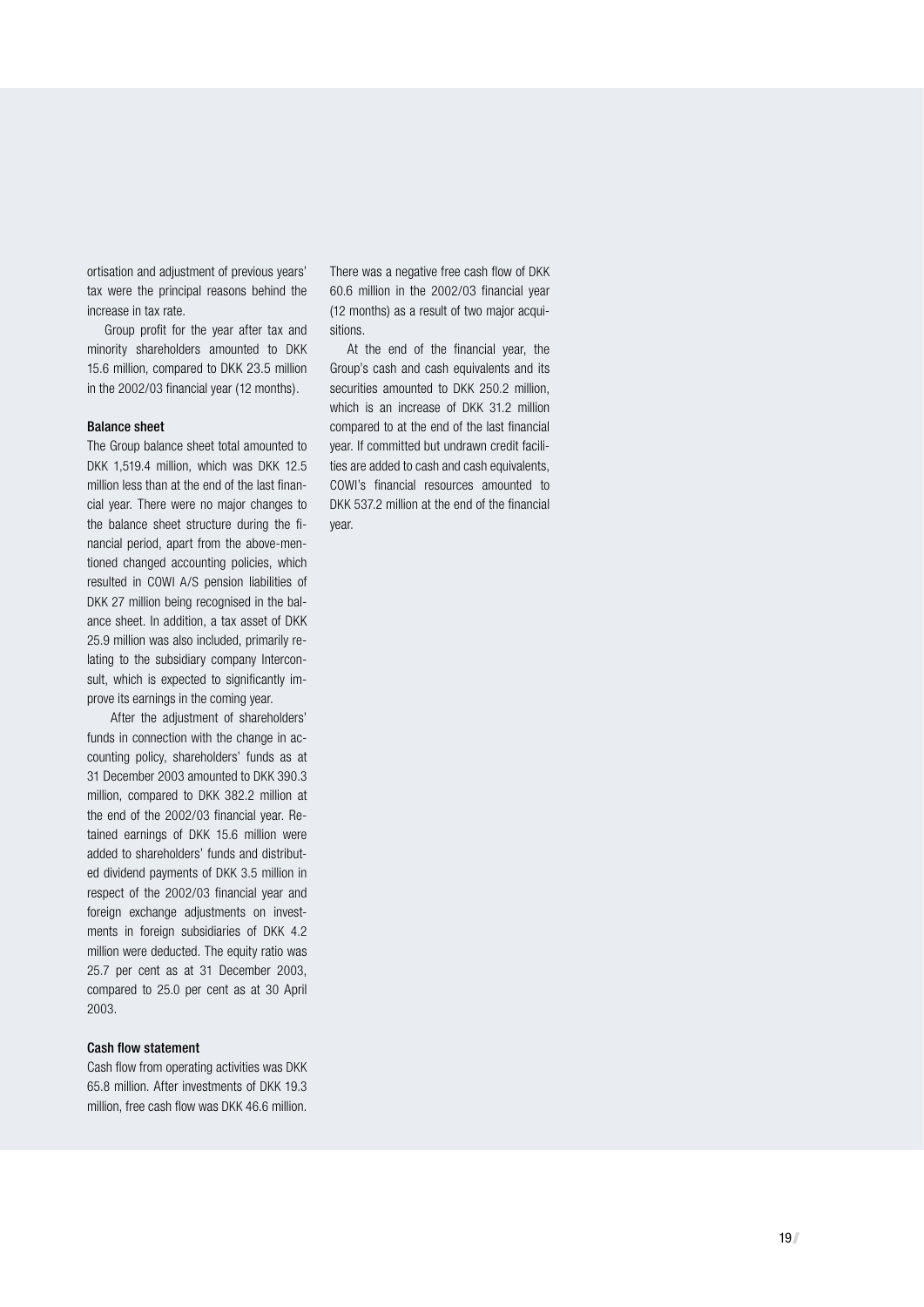ortisation and adjustment of previous years' tax were the principal reasons behind the increase in tax rate.

Group profit for the year after tax and minority shareholders amounted to DKK 15.6 million, compared to DKK 23.5 million in the 2002/03 financial year (12 months).

#### Balance sheet

The Group balance sheet total amounted to DKK 1,519.4 million, which was DKK 12.5 million less than at the end of the last financial year. There were no major changes to the balance sheet structure during the financial period, apart from the above-mentioned changed accounting policies, which resulted in COWI A/S pension liabilities of DKK 27 million being recognised in the balance sheet. In addition, a tax asset of DKK 25.9 million was also included, primarily relating to the subsidiary company Interconsult, which is expected to significantly improve its earnings in the coming year.

 After the adjustment of shareholders' funds in connection with the change in accounting policy, shareholders' funds as at 31 December 2003 amounted to DKK 390.3 million, compared to DKK 382.2 million at the end of the 2002/03 financial year. Retained earnings of DKK 15.6 million were added to shareholders' funds and distributed dividend payments of DKK 3.5 million in respect of the 2002/03 financial year and foreign exchange adjustments on investments in foreign subsidiaries of DKK 4.2 million were deducted. The equity ratio was 25.7 per cent as at 31 December 2003, compared to 25.0 per cent as at 30 April 2003.

#### Cash flow statement

Cash flow from operating activities was DKK 65.8 million. After investments of DKK 19.3 million, free cash flow was DKK 46.6 million. There was a negative free cash flow of DKK 60.6 million in the 2002/03 financial year (12 months) as a result of two major acquisitions.

At the end of the financial year, the Group's cash and cash equivalents and its securities amounted to DKK 250.2 million. which is an increase of DKK 31.2 million compared to at the end of the last financial year. If committed but undrawn credit facilities are added to cash and cash equivalents, COWI's financial resources amounted to DKK 537.2 million at the end of the financial year.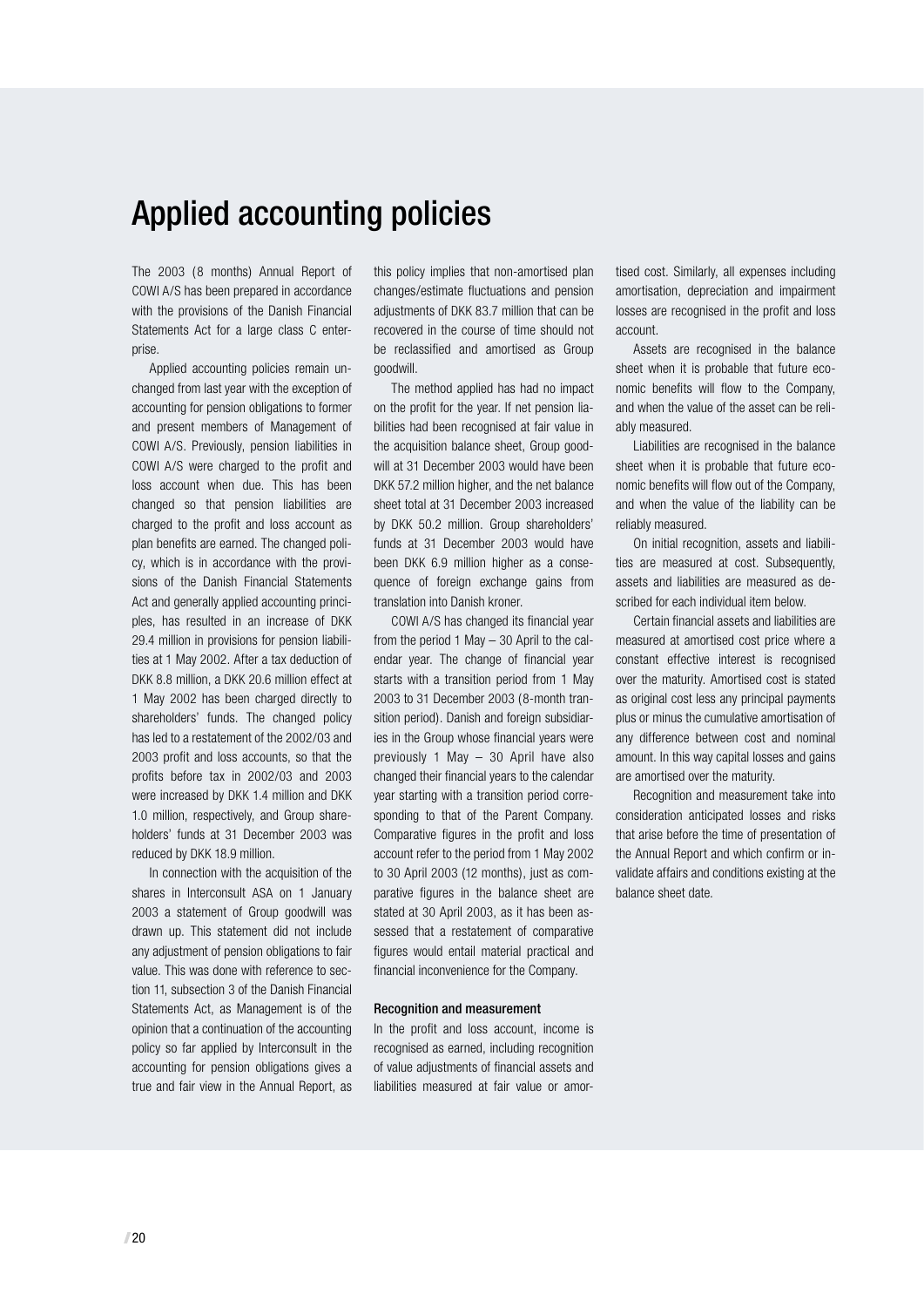# Applied accounting policies

The 2003 (8 months) Annual Report of COWI A/S has been prepared in accordance with the provisions of the Danish Financial Statements Act for a large class C enterprise.

Applied accounting policies remain unchanged from last year with the exception of accounting for pension obligations to former and present members of Management of COWI A/S. Previously, pension liabilities in COWI A/S were charged to the profit and loss account when due. This has been changed so that pension liabilities are charged to the profit and loss account as plan benefits are earned. The changed policy, which is in accordance with the provisions of the Danish Financial Statements Act and generally applied accounting principles, has resulted in an increase of DKK 29.4 million in provisions for pension liabilities at 1 May 2002. After a tax deduction of DKK 8.8 million, a DKK 20.6 million effect at 1 May 2002 has been charged directly to shareholders' funds. The changed policy has led to a restatement of the 2002/03 and 2003 profit and loss accounts, so that the profits before tax in 2002/03 and 2003 were increased by DKK 1.4 million and DKK 1.0 million, respectively, and Group shareholders' funds at 31 December 2003 was reduced by DKK 18.9 million.

In connection with the acquisition of the shares in Interconsult ASA on 1 January 2003 a statement of Group goodwill was drawn up. This statement did not include any adjustment of pension obligations to fair value. This was done with reference to section 11, subsection 3 of the Danish Financial Statements Act, as Management is of the opinion that a continuation of the accounting policy so far applied by Interconsult in the accounting for pension obligations gives a true and fair view in the Annual Report, as

this policy implies that non-amortised plan changes/estimate fluctuations and pension adjustments of DKK 83.7 million that can be recovered in the course of time should not be reclassified and amortised as Group goodwill.

The method applied has had no impact on the profit for the year. If net pension liabilities had been recognised at fair value in the acquisition balance sheet, Group goodwill at 31 December 2003 would have been DKK 57.2 million higher, and the net balance sheet total at 31 December 2003 increased by DKK 50.2 million. Group shareholders' funds at 31 December 2003 would have been DKK 6.9 million higher as a consequence of foreign exchange gains from translation into Danish kroner.

COWI A/S has changed its financial year from the period 1 May – 30 April to the calendar year. The change of financial year starts with a transition period from 1 May 2003 to 31 December 2003 (8-month transition period). Danish and foreign subsidiaries in the Group whose financial years were previously 1 May – 30 April have also changed their financial years to the calendar year starting with a transition period corresponding to that of the Parent Company. Comparative figures in the profit and loss account refer to the period from 1 May 2002 to 30 April 2003 (12 months), just as comparative figures in the balance sheet are stated at 30 April 2003, as it has been assessed that a restatement of comparative figures would entail material practical and financial inconvenience for the Company.

#### Recognition and measurement

In the profit and loss account, income is recognised as earned, including recognition of value adjustments of financial assets and liabilities measured at fair value or amortised cost. Similarly, all expenses including amortisation, depreciation and impairment losses are recognised in the profit and loss account.

Assets are recognised in the balance sheet when it is probable that future economic benefits will flow to the Company, and when the value of the asset can be reliably measured.

Liabilities are recognised in the balance sheet when it is probable that future economic benefits will flow out of the Company, and when the value of the liability can be reliably measured.

On initial recognition, assets and liabilities are measured at cost. Subsequently, assets and liabilities are measured as described for each individual item below.

Certain financial assets and liabilities are measured at amortised cost price where a constant effective interest is recognised over the maturity. Amortised cost is stated as original cost less any principal payments plus or minus the cumulative amortisation of any difference between cost and nominal amount. In this way capital losses and gains are amortised over the maturity.

Recognition and measurement take into consideration anticipated losses and risks that arise before the time of presentation of the Annual Report and which confirm or invalidate affairs and conditions existing at the balance sheet date.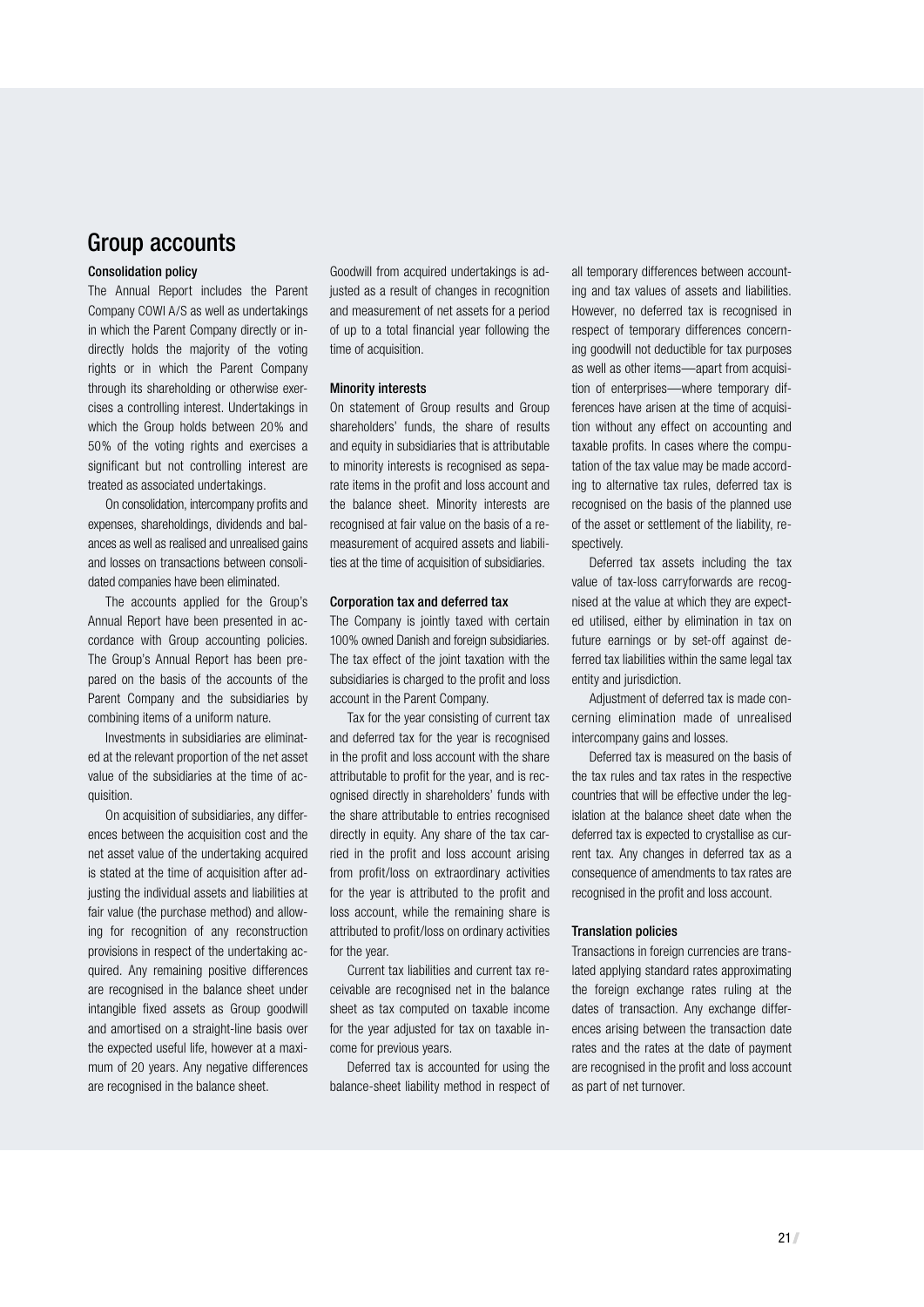## Group accounts

#### Consolidation policy

The Annual Report includes the Parent Company COWI A/S as well as undertakings in which the Parent Company directly or indirectly holds the majority of the voting rights or in which the Parent Company through its shareholding or otherwise exercises a controlling interest. Undertakings in which the Group holds between 20% and 50% of the voting rights and exercises a significant but not controlling interest are treated as associated undertakings.

On consolidation, intercompany profits and expenses, shareholdings, dividends and balances as well as realised and unrealised gains and losses on transactions between consolidated companies have been eliminated.

The accounts applied for the Group's Annual Report have been presented in accordance with Group accounting policies. The Group's Annual Report has been prepared on the basis of the accounts of the Parent Company and the subsidiaries by combining items of a uniform nature.

Investments in subsidiaries are eliminated at the relevant proportion of the net asset value of the subsidiaries at the time of acquisition.

On acquisition of subsidiaries, any differences between the acquisition cost and the net asset value of the undertaking acquired is stated at the time of acquisition after adjusting the individual assets and liabilities at fair value (the purchase method) and allowing for recognition of any reconstruction provisions in respect of the undertaking acquired. Any remaining positive differences are recognised in the balance sheet under intangible fixed assets as Group goodwill and amortised on a straight-line basis over the expected useful life, however at a maximum of 20 years. Any negative differences are recognised in the balance sheet.

Goodwill from acquired undertakings is adjusted as a result of changes in recognition and measurement of net assets for a period of up to a total financial year following the time of acquisition.

#### Minority interests

On statement of Group results and Group shareholders' funds, the share of results and equity in subsidiaries that is attributable to minority interests is recognised as separate items in the profit and loss account and the balance sheet. Minority interests are recognised at fair value on the basis of a remeasurement of acquired assets and liabilities at the time of acquisition of subsidiaries.

#### Corporation tax and deferred tax

The Company is jointly taxed with certain 100% owned Danish and foreign subsidiaries. The tax effect of the joint taxation with the subsidiaries is charged to the profit and loss account in the Parent Company.

Tax for the year consisting of current tax and deferred tax for the year is recognised in the profit and loss account with the share attributable to profit for the year, and is recognised directly in shareholders' funds with the share attributable to entries recognised directly in equity. Any share of the tax carried in the profit and loss account arising from profit/loss on extraordinary activities for the year is attributed to the profit and loss account, while the remaining share is attributed to profit/loss on ordinary activities for the year.

Current tax liabilities and current tax receivable are recognised net in the balance sheet as tax computed on taxable income for the year adjusted for tax on taxable income for previous years.

Deferred tax is accounted for using the balance-sheet liability method in respect of all temporary differences between accounting and tax values of assets and liabilities. However, no deferred tax is recognised in respect of temporary differences concerning goodwill not deductible for tax purposes as well as other items—apart from acquisition of enterprises—where temporary differences have arisen at the time of acquisition without any effect on accounting and taxable profits. In cases where the computation of the tax value may be made according to alternative tax rules, deferred tax is recognised on the basis of the planned use of the asset or settlement of the liability, respectively.

Deferred tax assets including the tax value of tax-loss carryforwards are recognised at the value at which they are expected utilised, either by elimination in tax on future earnings or by set-off against deferred tax liabilities within the same legal tax entity and jurisdiction.

Adjustment of deferred tax is made concerning elimination made of unrealised intercompany gains and losses.

Deferred tax is measured on the basis of the tax rules and tax rates in the respective countries that will be effective under the legislation at the balance sheet date when the deferred tax is expected to crystallise as current tax. Any changes in deferred tax as a consequence of amendments to tax rates are recognised in the profit and loss account.

#### Translation policies

Transactions in foreign currencies are translated applying standard rates approximating the foreign exchange rates ruling at the dates of transaction. Any exchange differences arising between the transaction date rates and the rates at the date of payment are recognised in the profit and loss account as part of net turnover.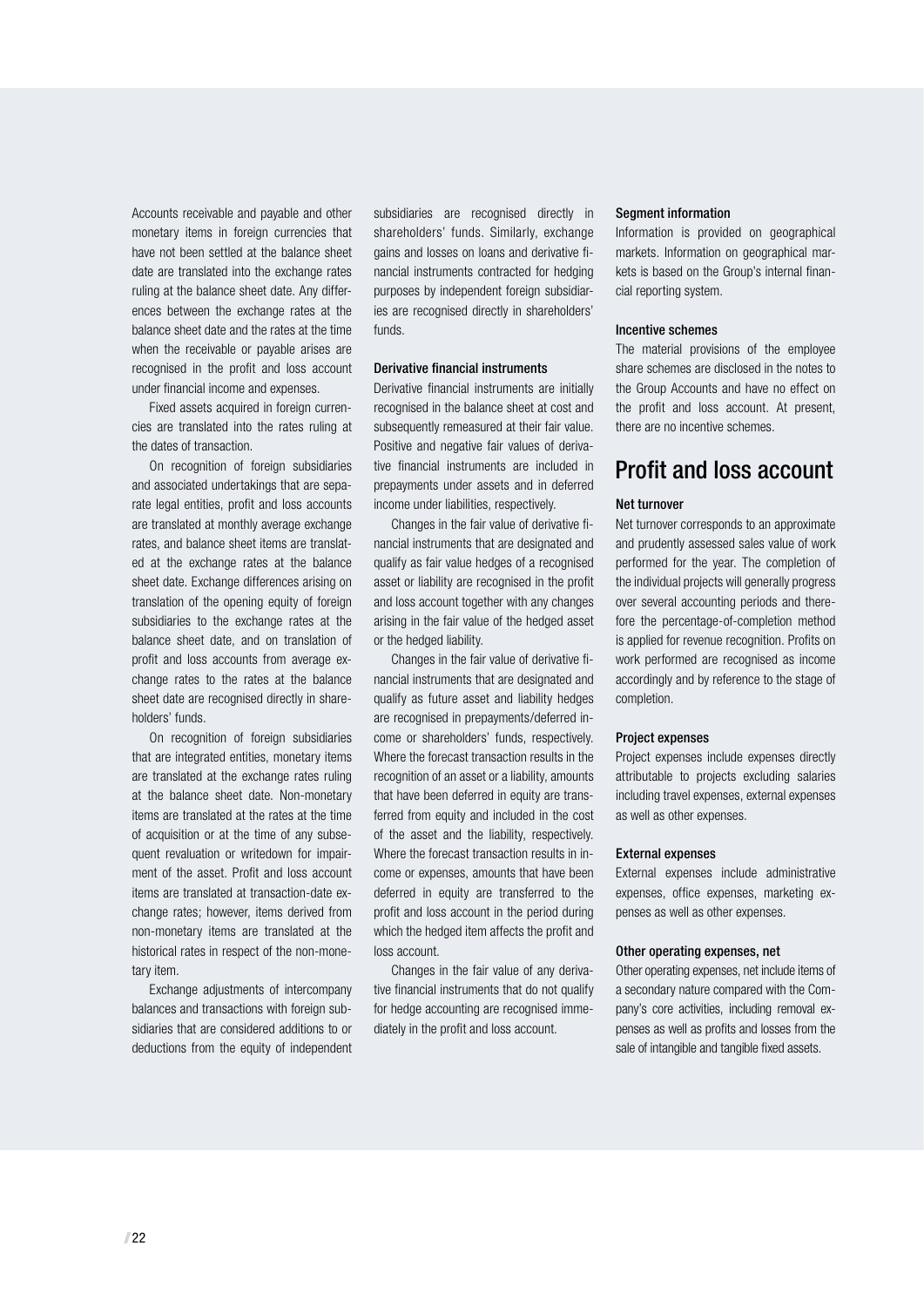Accounts receivable and payable and other monetary items in foreign currencies that have not been settled at the balance sheet date are translated into the exchange rates ruling at the balance sheet date. Any differences between the exchange rates at the balance sheet date and the rates at the time when the receivable or payable arises are recognised in the profit and loss account under financial income and expenses.

Fixed assets acquired in foreign currencies are translated into the rates ruling at the dates of transaction.

On recognition of foreign subsidiaries and associated undertakings that are separate legal entities, profit and loss accounts are translated at monthly average exchange rates, and balance sheet items are translated at the exchange rates at the balance sheet date. Exchange differences arising on translation of the opening equity of foreign subsidiaries to the exchange rates at the balance sheet date, and on translation of profit and loss accounts from average exchange rates to the rates at the balance sheet date are recognised directly in shareholders' funds.

On recognition of foreign subsidiaries that are integrated entities, monetary items are translated at the exchange rates ruling at the balance sheet date. Non-monetary items are translated at the rates at the time of acquisition or at the time of any subsequent revaluation or writedown for impairment of the asset. Profit and loss account items are translated at transaction-date exchange rates; however, items derived from non-monetary items are translated at the historical rates in respect of the non-monetary item.

Exchange adjustments of intercompany balances and transactions with foreign subsidiaries that are considered additions to or deductions from the equity of independent subsidiaries are recognised directly in shareholders' funds. Similarly, exchange gains and losses on loans and derivative financial instruments contracted for hedging purposes by independent foreign subsidiaries are recognised directly in shareholders' funds.

#### Derivative financial instruments

Derivative financial instruments are initially recognised in the balance sheet at cost and subsequently remeasured at their fair value. Positive and negative fair values of derivative financial instruments are included in prepayments under assets and in deferred income under liabilities, respectively.

Changes in the fair value of derivative financial instruments that are designated and qualify as fair value hedges of a recognised asset or liability are recognised in the profit and loss account together with any changes arising in the fair value of the hedged asset or the hedged liability.

Changes in the fair value of derivative financial instruments that are designated and qualify as future asset and liability hedges are recognised in prepayments/deferred income or shareholders' funds, respectively. Where the forecast transaction results in the recognition of an asset or a liability, amounts that have been deferred in equity are transferred from equity and included in the cost of the asset and the liability, respectively. Where the forecast transaction results in income or expenses, amounts that have been deferred in equity are transferred to the profit and loss account in the period during which the hedged item affects the profit and loss account.

Changes in the fair value of any derivative financial instruments that do not qualify for hedge accounting are recognised immediately in the profit and loss account.

#### Segment information

Information is provided on geographical markets. Information on geographical markets is based on the Group's internal financial reporting system.

#### Incentive schemes

The material provisions of the employee share schemes are disclosed in the notes to the Group Accounts and have no effect on the profit and loss account. At present, there are no incentive schemes.

# Profit and loss account

#### Net turnover

Net turnover corresponds to an approximate and prudently assessed sales value of work performed for the year. The completion of the individual projects will generally progress over several accounting periods and therefore the percentage-of-completion method is applied for revenue recognition. Profits on work performed are recognised as income accordingly and by reference to the stage of completion.

#### Project expenses

Project expenses include expenses directly attributable to projects excluding salaries including travel expenses, external expenses as well as other expenses.

#### External expenses

External expenses include administrative expenses, office expenses, marketing expenses as well as other expenses.

#### Other operating expenses, net

Other operating expenses, net include items of a secondary nature compared with the Company's core activities, including removal expenses as well as profits and losses from the sale of intangible and tangible fixed assets.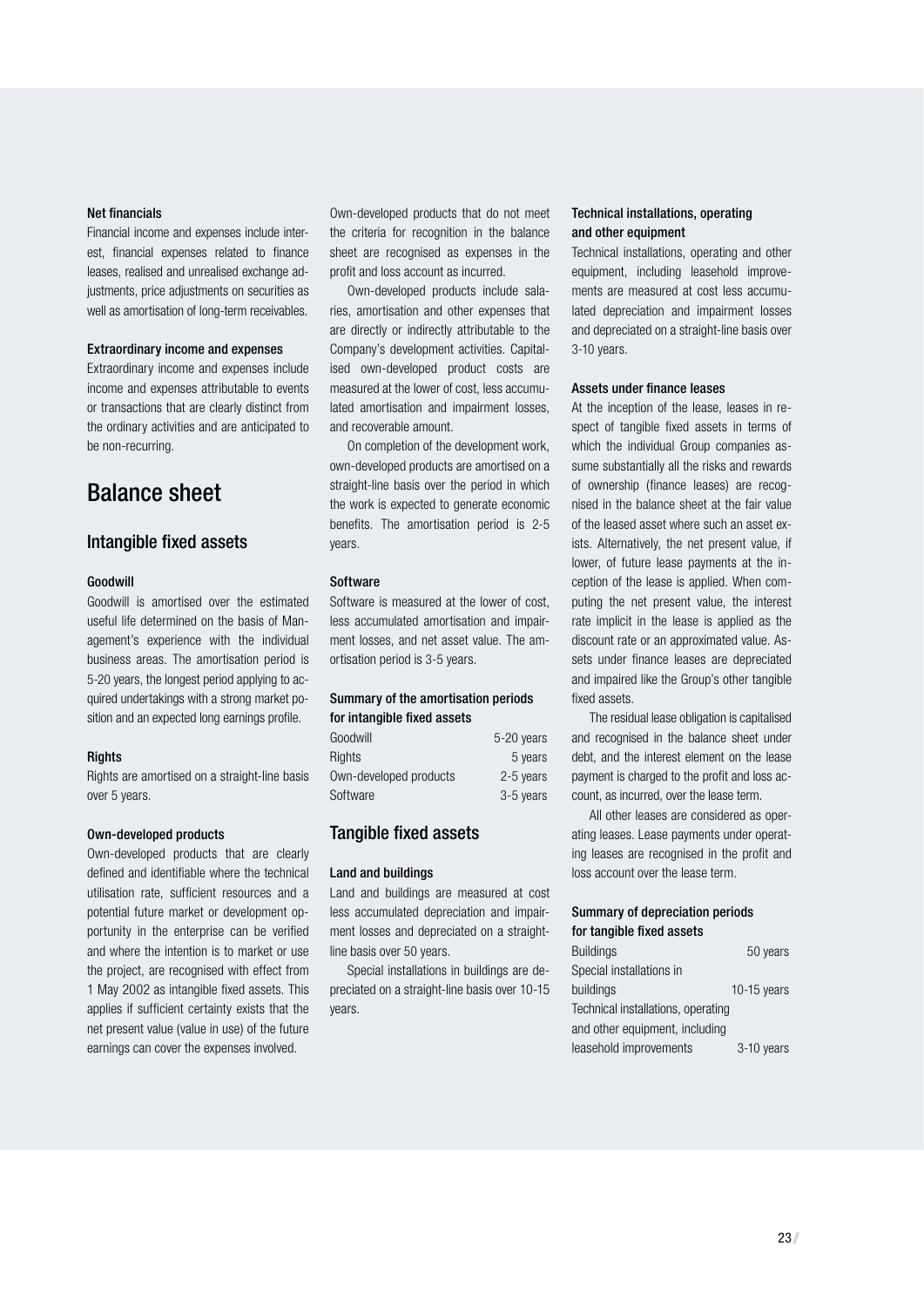#### Net financials

Financial income and expenses include interest, financial expenses related to finance leases, realised and unrealised exchange adjustments, price adjustments on securities as well as amortisation of long-term receivables.

#### Extraordinary income and expenses

Extraordinary income and expenses include income and expenses attributable to events or transactions that are clearly distinct from the ordinary activities and are anticipated to be non-recurring.

## Balance sheet

#### Intangible fixed assets

#### Goodwill

Goodwill is amortised over the estimated useful life determined on the basis of Management's experience with the individual business areas. The amortisation period is 5-20 years, the longest period applying to acquired undertakings with a strong market position and an expected long earnings profile.

#### **Rights**

Rights are amortised on a straight-line basis over 5 years.

#### Own-developed products

Own-developed products that are clearly defined and identifiable where the technical utilisation rate, sufficient resources and a potential future market or development opportunity in the enterprise can be verified and where the intention is to market or use the project, are recognised with effect from 1 May 2002 as intangible fixed assets. This applies if sufficient certainty exists that the net present value (value in use) of the future earnings can cover the expenses involved.

Own-developed products that do not meet the criteria for recognition in the balance sheet are recognised as expenses in the profit and loss account as incurred.

Own-developed products include salaries, amortisation and other expenses that are directly or indirectly attributable to the Company's development activities. Capitalised own-developed product costs are measured at the lower of cost, less accumulated amortisation and impairment losses, and recoverable amount.

On completion of the development work, own-developed products are amortised on a straight-line basis over the period in which the work is expected to generate economic benefits. The amortisation period is 2-5 years.

#### **Software**

Software is measured at the lower of cost, less accumulated amortisation and impairment losses, and net asset value. The amortisation period is 3-5 years.

#### Summary of the amortisation periods for intangible fixed assets

| Goodwill               | 5-20 years |
|------------------------|------------|
| Rights                 | 5 years    |
| Own-developed products | 2-5 years  |
| Software               | 3-5 years  |

#### Tangible fixed assets

#### Land and buildings

Land and buildings are measured at cost less accumulated depreciation and impairment losses and depreciated on a straightline basis over 50 years.

Special installations in buildings are depreciated on a straight-line basis over 10-15 years.

#### Technical installations, operating and other equipment

Technical installations, operating and other equipment, including leasehold improvements are measured at cost less accumulated depreciation and impairment losses and depreciated on a straight-line basis over 3-10 years.

#### Assets under finance leases

At the inception of the lease, leases in respect of tangible fixed assets in terms of which the individual Group companies assume substantially all the risks and rewards of ownership (finance leases) are recognised in the balance sheet at the fair value of the leased asset where such an asset exists. Alternatively, the net present value, if lower, of future lease payments at the inception of the lease is applied. When computing the net present value, the interest rate implicit in the lease is applied as the discount rate or an approximated value. Assets under finance leases are depreciated and impaired like the Group's other tangible fixed assets.

The residual lease obligation is capitalised and recognised in the balance sheet under debt, and the interest element on the lease payment is charged to the profit and loss account, as incurred, over the lease term.

All other leases are considered as operating leases. Lease payments under operating leases are recognised in the profit and loss account over the lease term.

#### Summary of depreciation periods for tangible fixed assets

| <b>Buildings</b>                   | 50 years    |
|------------------------------------|-------------|
| Special installations in           |             |
| buildings                          | 10-15 years |
| Technical installations, operating |             |
| and other equipment, including     |             |
| leasehold improvements             | 3-10 years  |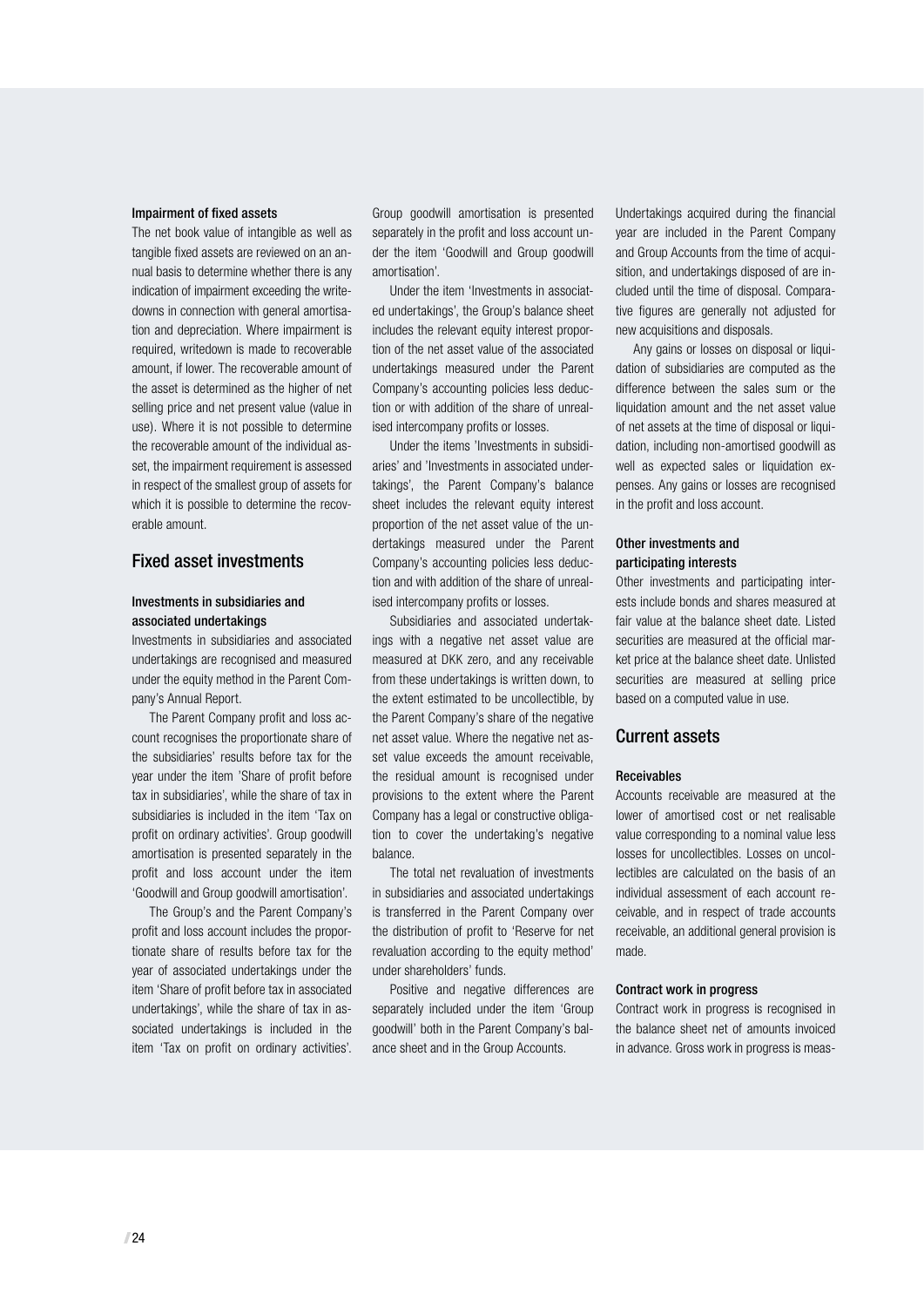#### Impairment of fixed assets

The net book value of intangible as well as tangible fixed assets are reviewed on an annual basis to determine whether there is any indication of impairment exceeding the writedowns in connection with general amortisation and depreciation. Where impairment is required, writedown is made to recoverable amount, if lower. The recoverable amount of the asset is determined as the higher of net selling price and net present value (value in use). Where it is not possible to determine the recoverable amount of the individual asset, the impairment requirement is assessed in respect of the smallest group of assets for which it is possible to determine the recoverable amount.

#### Fixed asset investments

#### Investments in subsidiaries and associated undertakings

Investments in subsidiaries and associated undertakings are recognised and measured under the equity method in the Parent Company's Annual Report.

The Parent Company profit and loss account recognises the proportionate share of the subsidiaries' results before tax for the year under the item 'Share of profit before tax in subsidiaries', while the share of tax in subsidiaries is included in the item 'Tax on profit on ordinary activities'. Group goodwill amortisation is presented separately in the profit and loss account under the item 'Goodwill and Group goodwill amortisation'.

The Group's and the Parent Company's profit and loss account includes the proportionate share of results before tax for the year of associated undertakings under the item 'Share of profit before tax in associated undertakings', while the share of tax in associated undertakings is included in the item 'Tax on profit on ordinary activities'.

Group goodwill amortisation is presented separately in the profit and loss account under the item 'Goodwill and Group goodwill amortisation'.

Under the item 'Investments in associated undertakings', the Group's balance sheet includes the relevant equity interest proportion of the net asset value of the associated undertakings measured under the Parent Company's accounting policies less deduction or with addition of the share of unrealised intercompany profits or losses.

Under the items 'Investments in subsidiaries' and 'Investments in associated undertakings', the Parent Company's balance sheet includes the relevant equity interest proportion of the net asset value of the undertakings measured under the Parent Company's accounting policies less deduction and with addition of the share of unrealised intercompany profits or losses.

Subsidiaries and associated undertakings with a negative net asset value are measured at DKK zero, and any receivable from these undertakings is written down, to the extent estimated to be uncollectible, by the Parent Company's share of the negative net asset value. Where the negative net asset value exceeds the amount receivable, the residual amount is recognised under provisions to the extent where the Parent Company has a legal or constructive obligation to cover the undertaking's negative balance.

The total net revaluation of investments in subsidiaries and associated undertakings is transferred in the Parent Company over the distribution of profit to 'Reserve for net revaluation according to the equity method' under shareholders' funds.

Positive and negative differences are separately included under the item 'Group goodwill' both in the Parent Company's balance sheet and in the Group Accounts.

Undertakings acquired during the financial year are included in the Parent Company and Group Accounts from the time of acquisition, and undertakings disposed of are included until the time of disposal. Comparative figures are generally not adjusted for new acquisitions and disposals.

Any gains or losses on disposal or liquidation of subsidiaries are computed as the difference between the sales sum or the liquidation amount and the net asset value of net assets at the time of disposal or liquidation, including non-amortised goodwill as well as expected sales or liquidation expenses. Any gains or losses are recognised in the profit and loss account.

#### Other investments and participating interests

Other investments and participating interests include bonds and shares measured at fair value at the balance sheet date. Listed securities are measured at the official market price at the balance sheet date. Unlisted securities are measured at selling price based on a computed value in use.

#### Current assets

#### Receivables

Accounts receivable are measured at the lower of amortised cost or net realisable value corresponding to a nominal value less losses for uncollectibles. Losses on uncollectibles are calculated on the basis of an individual assessment of each account receivable, and in respect of trade accounts receivable, an additional general provision is made.

#### Contract work in progress

Contract work in progress is recognised in the balance sheet net of amounts invoiced in advance. Gross work in progress is meas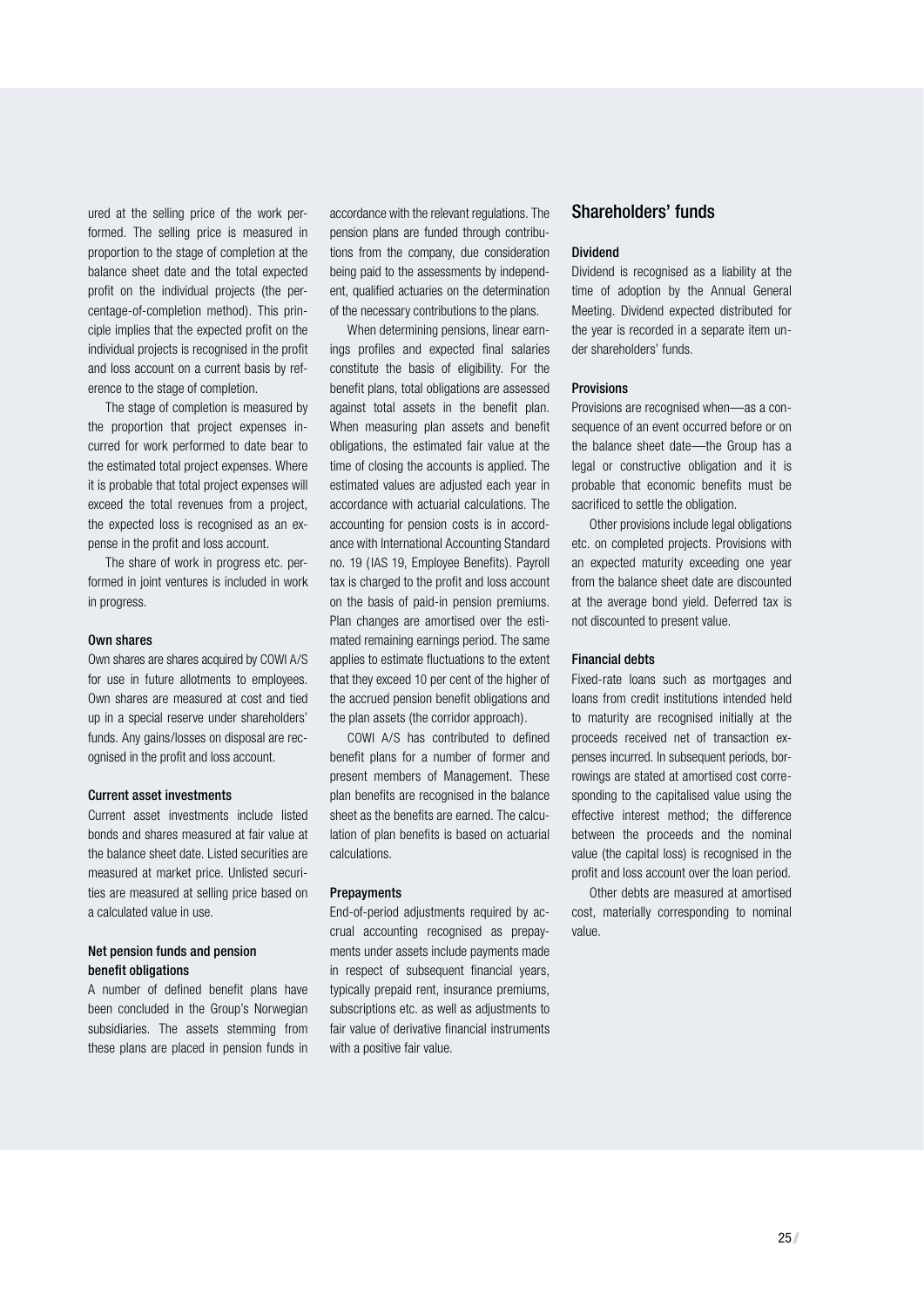ured at the selling price of the work performed. The selling price is measured in proportion to the stage of completion at the balance sheet date and the total expected profit on the individual projects (the percentage-of-completion method). This principle implies that the expected profit on the individual projects is recognised in the profit and loss account on a current basis by reference to the stage of completion.

The stage of completion is measured by the proportion that project expenses incurred for work performed to date bear to the estimated total project expenses. Where it is probable that total project expenses will exceed the total revenues from a project, the expected loss is recognised as an expense in the profit and loss account.

The share of work in progress etc. performed in joint ventures is included in work in progress.

#### Own shares

Own shares are shares acquired by COWI A/S for use in future allotments to employees. Own shares are measured at cost and tied up in a special reserve under shareholders' funds. Any gains/losses on disposal are recognised in the profit and loss account.

#### Current asset investments

Current asset investments include listed bonds and shares measured at fair value at the balance sheet date. Listed securities are measured at market price. Unlisted securities are measured at selling price based on a calculated value in use.

#### Net pension funds and pension benefit obligations

A number of defined benefit plans have been concluded in the Group's Norwegian subsidiaries. The assets stemming from these plans are placed in pension funds in

accordance with the relevant regulations. The pension plans are funded through contributions from the company, due consideration being paid to the assessments by independent, qualified actuaries on the determination of the necessary contributions to the plans.

When determining pensions, linear earnings profiles and expected final salaries constitute the basis of eligibility. For the benefit plans, total obligations are assessed against total assets in the benefit plan. When measuring plan assets and benefit obligations, the estimated fair value at the time of closing the accounts is applied. The estimated values are adjusted each year in accordance with actuarial calculations. The accounting for pension costs is in accordance with International Accounting Standard no. 19 ( IAS 19, Employee Benefits). Payroll tax is charged to the profit and loss account on the basis of paid-in pension premiums. Plan changes are amortised over the estimated remaining earnings period. The same applies to estimate fluctuations to the extent that they exceed 10 per cent of the higher of the accrued pension benefit obligations and the plan assets (the corridor approach).

COWI A/S has contributed to defined benefit plans for a number of former and present members of Management. These plan benefits are recognised in the balance sheet as the benefits are earned. The calculation of plan benefits is based on actuarial calculations.

#### Prepayments

End-of-period adjustments required by accrual accounting recognised as prepayments under assets include payments made in respect of subsequent financial years, typically prepaid rent, insurance premiums, subscriptions etc. as well as adjustments to fair value of derivative financial instruments with a positive fair value.

#### Shareholders' funds

#### Dividend

Dividend is recognised as a liability at the time of adoption by the Annual General Meeting. Dividend expected distributed for the year is recorded in a separate item under shareholders' funds.

#### **Provisions**

Provisions are recognised when—as a consequence of an event occurred before or on the balance sheet date—the Group has a legal or constructive obligation and it is probable that economic benefits must be sacrificed to settle the obligation.

Other provisions include legal obligations etc. on completed projects. Provisions with an expected maturity exceeding one year from the balance sheet date are discounted at the average bond yield. Deferred tax is not discounted to present value.

#### Financial debts

Fixed-rate loans such as mortgages and loans from credit institutions intended held to maturity are recognised initially at the proceeds received net of transaction expenses incurred. In subsequent periods, borrowings are stated at amortised cost corresponding to the capitalised value using the effective interest method; the difference between the proceeds and the nominal value (the capital loss) is recognised in the profit and loss account over the loan period.

Other debts are measured at amortised cost, materially corresponding to nominal value.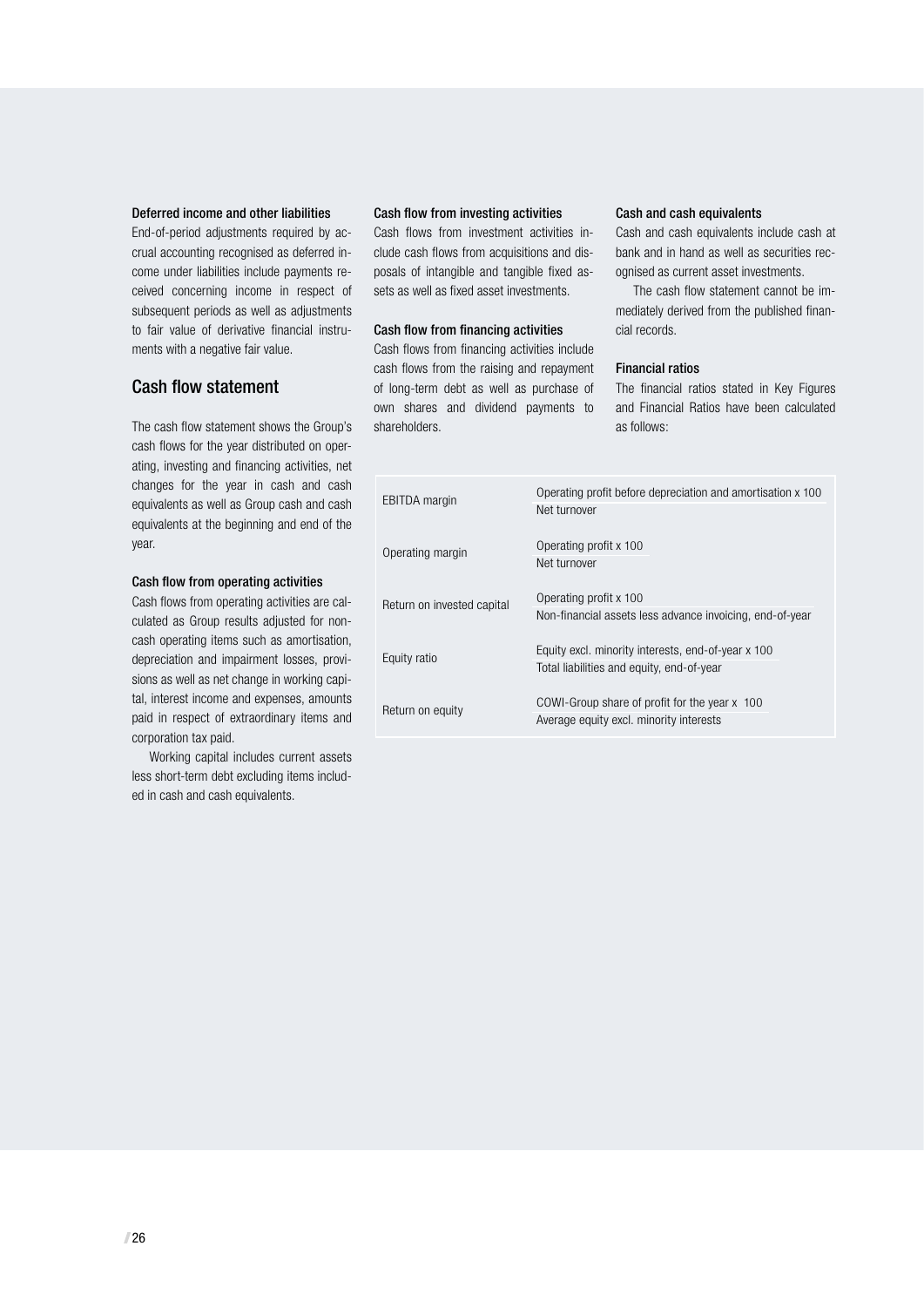#### Deferred income and other liabilities

End-of-period adjustments required by accrual accounting recognised as deferred income under liabilities include payments received concerning income in respect of subsequent periods as well as adjustments to fair value of derivative financial instruments with a negative fair value.

#### Cash flow statement

The cash flow statement shows the Group's cash flows for the year distributed on operating, investing and financing activities, net changes for the year in cash and cash equivalents as well as Group cash and cash equivalents at the beginning and end of the year.

#### Cash flow from operating activities

Cash flows from operating activities are calculated as Group results adjusted for noncash operating items such as amortisation, depreciation and impairment losses, provisions as well as net change in working capital, interest income and expenses, amounts paid in respect of extraordinary items and corporation tax paid.

Working capital includes current assets less short-term debt excluding items included in cash and cash equivalents.

#### Cash flow from investing activities

Cash flows from investment activities include cash flows from acquisitions and disposals of intangible and tangible fixed assets as well as fixed asset investments.

#### Cash flow from financing activities

Cash flows from financing activities include cash flows from the raising and repayment of long-term debt as well as purchase of own shares and dividend payments to shareholders.

#### Cash and cash equivalents

Cash and cash equivalents include cash at bank and in hand as well as securities recognised as current asset investments.

The cash flow statement cannot be immediately derived from the published financial records.

#### Financial ratios

The financial ratios stated in Key Figures and Financial Ratios have been calculated as follows:

| <b>EBITDA</b> margin       | Operating profit before depreciation and amortisation x 100<br>Net turnover                     |
|----------------------------|-------------------------------------------------------------------------------------------------|
| Operating margin           | Operating profit x 100<br>Net turnover                                                          |
| Return on invested capital | Operating profit x 100<br>Non-financial assets less advance invoicing, end-of-year              |
| Equity ratio               | Equity excl. minority interests, end-of-year x 100<br>Total liabilities and equity, end-of-year |
| Return on equity           | COWI-Group share of profit for the year x 100<br>Average equity excl. minority interests        |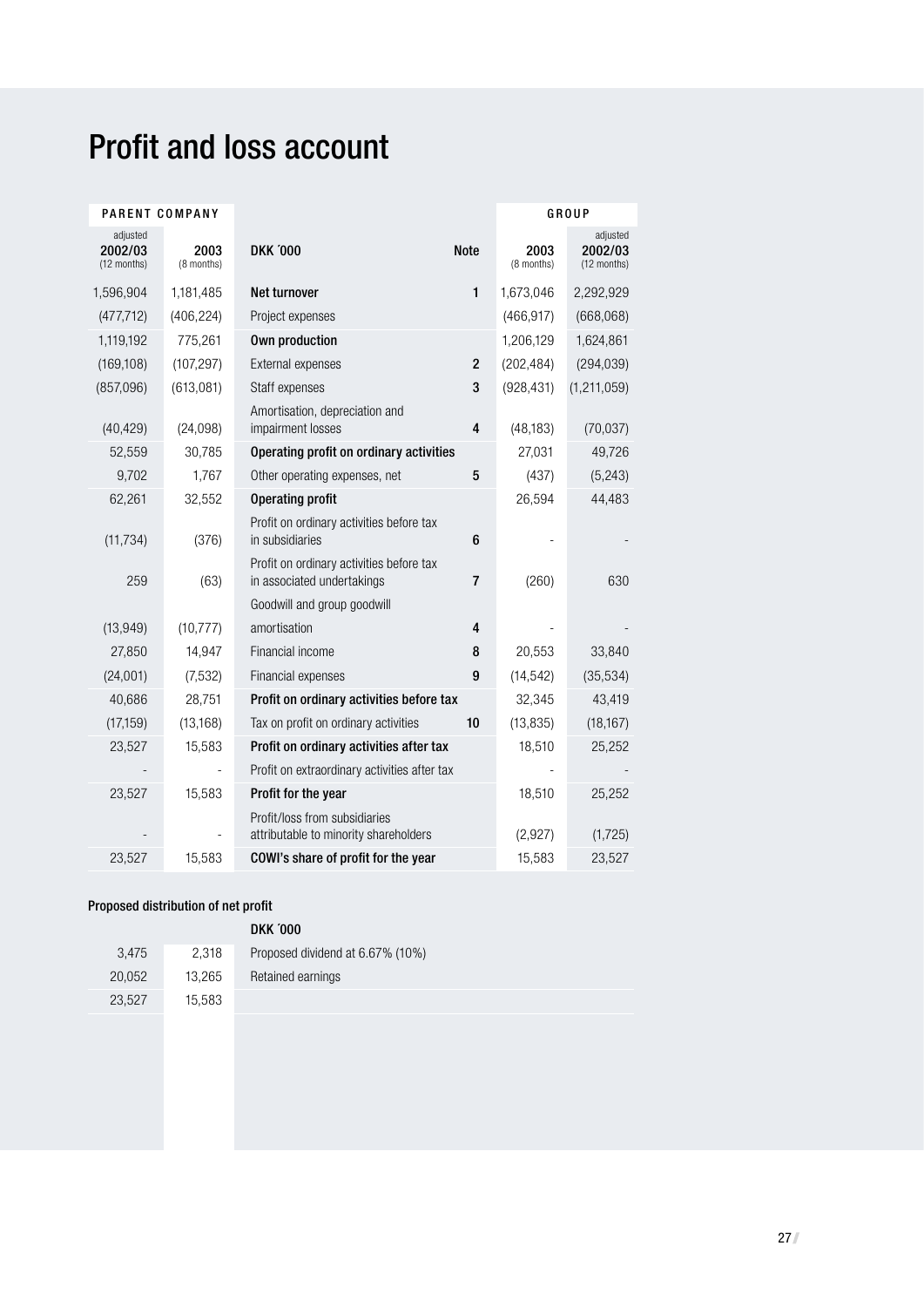# Profit and loss account

| PARENT COMPANY                     |                    |                                                                        |                         |                    | GROUP                              |
|------------------------------------|--------------------|------------------------------------------------------------------------|-------------------------|--------------------|------------------------------------|
| adjusted<br>2002/03<br>(12 months) | 2003<br>(8 months) | <b>DKK '000</b>                                                        | <b>Note</b>             | 2003<br>(8 months) | adjusted<br>2002/03<br>(12 months) |
| 1,596,904                          | 1,181,485          | Net turnover                                                           | $\mathbf{1}$            | 1,673,046          | 2,292,929                          |
| (477, 712)                         | (406, 224)         | Project expenses                                                       |                         | (466, 917)         | (668, 068)                         |
| 1,119,192                          | 775,261            | Own production                                                         |                         | 1,206,129          | 1,624,861                          |
| (169, 108)                         | (107, 297)         | External expenses                                                      | $\overline{2}$          | (202, 484)         | (294, 039)                         |
| (857,096)                          | (613,081)          | Staff expenses                                                         | 3                       | (928, 431)         | (1, 211, 059)                      |
| (40, 429)                          | (24,098)           | Amortisation, depreciation and<br>impairment losses                    | 4                       | (48, 183)          | (70,037)                           |
| 52,559                             | 30,785             | Operating profit on ordinary activities                                |                         | 27,031             | 49,726                             |
| 9,702                              | 1,767              | Other operating expenses, net                                          | 5                       | (437)              | (5, 243)                           |
| 62,261                             | 32,552             | <b>Operating profit</b>                                                |                         | 26,594             | 44,483                             |
| (11, 734)                          | (376)              | Profit on ordinary activities before tax<br>in subsidiaries            | 6                       |                    |                                    |
| 259                                | (63)               | Profit on ordinary activities before tax<br>in associated undertakings | $\overline{7}$          | (260)              | 630                                |
|                                    |                    | Goodwill and group goodwill                                            |                         |                    |                                    |
| (13, 949)                          | (10, 777)          | amortisation                                                           | $\overline{\mathbf{4}}$ |                    |                                    |
| 27,850                             | 14,947             | Financial income                                                       | 8                       | 20,553             | 33,840                             |
| (24,001)                           | (7,532)            | Financial expenses                                                     | 9                       | (14, 542)          | (35, 534)                          |
| 40,686                             | 28,751             | Profit on ordinary activities before tax                               |                         | 32,345             | 43,419                             |
| (17, 159)                          | (13, 168)          | Tax on profit on ordinary activities                                   | 10                      | (13, 835)          | (18, 167)                          |
| 23,527                             | 15,583             | Profit on ordinary activities after tax                                |                         | 18,510             | 25,252                             |
|                                    |                    | Profit on extraordinary activities after tax                           |                         |                    |                                    |
| 23,527                             | 15,583             | Profit for the year                                                    |                         | 18,510             | 25,252                             |
|                                    |                    | Profit/loss from subsidiaries<br>attributable to minority shareholders |                         | (2,927)            | (1, 725)                           |
| 23,527                             | 15,583             | COWI's share of profit for the year                                    |                         | 15,583             | 23,527                             |

## Proposed distribution of net profit

|        |        | <b>DKK '000</b>                  |
|--------|--------|----------------------------------|
| 3.475  | 2.318  | Proposed dividend at 6.67% (10%) |
| 20.052 | 13.265 | Retained earnings                |
| 23,527 | 15,583 |                                  |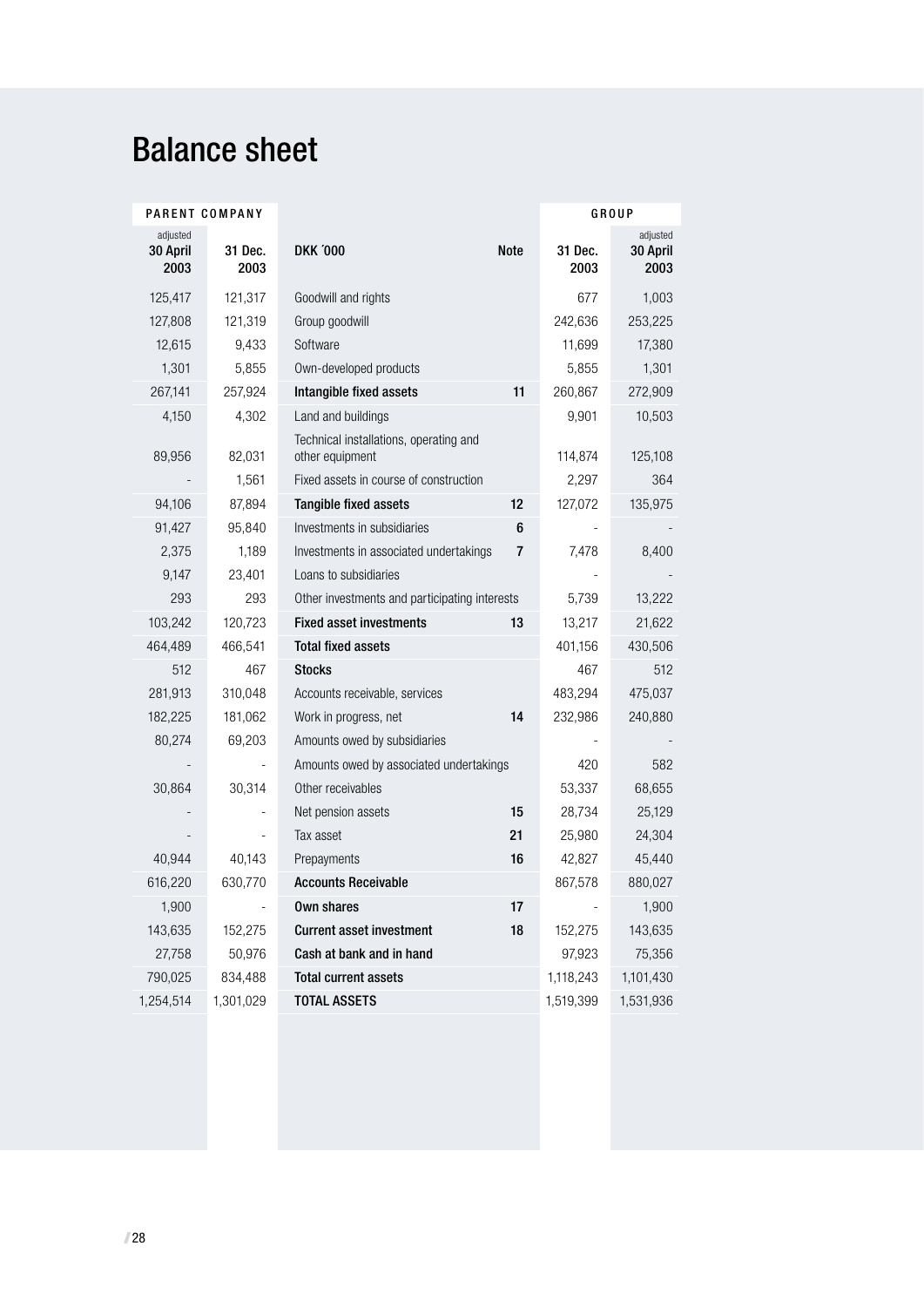# Balance sheet

| PARENT COMPANY               |                 |                                                           |      |                 | GROUP                        |
|------------------------------|-----------------|-----------------------------------------------------------|------|-----------------|------------------------------|
| adjusted<br>30 April<br>2003 | 31 Dec.<br>2003 | <b>DKK '000</b>                                           | Note | 31 Dec.<br>2003 | adjusted<br>30 April<br>2003 |
| 125,417                      | 121,317         | Goodwill and rights                                       |      | 677             | 1,003                        |
| 127,808                      | 121,319         | Group goodwill                                            |      | 242,636         | 253,225                      |
| 12,615                       | 9,433           | Software                                                  |      | 11,699          | 17,380                       |
| 1,301                        | 5,855           | Own-developed products                                    |      | 5,855           | 1,301                        |
| 267,141                      | 257,924         | Intangible fixed assets                                   | 11   | 260,867         | 272,909                      |
| 4,150                        | 4,302           | Land and buildings                                        |      | 9,901           | 10,503                       |
| 89,956                       | 82,031          | Technical installations, operating and<br>other equipment |      | 114,874         | 125,108                      |
|                              | 1,561           | Fixed assets in course of construction                    |      | 2,297           | 364                          |
| 94,106                       | 87,894          | Tangible fixed assets                                     | 12   | 127,072         | 135,975                      |
| 91,427                       | 95,840          | Investments in subsidiaries                               | 6    |                 |                              |
| 2,375                        | 1,189           | Investments in associated undertakings                    | 7    | 7,478           | 8,400                        |
| 9,147                        | 23,401          | Loans to subsidiaries                                     |      |                 |                              |
| 293                          | 293             | Other investments and participating interests             |      | 5,739           | 13,222                       |
| 103,242                      | 120,723         | <b>Fixed asset investments</b>                            | 13   | 13,217          | 21,622                       |
| 464,489                      | 466,541         | <b>Total fixed assets</b>                                 |      | 401,156         | 430,506                      |
| 512                          | 467             | <b>Stocks</b>                                             |      | 467             | 512                          |
| 281,913                      | 310,048         | Accounts receivable, services                             |      | 483,294         | 475,037                      |
| 182,225                      | 181,062         | Work in progress, net                                     | 14   | 232,986         | 240,880                      |
| 80,274                       | 69,203          | Amounts owed by subsidiaries                              |      |                 |                              |
|                              |                 | Amounts owed by associated undertakings                   |      | 420             | 582                          |
| 30,864                       | 30,314          | Other receivables                                         |      | 53,337          | 68,655                       |
|                              |                 | Net pension assets                                        | 15   | 28,734          | 25,129                       |
|                              |                 | Tax asset                                                 | 21   | 25,980          | 24,304                       |
| 40,944                       | 40,143          | Prepayments                                               | 16   | 42,827          | 45,440                       |
| 616,220                      | 630,770         | <b>Accounts Receivable</b>                                |      | 867,578         | 880,027                      |
| 1,900                        |                 | Own shares                                                | 17   |                 | 1,900                        |
| 143,635                      | 152,275         | <b>Current asset investment</b>                           | 18   | 152,275         | 143,635                      |
| 27,758                       | 50,976          | Cash at bank and in hand                                  |      | 97,923          | 75,356                       |
| 790,025                      | 834,488         | <b>Total current assets</b>                               |      | 1,118,243       | 1,101,430                    |
| 1,254,514                    | 1,301,029       | <b>TOTAL ASSETS</b>                                       |      | 1,519,399       | 1,531,936                    |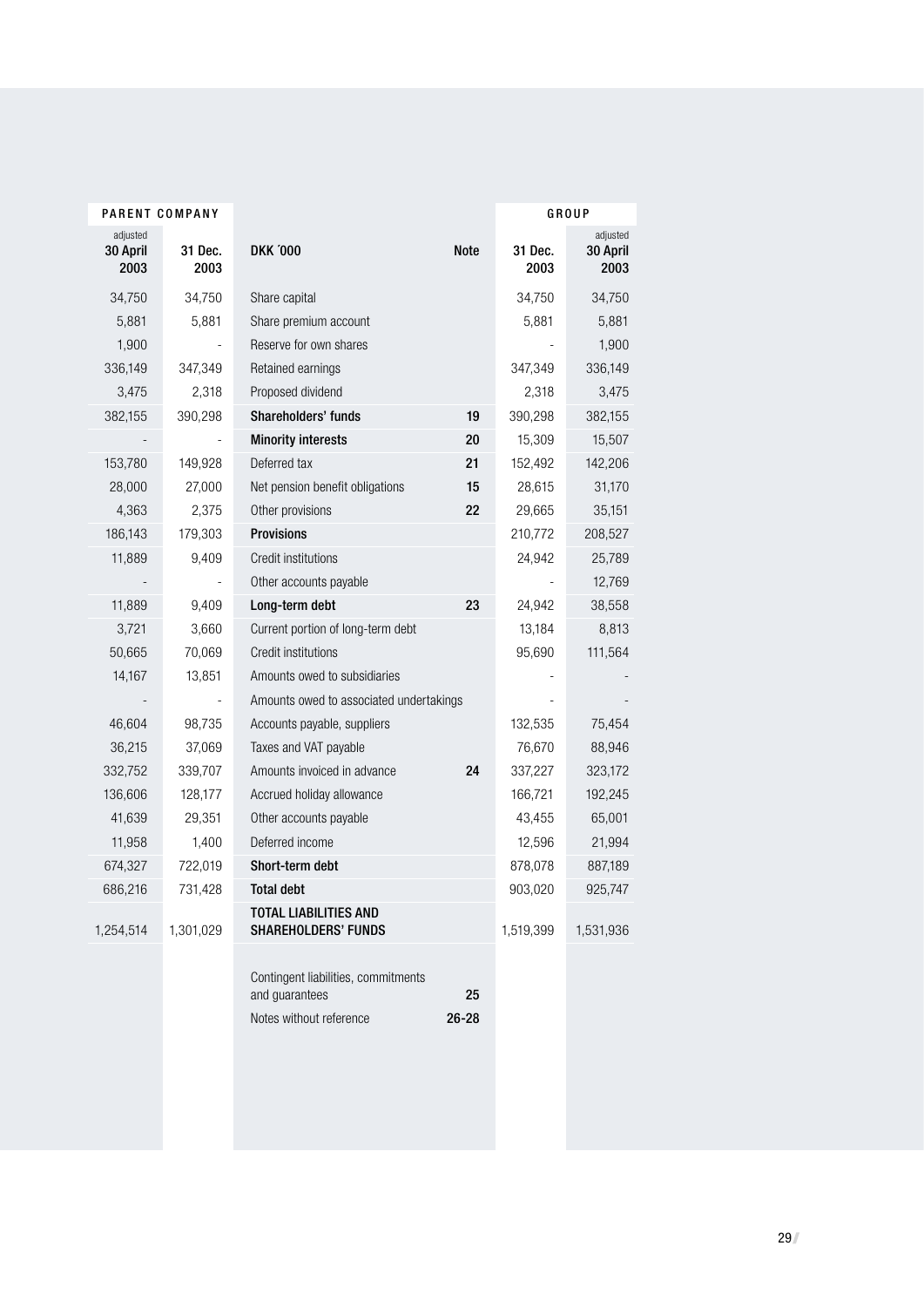| PARENT COMPANY               |                 |                                                                                  |                 |                 | GROUP                        |
|------------------------------|-----------------|----------------------------------------------------------------------------------|-----------------|-----------------|------------------------------|
| adjusted<br>30 April<br>2003 | 31 Dec.<br>2003 | <b>DKK '000</b>                                                                  | <b>Note</b>     | 31 Dec.<br>2003 | adjusted<br>30 April<br>2003 |
| 34,750                       | 34,750          | Share capital                                                                    |                 | 34,750          | 34,750                       |
| 5,881                        | 5,881           | Share premium account                                                            |                 | 5,881           | 5,881                        |
| 1,900                        |                 | Reserve for own shares                                                           |                 |                 | 1,900                        |
| 336,149                      | 347,349         | Retained earnings                                                                |                 | 347,349         | 336,149                      |
| 3,475                        | 2,318           | Proposed dividend                                                                |                 | 2,318           | 3,475                        |
| 382,155                      | 390,298         | Shareholders' funds                                                              | 19              | 390,298         | 382,155                      |
|                              |                 | <b>Minority interests</b>                                                        | 20              | 15,309          | 15,507                       |
| 153,780                      | 149,928         | Deferred tax                                                                     | 21              | 152,492         | 142,206                      |
| 28,000                       | 27,000          | Net pension benefit obligations                                                  | 15              | 28,615          | 31,170                       |
| 4,363                        | 2,375           | Other provisions                                                                 | 22              | 29,665          | 35,151                       |
| 186,143                      | 179,303         | <b>Provisions</b>                                                                |                 | 210,772         | 208,527                      |
| 11,889                       | 9,409           | Credit institutions                                                              |                 | 24,942          | 25,789                       |
|                              |                 | Other accounts payable                                                           |                 |                 | 12,769                       |
| 11,889                       | 9,409           | Long-term debt                                                                   | 23              | 24,942          | 38,558                       |
| 3,721                        | 3,660           | Current portion of long-term debt                                                |                 | 13,184          | 8,813                        |
| 50,665                       | 70,069          | Credit institutions                                                              |                 | 95,690          | 111,564                      |
| 14,167                       | 13,851          | Amounts owed to subsidiaries                                                     |                 |                 |                              |
|                              |                 | Amounts owed to associated undertakings                                          |                 |                 |                              |
| 46,604                       | 98,735          | Accounts payable, suppliers                                                      |                 | 132,535         | 75,454                       |
| 36,215                       | 37,069          | Taxes and VAT payable                                                            |                 | 76,670          | 88,946                       |
| 332,752                      | 339,707         | Amounts invoiced in advance                                                      | 24              | 337,227         | 323,172                      |
| 136,606                      | 128,177         | Accrued holiday allowance                                                        |                 | 166,721         | 192,245                      |
| 41,639                       | 29,351          | Other accounts payable                                                           |                 | 43,455          | 65,001                       |
| 11,958                       | 1,400           | Deferred income                                                                  |                 | 12,596          | 21,994                       |
| 674,327                      | 722,019         | Short-term debt                                                                  |                 | 878,078         | 887,189                      |
| 686,216                      | 731,428         | <b>Total debt</b>                                                                |                 | 903,020         | 925,747                      |
| 1,254,514                    | 1,301,029       | TOTAL LIABILITIES AND<br><b>SHAREHOLDERS' FUNDS</b>                              |                 | 1,519,399       | 1,531,936                    |
|                              |                 | Contingent liabilities, commitments<br>and guarantees<br>Notes without reference | 25<br>$26 - 28$ |                 |                              |
|                              |                 |                                                                                  |                 |                 |                              |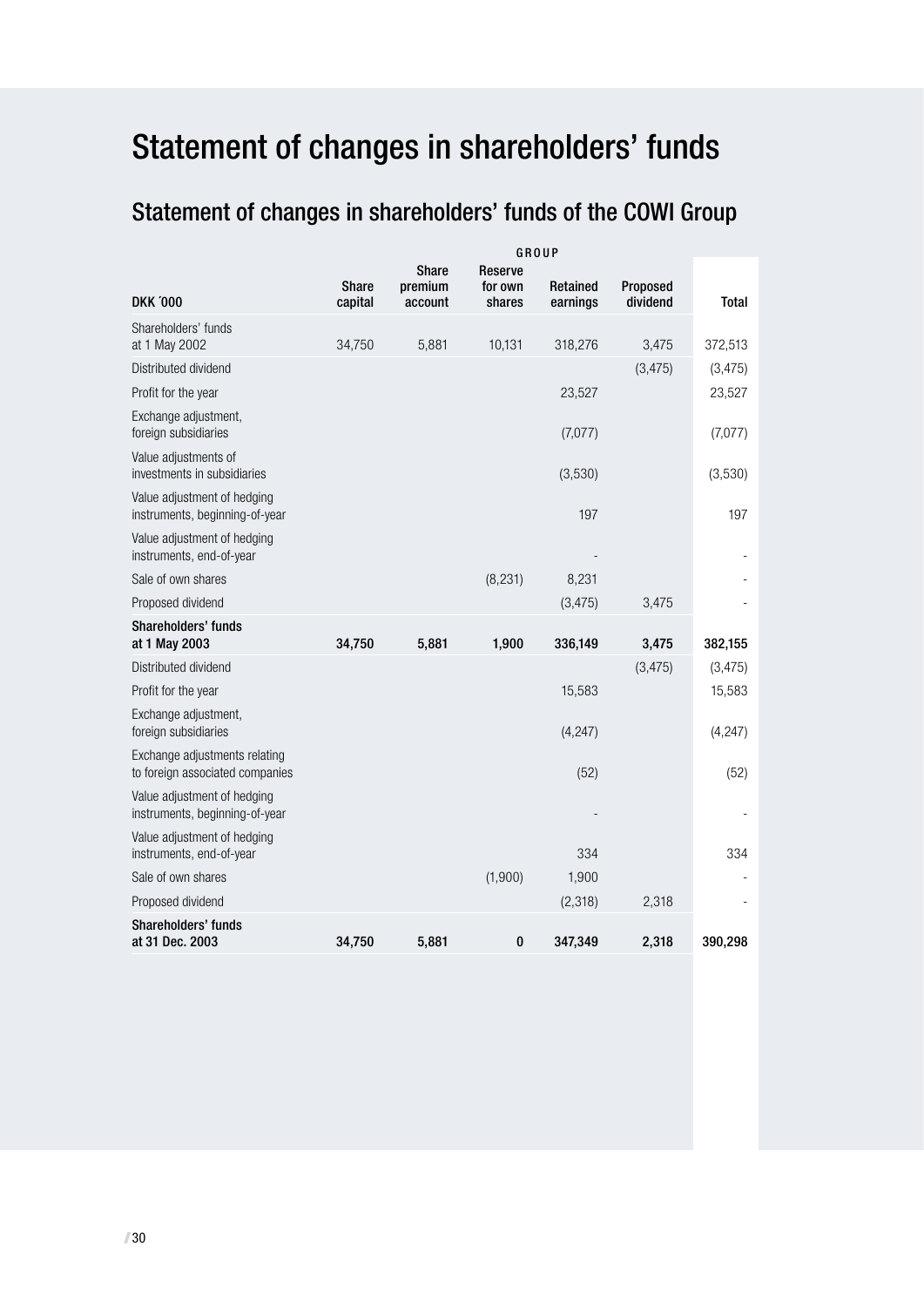# Statement of changes in shareholders' funds

# Statement of changes in shareholders' funds of the COWI Group

|                                                                  | GROUP                   |                             |                                     |                      |                      |              |
|------------------------------------------------------------------|-------------------------|-----------------------------|-------------------------------------|----------------------|----------------------|--------------|
| <b>DKK '000</b>                                                  | <b>Share</b><br>capital | Share<br>premium<br>account | <b>Reserve</b><br>for own<br>shares | Retained<br>earnings | Proposed<br>dividend | <b>Total</b> |
| Shareholders' funds<br>at 1 May 2002                             | 34,750                  | 5,881                       | 10,131                              | 318,276              | 3,475                | 372,513      |
| Distributed dividend                                             |                         |                             |                                     |                      | (3, 475)             | (3, 475)     |
| Profit for the year                                              |                         |                             |                                     | 23,527               |                      | 23,527       |
| Exchange adjustment,<br>foreign subsidiaries                     |                         |                             |                                     | (7,077)              |                      | (7,077)      |
| Value adjustments of<br>investments in subsidiaries              |                         |                             |                                     | (3,530)              |                      | (3,530)      |
| Value adjustment of hedging<br>instruments, beginning-of-year    |                         |                             |                                     | 197                  |                      | 197          |
| Value adjustment of hedging<br>instruments, end-of-year          |                         |                             |                                     |                      |                      |              |
| Sale of own shares                                               |                         |                             | (8, 231)                            | 8,231                |                      |              |
| Proposed dividend                                                |                         |                             |                                     | (3, 475)             | 3,475                |              |
| Shareholders' funds<br>at 1 May 2003                             | 34,750                  | 5,881                       | 1,900                               | 336,149              | 3,475                | 382,155      |
| Distributed dividend                                             |                         |                             |                                     |                      | (3, 475)             | (3, 475)     |
| Profit for the year                                              |                         |                             |                                     | 15,583               |                      | 15,583       |
| Exchange adjustment,<br>foreign subsidiaries                     |                         |                             |                                     | (4, 247)             |                      | (4, 247)     |
| Exchange adjustments relating<br>to foreign associated companies |                         |                             |                                     | (52)                 |                      | (52)         |
| Value adjustment of hedging<br>instruments, beginning-of-year    |                         |                             |                                     |                      |                      |              |
| Value adjustment of hedging<br>instruments, end-of-year          |                         |                             |                                     | 334                  |                      | 334          |
| Sale of own shares                                               |                         |                             | (1,900)                             | 1,900                |                      |              |
| Proposed dividend                                                |                         |                             |                                     | (2,318)              | 2,318                |              |
| Shareholders' funds<br>at 31 Dec. 2003                           | 34,750                  | 5,881                       | 0                                   | 347,349              | 2,318                | 390,298      |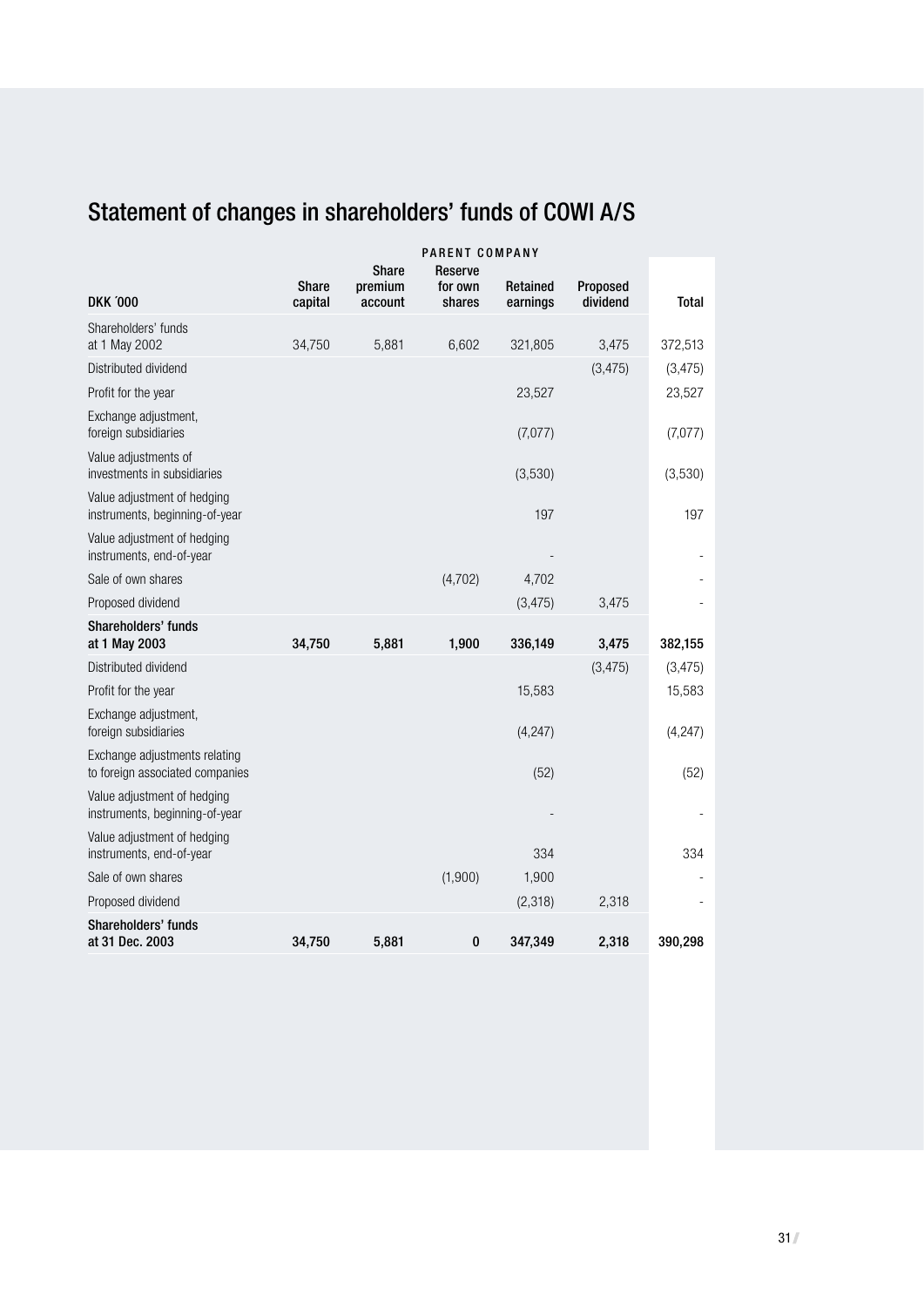# Statement of changes in shareholders' funds of COWI A/S

|                                                                  | PARENT COMPANY          |                                    |                              |                      |                      |              |
|------------------------------------------------------------------|-------------------------|------------------------------------|------------------------------|----------------------|----------------------|--------------|
| <b>DKK '000</b>                                                  | <b>Share</b><br>capital | <b>Share</b><br>premium<br>account | Reserve<br>for own<br>shares | Retained<br>earnings | Proposed<br>dividend | <b>Total</b> |
| Shareholders' funds                                              |                         |                                    |                              |                      |                      |              |
| at 1 May 2002                                                    | 34,750                  | 5,881                              | 6,602                        | 321,805              | 3,475                | 372,513      |
| Distributed dividend                                             |                         |                                    |                              |                      | (3, 475)             | (3, 475)     |
| Profit for the year                                              |                         |                                    |                              | 23,527               |                      | 23,527       |
| Exchange adjustment,<br>foreign subsidiaries                     |                         |                                    |                              | (7,077)              |                      | (7,077)      |
| Value adjustments of<br>investments in subsidiaries              |                         |                                    |                              | (3,530)              |                      | (3,530)      |
| Value adjustment of hedging<br>instruments, beginning-of-year    |                         |                                    |                              | 197                  |                      | 197          |
| Value adjustment of hedging<br>instruments, end-of-year          |                         |                                    |                              |                      |                      |              |
| Sale of own shares                                               |                         |                                    | (4,702)                      | 4,702                |                      |              |
| Proposed dividend                                                |                         |                                    |                              | (3, 475)             | 3,475                |              |
| Shareholders' funds<br>at 1 May 2003                             | 34,750                  | 5,881                              | 1,900                        | 336,149              | 3,475                | 382,155      |
| Distributed dividend                                             |                         |                                    |                              |                      | (3, 475)             | (3, 475)     |
| Profit for the year                                              |                         |                                    |                              | 15,583               |                      | 15,583       |
| Exchange adjustment,<br>foreign subsidiaries                     |                         |                                    |                              | (4, 247)             |                      | (4, 247)     |
| Exchange adjustments relating<br>to foreign associated companies |                         |                                    |                              | (52)                 |                      | (52)         |
| Value adjustment of hedging<br>instruments, beginning-of-year    |                         |                                    |                              |                      |                      |              |
| Value adjustment of hedging<br>instruments, end-of-year          |                         |                                    |                              | 334                  |                      | 334          |
| Sale of own shares                                               |                         |                                    | (1,900)                      | 1,900                |                      |              |
| Proposed dividend                                                |                         |                                    |                              | (2,318)              | 2,318                |              |
| Shareholders' funds<br>at 31 Dec. 2003                           | 34,750                  | 5,881                              | 0                            | 347,349              | 2,318                | 390,298      |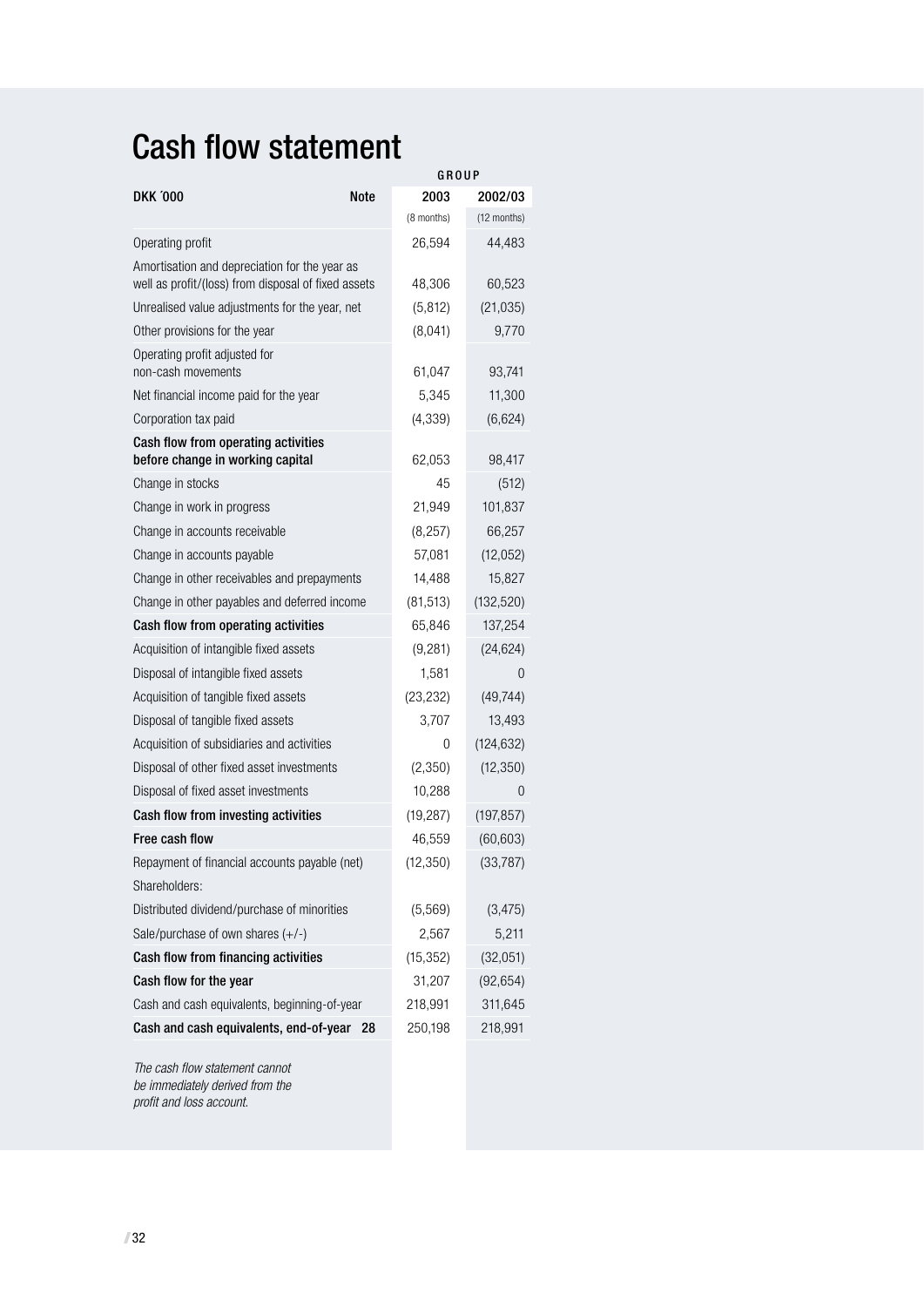# Cash flow statement

|                                                                                                      | GROUP       |            |             |  |
|------------------------------------------------------------------------------------------------------|-------------|------------|-------------|--|
| <b>DKK 000</b>                                                                                       | <b>Note</b> | 2003       | 2002/03     |  |
|                                                                                                      |             | (8 months) | (12 months) |  |
| Operating profit                                                                                     |             | 26,594     | 44,483      |  |
| Amortisation and depreciation for the year as<br>well as profit/(loss) from disposal of fixed assets |             | 48,306     | 60,523      |  |
| Unrealised value adjustments for the year, net                                                       |             | (5, 812)   | (21, 035)   |  |
| Other provisions for the year                                                                        |             | (8,041)    | 9,770       |  |
| Operating profit adjusted for<br>non-cash movements                                                  |             | 61,047     | 93,741      |  |
| Net financial income paid for the year                                                               |             | 5,345      | 11,300      |  |
| Corporation tax paid                                                                                 |             | (4, 339)   | (6,624)     |  |
| Cash flow from operating activities<br>before change in working capital                              |             | 62,053     | 98,417      |  |
| Change in stocks                                                                                     |             | 45         | (512)       |  |
| Change in work in progress                                                                           |             | 21,949     | 101,837     |  |
| Change in accounts receivable                                                                        |             | (8, 257)   | 66,257      |  |
| Change in accounts payable                                                                           |             | 57,081     | (12,052)    |  |
| Change in other receivables and prepayments                                                          |             | 14,488     | 15,827      |  |
| Change in other payables and deferred income                                                         |             | (81, 513)  | (132, 520)  |  |
| Cash flow from operating activities                                                                  |             | 65,846     | 137,254     |  |
| Acquisition of intangible fixed assets                                                               |             | (9,281)    | (24, 624)   |  |
| Disposal of intangible fixed assets                                                                  |             | 1,581      | 0           |  |
| Acquisition of tangible fixed assets                                                                 |             | (23, 232)  | (49, 744)   |  |
| Disposal of tangible fixed assets                                                                    |             | 3,707      | 13,493      |  |
| Acquisition of subsidiaries and activities                                                           |             | 0          | (124, 632)  |  |
| Disposal of other fixed asset investments                                                            |             | (2,350)    | (12, 350)   |  |
| Disposal of fixed asset investments                                                                  |             | 10,288     | $\Omega$    |  |
| Cash flow from investing activities                                                                  |             | (19, 287)  | (197, 857)  |  |
| Free cash flow                                                                                       |             | 46,559     | (60, 603)   |  |
| Repayment of financial accounts payable (net)                                                        |             | (12, 350)  | (33, 787)   |  |
| Shareholders:                                                                                        |             |            |             |  |
| Distributed dividend/purchase of minorities                                                          |             | (5, 569)   | (3, 475)    |  |
| Sale/purchase of own shares $(+/-)$                                                                  |             | 2,567      | 5,211       |  |
| Cash flow from financing activities                                                                  |             | (15, 352)  | (32,051)    |  |
| Cash flow for the year                                                                               |             | 31,207     | (92, 654)   |  |
| Cash and cash equivalents, beginning-of-year                                                         |             | 218,991    | 311,645     |  |
| Cash and cash equivalents, end-of-year 28                                                            |             | 250,198    | 218,991     |  |

The cash flow statement cannot be immediately derived from the profit and loss account.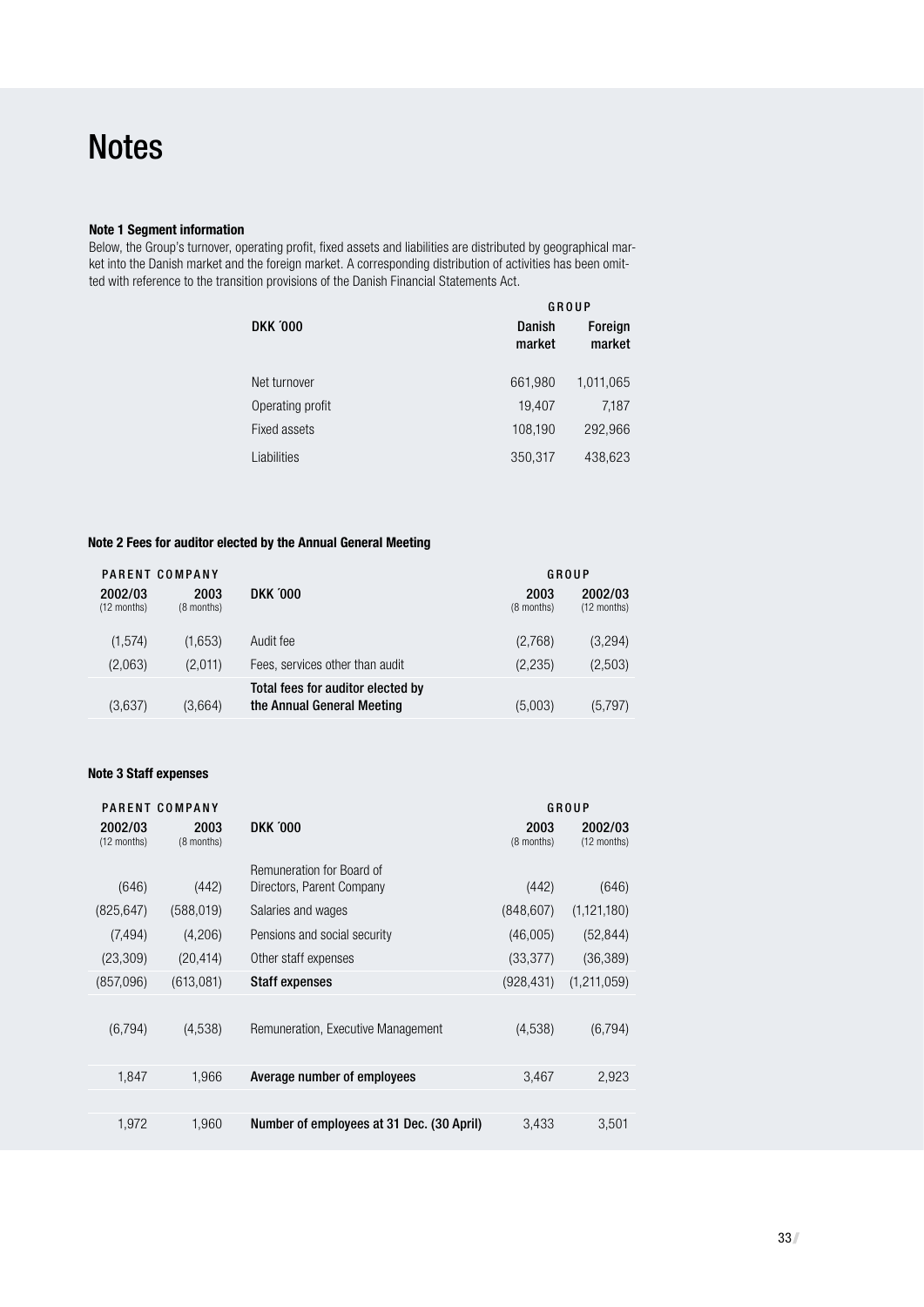#### **Note 1 Segment information**

Below, the Group's turnover, operating profit, fixed assets and liabilities are distributed by geographical market into the Danish market and the foreign market. A corresponding distribution of activities has been omitted with reference to the transition provisions of the Danish Financial Statements Act.

|                  |                  | GROUP             |
|------------------|------------------|-------------------|
| <b>DKK '000</b>  | Danish<br>market | Foreign<br>market |
| Net turnover     | 661,980          | 1,011,065         |
| Operating profit | 19,407           | 7,187             |
| Fixed assets     | 108,190          | 292,966           |
| Liabilities      | 350,317          | 438,623           |

#### **Note 2 Fees for auditor elected by the Annual General Meeting**

|                        | PARENT COMPANY     |                                                                 | GROUP              |                        |
|------------------------|--------------------|-----------------------------------------------------------------|--------------------|------------------------|
| 2002/03<br>(12 months) | 2003<br>(8 months) | <b>DKK '000</b>                                                 | 2003<br>(8 months) | 2002/03<br>(12 months) |
| (1, 574)               | (1,653)            | Audit fee                                                       | (2,768)            | (3,294)                |
| (2,063)                | (2,011)            | Fees, services other than audit                                 | (2,235)            | (2,503)                |
| (3,637)                | (3,664)            | Total fees for auditor elected by<br>the Annual General Meeting | (5,003)            | (5,797)                |

#### **Note 3 Staff expenses**

|                        | PARENT COMPANY     |                                           |                    | GROUP                  |
|------------------------|--------------------|-------------------------------------------|--------------------|------------------------|
| 2002/03<br>(12 months) | 2003<br>(8 months) | <b>DKK '000</b>                           | 2003<br>(8 months) | 2002/03<br>(12 months) |
|                        |                    | Remuneration for Board of                 |                    |                        |
| (646)                  | (442)              | Directors, Parent Company                 | (442)              | (646)                  |
| (825, 647)             | (588, 019)         | Salaries and wages                        | (848, 607)         | (1, 121, 180)          |
| (7, 494)               | (4,206)            | Pensions and social security              | (46,005)           | (52, 844)              |
| (23, 309)              | (20, 414)          | Other staff expenses                      | (33, 377)          | (36, 389)              |
| (857,096)              | (613,081)          | <b>Staff expenses</b>                     | (928, 431)         | (1,211,059)            |
|                        |                    |                                           |                    |                        |
| (6,794)                | (4,538)            | Remuneration, Executive Management        | (4,538)            | (6,794)                |
|                        |                    |                                           |                    |                        |
| 1,847                  | 1,966              | Average number of employees               | 3,467              | 2,923                  |
|                        |                    |                                           |                    |                        |
| 1,972                  | 1,960              | Number of employees at 31 Dec. (30 April) | 3,433              | 3,501                  |
|                        |                    |                                           |                    |                        |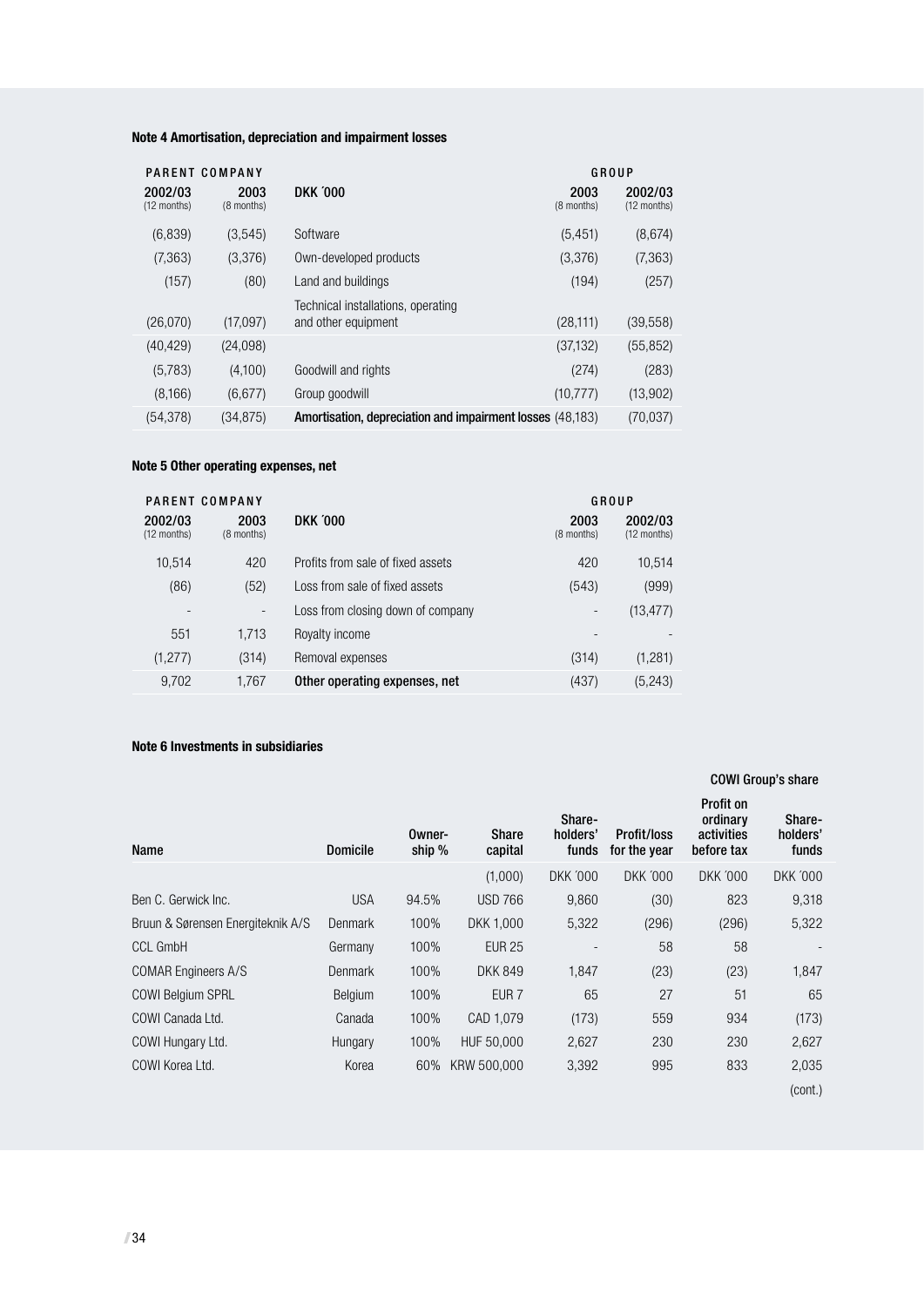## **Note 4 Amortisation, depreciation and impairment losses**

|                        | PARENT COMPANY     |                                                           |                    | GROUP                    |
|------------------------|--------------------|-----------------------------------------------------------|--------------------|--------------------------|
| 2002/03<br>(12 months) | 2003<br>(8 months) | <b>DKK '000</b>                                           | 2003<br>(8 months) | 2002/03<br>$(12$ months) |
| (6,839)                | (3,545)            | Software                                                  | (5, 451)           | (8,674)                  |
| (7, 363)               | (3,376)            | Own-developed products                                    | (3,376)            | (7, 363)                 |
| (157)                  | (80)               | Land and buildings                                        | (194)              | (257)                    |
|                        |                    | Technical installations, operating                        |                    |                          |
| (26,070)               | (17,097)           | and other equipment                                       | (28, 111)          | (39, 558)                |
| (40, 429)              | (24,098)           |                                                           | (37, 132)          | (55, 852)                |
| (5,783)                | (4,100)            | Goodwill and rights                                       | (274)              | (283)                    |
| (8,166)                | (6,677)            | Group goodwill                                            | (10, 777)          | (13,902)                 |
| (54, 378)              | (34, 875)          | Amortisation, depreciation and impairment losses (48,183) |                    | (70,037)                 |

#### **Note 5 Other operating expenses, net**

|                        | PARENT COMPANY           |                                   |                              | GROUP                  |
|------------------------|--------------------------|-----------------------------------|------------------------------|------------------------|
| 2002/03<br>(12 months) | 2003<br>(8 months)       | <b>DKK 000</b>                    | 2003<br>(8 months)           | 2002/03<br>(12 months) |
| 10.514                 | 420                      | Profits from sale of fixed assets | 420                          | 10,514                 |
| (86)                   | (52)                     | Loss from sale of fixed assets    | (543)                        | (999)                  |
|                        | $\overline{\phantom{a}}$ | Loss from closing down of company | $\qquad \qquad \blacksquare$ | (13, 477)              |
| 551                    | 1,713                    | Royalty income                    |                              |                        |
| (1, 277)               | (314)                    | Removal expenses                  | (314)                        | (1,281)                |
| 9,702                  | 1,767                    | Other operating expenses, net     | (437)                        | (5, 243)               |

#### **Note 6 Investments in subsidiaries**

|                                   |                 |                  |                         |                             |                             |                                                   | <b>COWI Group's share</b>   |
|-----------------------------------|-----------------|------------------|-------------------------|-----------------------------|-----------------------------|---------------------------------------------------|-----------------------------|
| Name                              | <b>Domicile</b> | Owner-<br>ship % | <b>Share</b><br>capital | Share-<br>holders'<br>funds | Profit/loss<br>for the year | Profit on<br>ordinary<br>activities<br>before tax | Share-<br>holders'<br>funds |
|                                   |                 |                  | (1,000)                 | <b>DKK '000</b>             | <b>DKK '000</b>             | <b>DKK '000</b>                                   | <b>DKK '000</b>             |
| Ben C. Gerwick Inc.               | <b>USA</b>      | 94.5%            | <b>USD 766</b>          | 9,860                       | (30)                        | 823                                               | 9,318                       |
| Bruun & Sørensen Energiteknik A/S | Denmark         | 100%             | DKK 1,000               | 5,322                       | (296)                       | (296)                                             | 5,322                       |
| <b>CCL GmbH</b>                   | Germany         | 100%             | <b>EUR 25</b>           |                             | 58                          | 58                                                |                             |
| <b>COMAR Engineers A/S</b>        | Denmark         | 100%             | <b>DKK 849</b>          | 1,847                       | (23)                        | (23)                                              | 1,847                       |
| <b>COWI Belgium SPRL</b>          | <b>Belgium</b>  | 100%             | EUR <sub>7</sub>        | 65                          | 27                          | 51                                                | 65                          |
| COWI Canada Ltd.                  | Canada          | 100%             | CAD 1,079               | (173)                       | 559                         | 934                                               | (173)                       |
| COWI Hungary Ltd.                 | Hungary         | 100%             | HUF 50,000              | 2,627                       | 230                         | 230                                               | 2,627                       |
| COWI Korea Ltd.                   | Korea           | 60%              | KRW 500,000             | 3,392                       | 995                         | 833                                               | 2,035                       |
|                                   |                 |                  |                         |                             |                             |                                                   | (cont.)                     |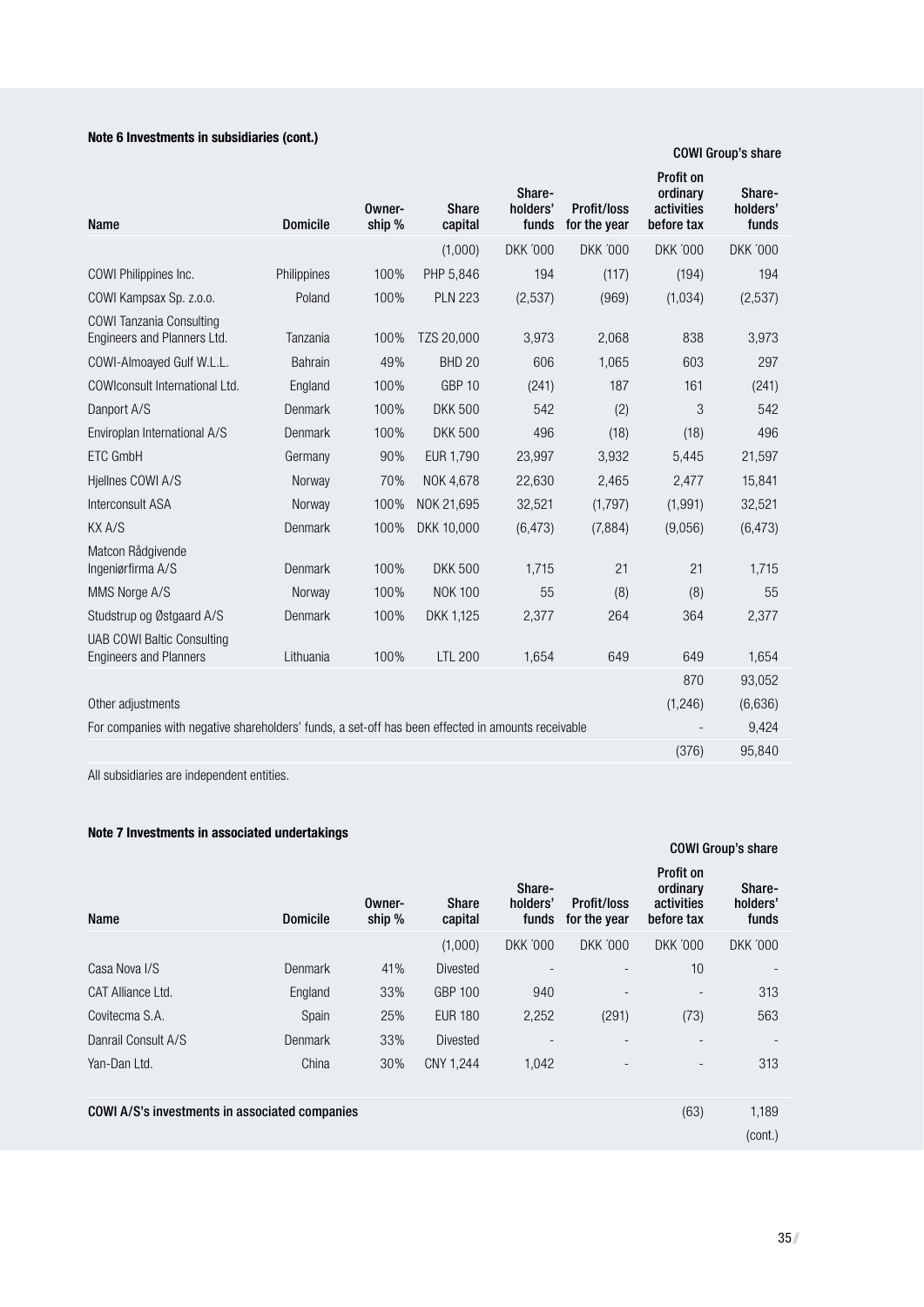## **Note 6 Investments in subsidiaries (cont.)**

COWI Group's share

| Name                                                                                               | <b>Domicile</b> | Owner-<br>ship % | <b>Share</b><br>capital | Share-<br>holders'<br>funds | Profit/loss<br>for the year | Profit on<br>ordinary<br>activities<br>before tax | Share-<br>holders'<br>funds |
|----------------------------------------------------------------------------------------------------|-----------------|------------------|-------------------------|-----------------------------|-----------------------------|---------------------------------------------------|-----------------------------|
|                                                                                                    |                 |                  | (1,000)                 | <b>DKK '000</b>             | <b>DKK '000</b>             | <b>DKK '000</b>                                   | <b>DKK '000</b>             |
| COWI Philippines Inc.                                                                              | Philippines     | 100%             | PHP 5,846               | 194                         | (117)                       | (194)                                             | 194                         |
| COWI Kampsax Sp. z.o.o.                                                                            | Poland          | 100%             | <b>PLN 223</b>          | (2,537)                     | (969)                       | (1,034)                                           | (2,537)                     |
| <b>COWI Tanzania Consulting</b><br>Engineers and Planners Ltd.                                     | Tanzania        | 100%             | TZS 20,000              | 3.973                       | 2.068                       | 838                                               | 3.973                       |
| COWI-Almoayed Gulf W.L.L.                                                                          | <b>Bahrain</b>  | 49%              | <b>BHD 20</b>           | 606                         | 1.065                       | 603                                               | 297                         |
| COWIconsult International Ltd.                                                                     | England         | 100%             | GBP <sub>10</sub>       | (241)                       | 187                         | 161                                               | (241)                       |
| Danport A/S                                                                                        | Denmark         | 100%             | <b>DKK 500</b>          | 542                         | (2)                         | 3                                                 | 542                         |
| Enviroplan International A/S                                                                       | Denmark         | 100%             | <b>DKK 500</b>          | 496                         | (18)                        | (18)                                              | 496                         |
| ETC GmbH                                                                                           | Germany         | 90%              | EUR 1,790               | 23,997                      | 3,932                       | 5,445                                             | 21,597                      |
| Hjellnes COWI A/S                                                                                  | Norway          | 70%              | NOK 4,678               | 22,630                      | 2,465                       | 2,477                                             | 15,841                      |
| Interconsult ASA                                                                                   | Norway          | 100%             | NOK 21,695              | 32,521                      | (1,797)                     | (1, 991)                                          | 32,521                      |
| KX A/S                                                                                             | Denmark         | 100%             | DKK 10,000              | (6, 473)                    | (7,884)                     | (9,056)                                           | (6, 473)                    |
| Matcon Rådgivende<br>Ingeniørfirma A/S                                                             | Denmark         | 100%             | <b>DKK 500</b>          | 1,715                       | 21                          | 21                                                | 1,715                       |
| MMS Norge A/S                                                                                      | Norway          | 100%             | NOK 100                 | 55                          | (8)                         | (8)                                               | 55                          |
| Studstrup og Østgaard A/S                                                                          | Denmark         | 100%             | DKK 1,125               | 2.377                       | 264                         | 364                                               | 2.377                       |
| <b>UAB COWI Baltic Consulting</b><br><b>Engineers and Planners</b>                                 | Lithuania       | 100%             | <b>LTL 200</b>          | 1,654                       | 649                         | 649                                               | 1,654                       |
|                                                                                                    |                 |                  |                         |                             |                             | 870                                               | 93,052                      |
| Other adjustments                                                                                  |                 |                  |                         |                             |                             | (1,246)                                           | (6,636)                     |
| For companies with negative shareholders' funds, a set-off has been effected in amounts receivable |                 |                  |                         |                             |                             |                                                   | 9,424                       |
|                                                                                                    |                 |                  |                         |                             |                             | (376)                                             | 95,840                      |

All subsidiaries are independent entities.

#### **Note 7 Investments in associated undertakings**

|                                                |                 |                  |                  |                             |                             |                                                   | <b>COWI Group's share</b>   |
|------------------------------------------------|-----------------|------------------|------------------|-----------------------------|-----------------------------|---------------------------------------------------|-----------------------------|
| Name                                           | <b>Domicile</b> | Owner-<br>ship % | Share<br>capital | Share-<br>holders'<br>funds | Profit/loss<br>for the year | Profit on<br>ordinary<br>activities<br>before tax | Share-<br>holders'<br>funds |
|                                                |                 |                  | (1,000)          | <b>DKK '000</b>             | <b>DKK '000</b>             | <b>DKK '000</b>                                   | <b>DKK '000</b>             |
| Casa Nova I/S                                  | Denmark         | 41%              | <b>Divested</b>  |                             |                             | 10                                                |                             |
| CAT Alliance Ltd.                              | England         | 33%              | <b>GBP 100</b>   | 940                         |                             |                                                   | 313                         |
| Covitecma S.A.                                 | Spain           | 25%              | <b>EUR 180</b>   | 2,252                       | (291)                       | (73)                                              | 563                         |
| Danrail Consult A/S                            | <b>Denmark</b>  | 33%              | <b>Divested</b>  |                             |                             |                                                   |                             |
| Yan-Dan Ltd.                                   | China           | 30%              | CNY 1,244        | 1,042                       |                             |                                                   | 313                         |
| COWI A/S's investments in associated companies |                 |                  |                  |                             |                             | (63)                                              | 1,189<br>(cont.)            |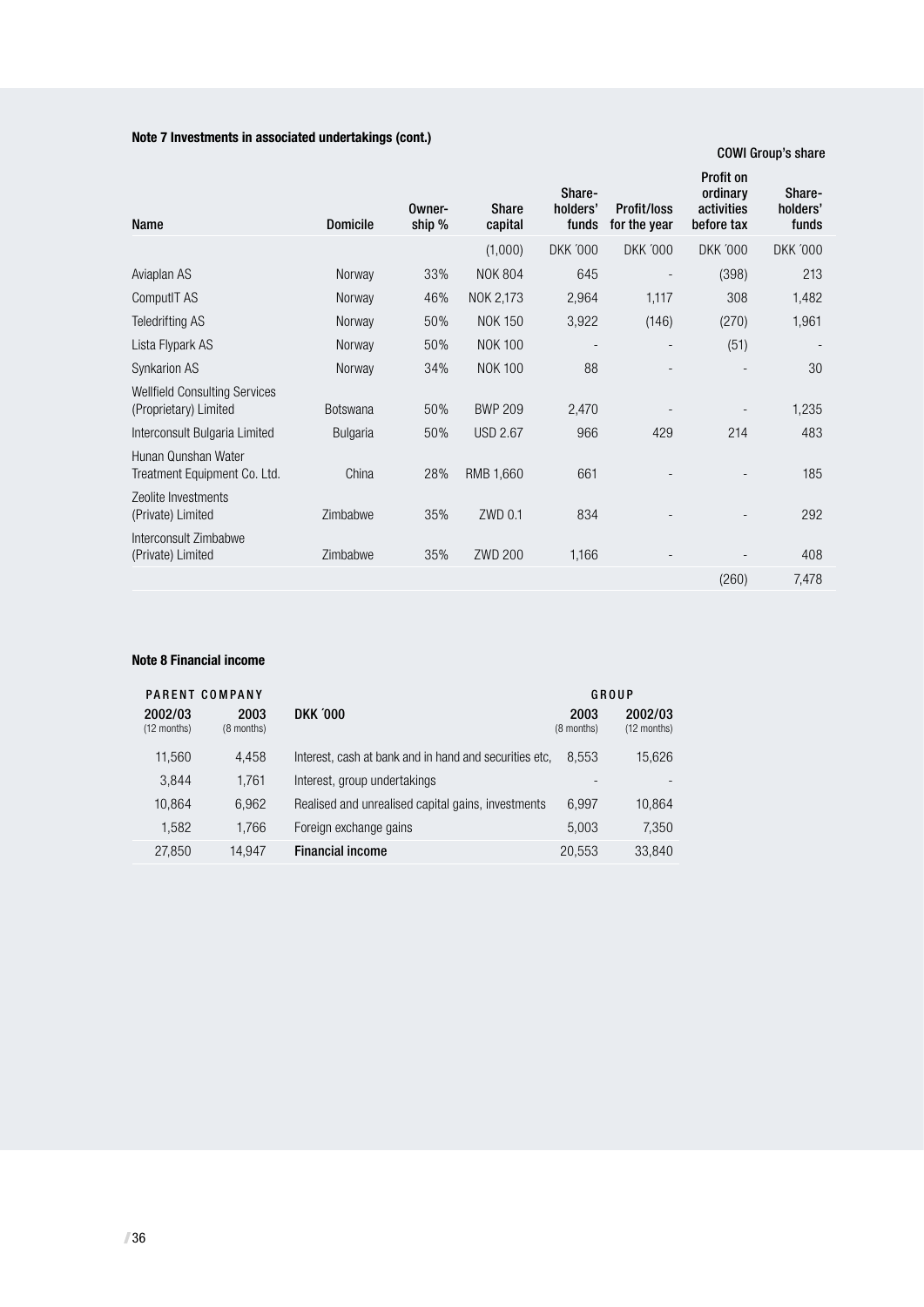#### **Note 7 Investments in associated undertakings (cont.)**

#### COWI Group's share

| Name                                                          | <b>Domicile</b> | Owner-<br>ship % | Share<br>capital | Share-<br>holders'<br>funds | <b>Profit/loss</b><br>for the year | <b>Profit on</b><br>ordinary<br>activities<br>before tax | Share-<br>holders'<br>funds |
|---------------------------------------------------------------|-----------------|------------------|------------------|-----------------------------|------------------------------------|----------------------------------------------------------|-----------------------------|
|                                                               |                 |                  | (1,000)          | <b>DKK '000</b>             | <b>DKK '000</b>                    | <b>DKK '000</b>                                          | <b>DKK '000</b>             |
| Aviaplan AS                                                   | Norway          | 33%              | <b>NOK 804</b>   | 645                         |                                    | (398)                                                    | 213                         |
| ComputIT AS                                                   | Norway          | 46%              | NOK 2,173        | 2,964                       | 1,117                              | 308                                                      | 1,482                       |
| Teledrifting AS                                               | Norway          | 50%              | <b>NOK 150</b>   | 3,922                       | (146)                              | (270)                                                    | 1,961                       |
| Lista Flypark AS                                              | Norway          | 50%              | <b>NOK 100</b>   |                             |                                    | (51)                                                     |                             |
| Synkarion AS                                                  | Norway          | 34%              | <b>NOK 100</b>   | 88                          |                                    |                                                          | 30                          |
| <b>Wellfield Consulting Services</b><br>(Proprietary) Limited | <b>Botswana</b> | 50%              | <b>BWP 209</b>   | 2,470                       |                                    |                                                          | 1,235                       |
| Interconsult Bulgaria Limited                                 | <b>Bulgaria</b> | 50%              | <b>USD 2.67</b>  | 966                         | 429                                | 214                                                      | 483                         |
| Hunan Qunshan Water<br>Treatment Equipment Co. Ltd.           | China           | 28%              | RMB 1,660        | 661                         |                                    |                                                          | 185                         |
| Zeolite Investments<br>(Private) Limited                      | Zimbabwe        | 35%              | ZWD 0.1          | 834                         |                                    |                                                          | 292                         |
| Interconsult Zimbabwe<br>(Private) Limited                    | Zimbabwe        | 35%              | <b>ZWD 200</b>   | 1,166                       |                                    |                                                          | 408                         |
|                                                               |                 |                  |                  |                             |                                    | (260)                                                    | 7,478                       |
|                                                               |                 |                  |                  |                             |                                    |                                                          |                             |

#### **Note 8 Financial income**

|                        | PARENT COMPANY     |                                                        |                    | GROUP                    |
|------------------------|--------------------|--------------------------------------------------------|--------------------|--------------------------|
| 2002/03<br>(12 months) | 2003<br>(8 months) | <b>DKK '000</b>                                        | 2003<br>(8 months) | 2002/03<br>$(12$ months) |
| 11,560                 | 4.458              | Interest, cash at bank and in hand and securities etc. | 8.553              | 15,626                   |
| 3,844                  | 1,761              | Interest, group undertakings                           |                    |                          |
| 10.864                 | 6.962              | Realised and unrealised capital gains, investments     | 6.997              | 10,864                   |
| 1.582                  | 1.766              | Foreign exchange gains                                 | 5.003              | 7,350                    |
| 27,850                 | 14,947             | <b>Financial income</b>                                | 20,553             | 33,840                   |
|                        |                    |                                                        |                    |                          |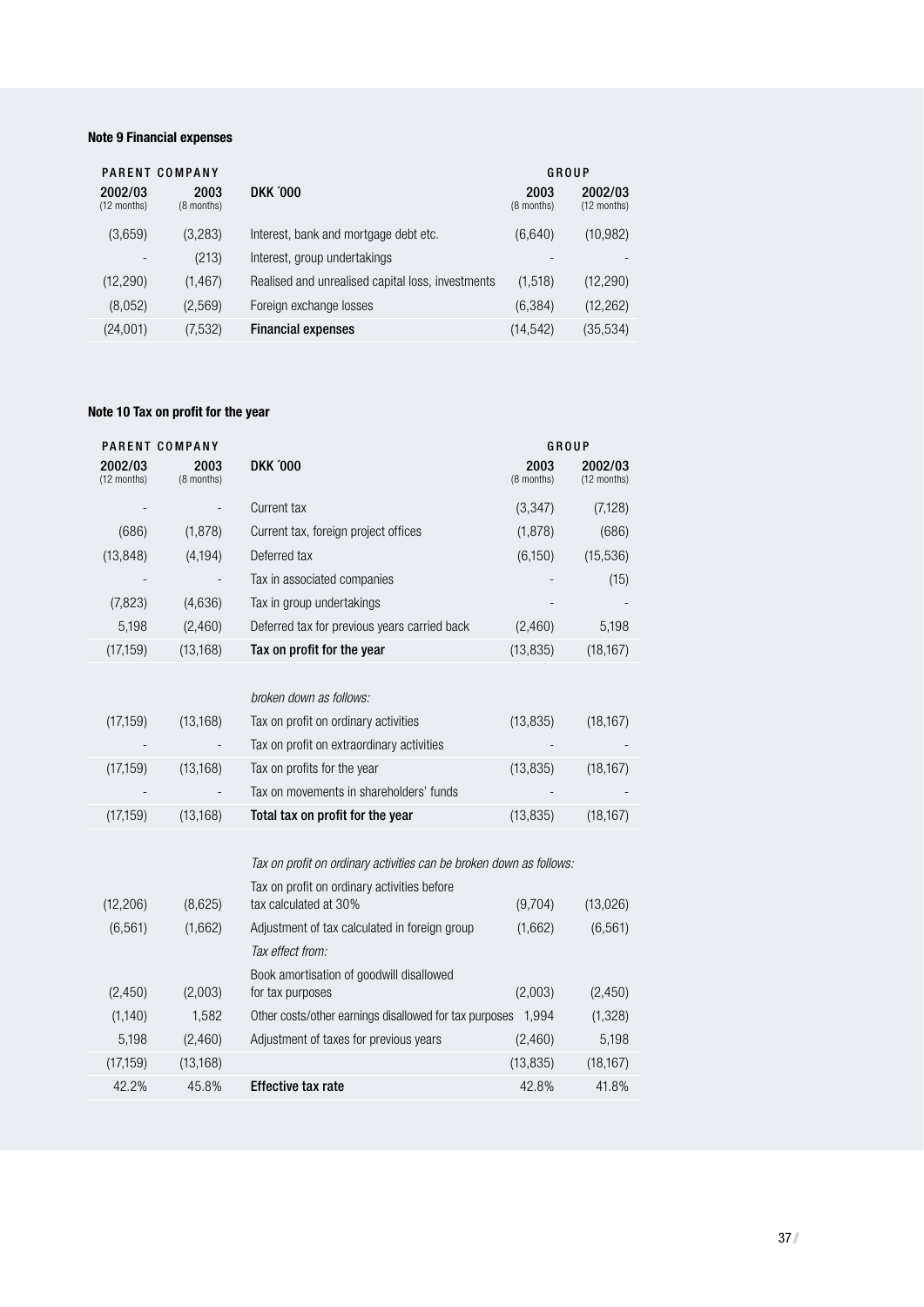#### **Note 9 Financial expenses**

|                          | PARENT COMPANY     |                                                   |                    | GROUP                  |
|--------------------------|--------------------|---------------------------------------------------|--------------------|------------------------|
| 2002/03<br>(12 months)   | 2003<br>(8 months) | <b>DKK '000</b>                                   | 2003<br>(8 months) | 2002/03<br>(12 months) |
| (3,659)                  | (3,283)            | Interest, bank and mortgage debt etc.             | (6,640)            | (10, 982)              |
| $\overline{\phantom{a}}$ | (213)              | Interest, group undertakings                      |                    |                        |
| (12, 290)                | (1, 467)           | Realised and unrealised capital loss, investments | (1,518)            | (12, 290)              |
| (8,052)                  | (2,569)            | Foreign exchange losses                           | (6, 384)           | (12, 262)              |
| (24,001)                 | (7,532)            | <b>Financial expenses</b>                         | (14, 542)          | (35, 534)              |

#### **Note 10 Tax on profit for the year**

|                        | PARENT COMPANY     |                                                                      | GROUP              |                        |
|------------------------|--------------------|----------------------------------------------------------------------|--------------------|------------------------|
| 2002/03<br>(12 months) | 2003<br>(8 months) | <b>DKK '000</b>                                                      | 2003<br>(8 months) | 2002/03<br>(12 months) |
|                        |                    | Current tax                                                          | (3, 347)           | (7, 128)               |
| (686)                  | (1,878)            | Current tax, foreign project offices                                 | (1,878)            | (686)                  |
| (13, 848)              | (4, 194)           | Deferred tax                                                         | (6,150)            | (15, 536)              |
|                        |                    | Tax in associated companies                                          |                    | (15)                   |
| (7,823)                | (4,636)            | Tax in group undertakings                                            |                    |                        |
| 5,198                  | (2,460)            | Deferred tax for previous years carried back                         | (2,460)            | 5,198                  |
| (17, 159)              | (13, 168)          | Tax on profit for the year                                           | (13, 835)          | (18, 167)              |
|                        |                    |                                                                      |                    |                        |
|                        |                    | broken down as follows:                                              |                    |                        |
| (17, 159)              | (13, 168)          | Tax on profit on ordinary activities                                 | (13, 835)          | (18, 167)              |
|                        |                    | Tax on profit on extraordinary activities                            |                    |                        |
| (17, 159)              | (13, 168)          | Tax on profits for the year                                          | (13, 835)          | (18, 167)              |
|                        |                    | Tax on movements in shareholders' funds                              |                    |                        |
| (17, 159)              | (13, 168)          | Total tax on profit for the year                                     | (13, 835)          | (18, 167)              |
|                        |                    |                                                                      |                    |                        |
|                        |                    | Tax on profit on ordinary activities can be broken down as follows:  |                    |                        |
| (12, 206)              | (8,625)            | Tax on profit on ordinary activities before<br>tax calculated at 30% | (9,704)            | (13,026)               |
| (6, 561)               | (1,662)            | Adjustment of tax calculated in foreign group                        | (1,662)            | (6, 561)               |
|                        |                    | Tax effect from:                                                     |                    |                        |
| (2,450)                | (2,003)            | Book amortisation of goodwill disallowed<br>for tax purposes         | (2,003)            | (2,450)                |
| (1, 140)               | 1,582              | Other costs/other earnings disallowed for tax purposes               | 1,994              | (1, 328)               |
| 5,198                  | (2,460)            | Adjustment of taxes for previous years                               | (2,460)            | 5,198                  |
| (17, 159)              | (13, 168)          |                                                                      | (13, 835)          | (18, 167)              |
| 42.2%                  | 45.8%              | <b>Effective tax rate</b>                                            | 42.8%              | 41.8%                  |
|                        |                    |                                                                      |                    |                        |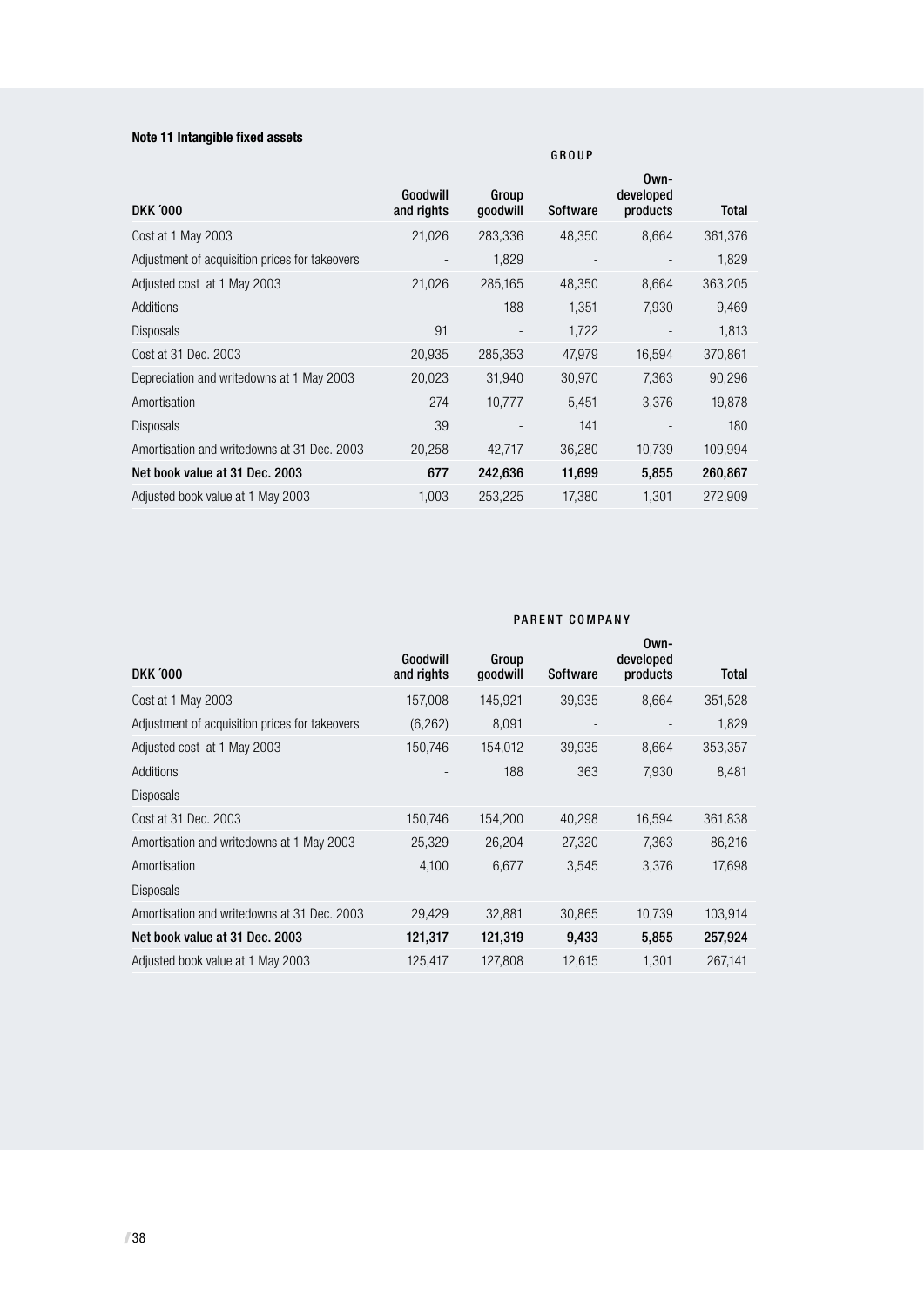#### **Note 11 Intangible fixed assets**

| <b>DKK '000</b>                                | Goodwill<br>and rights | Group<br>qoodwill        | Software | Own-<br>developed<br>products | <b>Total</b> |
|------------------------------------------------|------------------------|--------------------------|----------|-------------------------------|--------------|
| Cost at 1 May 2003                             | 21,026                 | 283,336                  | 48,350   | 8,664                         | 361,376      |
| Adjustment of acquisition prices for takeovers |                        | 1,829                    |          |                               | 1,829        |
| Adjusted cost at 1 May 2003                    | 21,026                 | 285,165                  | 48,350   | 8.664                         | 363,205      |
| Additions                                      |                        | 188                      | 1,351    | 7,930                         | 9,469        |
| <b>Disposals</b>                               | 91                     | $\overline{\phantom{a}}$ | 1.722    |                               | 1.813        |
| Cost at 31 Dec. 2003                           | 20,935                 | 285,353                  | 47,979   | 16,594                        | 370,861      |
| Depreciation and writedowns at 1 May 2003      | 20,023                 | 31,940                   | 30,970   | 7,363                         | 90,296       |
| Amortisation                                   | 274                    | 10,777                   | 5.451    | 3,376                         | 19,878       |
| Disposals                                      | 39                     |                          | 141      |                               | 180          |
| Amortisation and writedowns at 31 Dec. 2003    | 20,258                 | 42,717                   | 36,280   | 10,739                        | 109,994      |
| Net book value at 31 Dec. 2003                 | 677                    | 242,636                  | 11,699   | 5,855                         | 260,867      |
| Adjusted book value at 1 May 2003              | 1,003                  | 253,225                  | 17,380   | 1,301                         | 272,909      |

|                                                | PARENT COMPANY         |                   |                 |                               |              |  |
|------------------------------------------------|------------------------|-------------------|-----------------|-------------------------------|--------------|--|
| <b>DKK '000</b>                                | Goodwill<br>and rights | Group<br>goodwill | <b>Software</b> | Own-<br>developed<br>products | <b>Total</b> |  |
| Cost at 1 May 2003                             | 157,008                | 145,921           | 39,935          | 8,664                         | 351,528      |  |
| Adjustment of acquisition prices for takeovers | (6, 262)               | 8,091             |                 |                               | 1,829        |  |
| Adjusted cost at 1 May 2003                    | 150,746                | 154,012           | 39,935          | 8,664                         | 353,357      |  |
| Additions                                      |                        | 188               | 363             | 7,930                         | 8,481        |  |
| <b>Disposals</b>                               |                        |                   |                 |                               |              |  |
| Cost at 31 Dec. 2003                           | 150,746                | 154,200           | 40,298          | 16,594                        | 361,838      |  |
| Amortisation and writedowns at 1 May 2003      | 25,329                 | 26,204            | 27,320          | 7,363                         | 86,216       |  |
| Amortisation                                   | 4,100                  | 6,677             | 3,545           | 3,376                         | 17,698       |  |
| <b>Disposals</b>                               |                        |                   |                 |                               |              |  |
| Amortisation and writedowns at 31 Dec. 2003    | 29,429                 | 32,881            | 30,865          | 10,739                        | 103,914      |  |
| Net book value at 31 Dec. 2003                 | 121,317                | 121,319           | 9,433           | 5,855                         | 257,924      |  |
| Adjusted book value at 1 May 2003              | 125,417                | 127,808           | 12,615          | 1,301                         | 267.141      |  |

G R O U P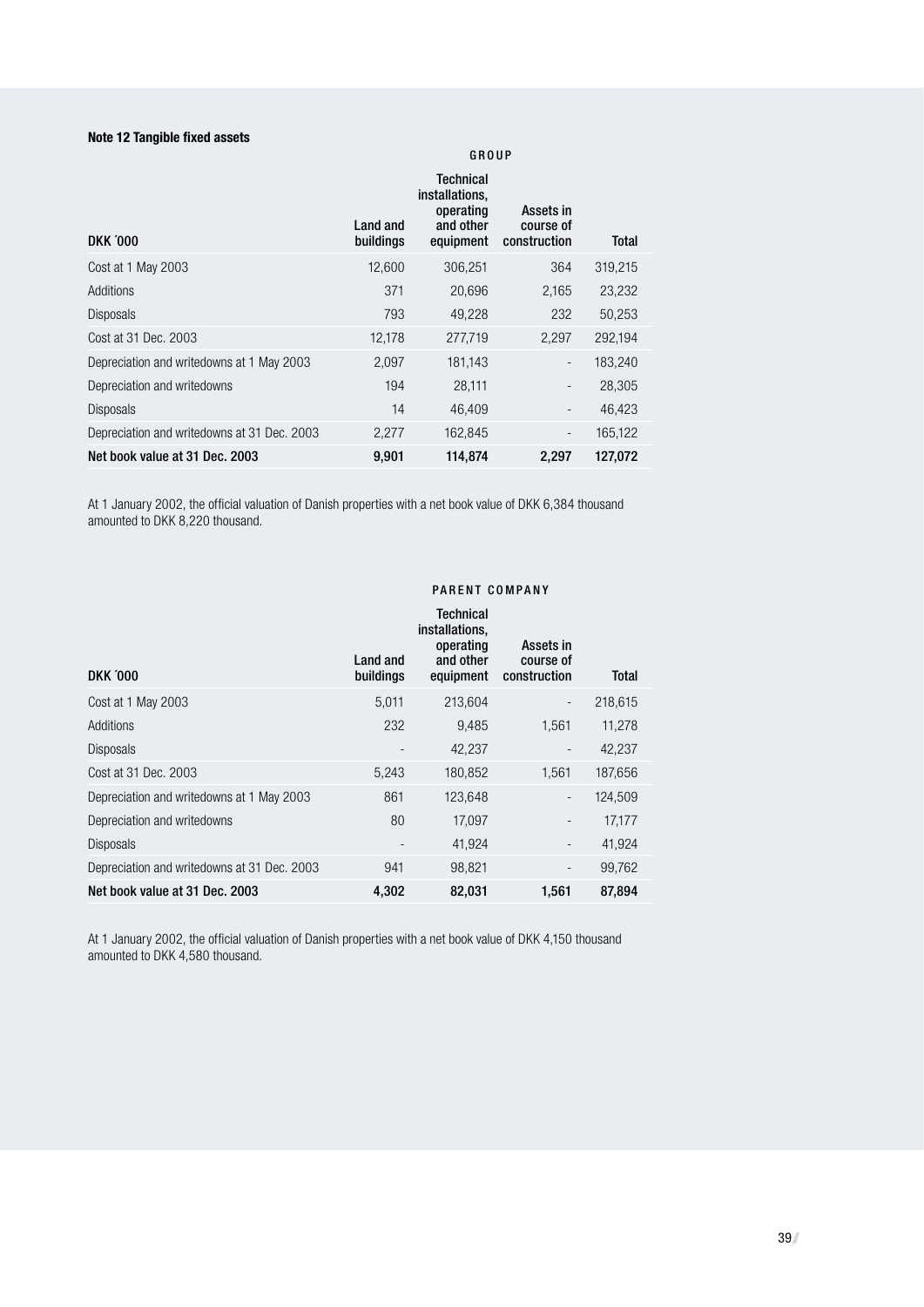#### **Note 12 Tangible fixed assets**

### **Technical** installations, operating Assets in<br>and other course of Land and and other<br>buildings equipment DKK '000 **buildings** equipment construction Total Cost at 1 May 2003 12,600 306,251 364 319,215 Additions 371 20,696 2,165 23,232 Disposals 793 49,228 232 50,253 Cost at 31 Dec. 2003 12,178 277,719 2,297 292,194 Depreciation and writedowns at 1 May 2003 2,097 181,143 - 183,240 Depreciation and writedowns 194 28,111 - 28,305 Disposals 14 46,409 - 46,423 Depreciation and writedowns at 31 Dec. 2003 2,277 162,845 - 165,122 Net book value at 31 Dec. 2003 9,901 114,874 2,297 127,072

At 1 January 2002, the official valuation of Danish properties with a net book value of DKK 6,384 thousand amounted to DKK 8,220 thousand.

#### PARENT COMPANY

**GROUP** 

| <b>DKK '000</b>                             | Land and<br>buildings | Technical<br>installations,<br>operating<br>and other<br>equipment | Assets in<br>course of<br>construction | Total   |
|---------------------------------------------|-----------------------|--------------------------------------------------------------------|----------------------------------------|---------|
| Cost at 1 May 2003                          | 5,011                 | 213.604                                                            | $\overline{\phantom{m}}$               | 218.615 |
| Additions                                   | 232                   | 9,485                                                              | 1,561                                  | 11,278  |
| <b>Disposals</b>                            |                       | 42,237                                                             |                                        | 42,237  |
| Cost at 31 Dec. 2003                        | 5,243                 | 180,852                                                            | 1,561                                  | 187,656 |
| Depreciation and writedowns at 1 May 2003   | 861                   | 123,648                                                            | -                                      | 124,509 |
| Depreciation and writedowns                 | 80                    | 17.097                                                             | $\qquad \qquad -$                      | 17,177  |
| <b>Disposals</b>                            |                       | 41,924                                                             | $\qquad \qquad \blacksquare$           | 41,924  |
| Depreciation and writedowns at 31 Dec. 2003 | 941                   | 98.821                                                             | $\overline{\phantom{m}}$               | 99.762  |
| Net book value at 31 Dec. 2003              | 4,302                 | 82,031                                                             | 1,561                                  | 87,894  |

At 1 January 2002, the official valuation of Danish properties with a net book value of DKK 4,150 thousand amounted to DKK 4,580 thousand.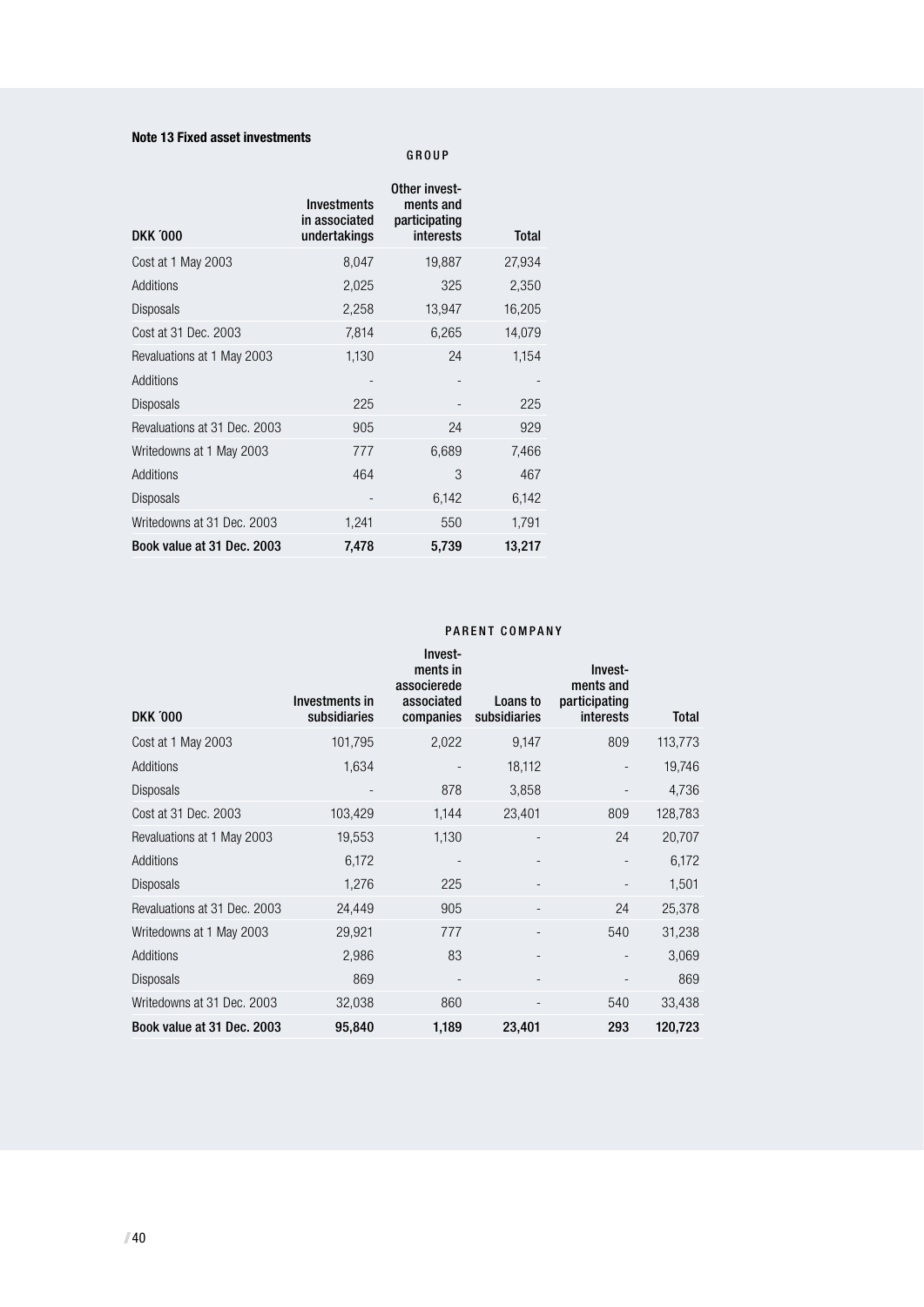#### **Note 13 Fixed asset investments**

#### G R O U P

|                              | <b>Investments</b><br>in associated | Other invest-<br>ments and<br>participating |              |
|------------------------------|-------------------------------------|---------------------------------------------|--------------|
| <b>DKK '000</b>              | undertakings                        | interests                                   | <b>Total</b> |
| Cost at 1 May 2003           | 8,047                               | 19,887                                      | 27,934       |
| Additions                    | 2,025                               | 325                                         | 2,350        |
| <b>Disposals</b>             | 2,258                               | 13,947                                      | 16,205       |
| Cost at 31 Dec. 2003         | 7,814                               | 6,265                                       | 14,079       |
| Revaluations at 1 May 2003   | 1,130                               | 24                                          | 1,154        |
| Additions                    |                                     |                                             |              |
| Disposals                    | 225                                 |                                             | 225          |
| Revaluations at 31 Dec. 2003 | 905                                 | 24                                          | 929          |
| Writedowns at 1 May 2003     | 777                                 | 6,689                                       | 7,466        |
| Additions                    | 464                                 | 3                                           | 467          |
| <b>Disposals</b>             |                                     | 6,142                                       | 6,142        |
| Writedowns at 31 Dec. 2003   | 1,241                               | 550                                         | 1,791        |
| Book value at 31 Dec. 2003   | 7,478                               | 5,739                                       | 13,217       |

#### PARENT COMPANY

| <b>DKK '000</b>              | Investments in<br>subsidiaries | Invest-<br>ments in<br>associerede<br>associated<br>companies | Loans to<br>subsidiaries | Invest-<br>ments and<br>participating<br><i>interests</i> | <b>Total</b> |
|------------------------------|--------------------------------|---------------------------------------------------------------|--------------------------|-----------------------------------------------------------|--------------|
| Cost at 1 May 2003           | 101,795                        | 2,022                                                         | 9,147                    | 809                                                       | 113,773      |
| Additions                    | 1,634                          |                                                               | 18,112                   |                                                           | 19,746       |
| <b>Disposals</b>             |                                | 878                                                           | 3,858                    |                                                           | 4,736        |
| Cost at 31 Dec. 2003         | 103,429                        | 1,144                                                         | 23,401                   | 809                                                       | 128,783      |
| Revaluations at 1 May 2003   | 19,553                         | 1,130                                                         | ٠                        | 24                                                        | 20,707       |
| <b>Additions</b>             | 6,172                          |                                                               |                          |                                                           | 6,172        |
| <b>Disposals</b>             | 1,276                          | 225                                                           |                          |                                                           | 1,501        |
| Revaluations at 31 Dec. 2003 | 24,449                         | 905                                                           |                          | 24                                                        | 25,378       |
| Writedowns at 1 May 2003     | 29,921                         | 777                                                           |                          | 540                                                       | 31,238       |
| Additions                    | 2,986                          | 83                                                            |                          |                                                           | 3,069        |
| <b>Disposals</b>             | 869                            |                                                               |                          |                                                           | 869          |
| Writedowns at 31 Dec. 2003   | 32,038                         | 860                                                           |                          | 540                                                       | 33,438       |
| Book value at 31 Dec. 2003   | 95,840                         | 1,189                                                         | 23,401                   | 293                                                       | 120,723      |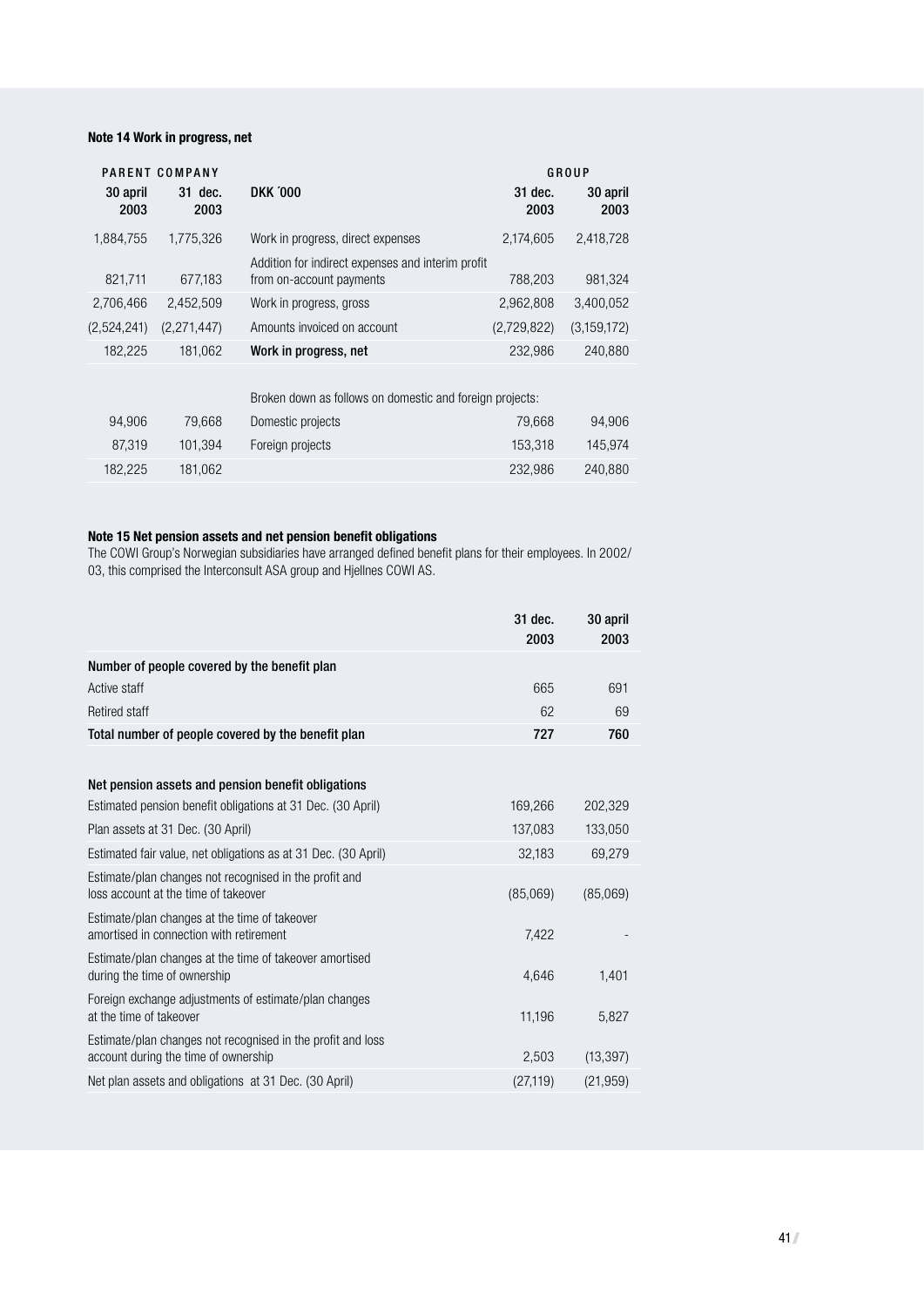#### **Note 14 Work in progress, net**

|                  | PARENT COMPANY  |                                                                               |                 | GROUP            |
|------------------|-----------------|-------------------------------------------------------------------------------|-----------------|------------------|
| 30 april<br>2003 | 31 dec.<br>2003 | <b>DKK '000</b>                                                               | 31 dec.<br>2003 | 30 april<br>2003 |
| 1,884,755        | 1.775.326       | Work in progress, direct expenses                                             | 2,174,605       | 2,418,728        |
| 821,711          | 677,183         | Addition for indirect expenses and interim profit<br>from on-account payments | 788,203         | 981,324          |
| 2,706,466        | 2,452,509       | Work in progress, gross                                                       | 2,962,808       | 3,400,052        |
| (2,524,241)      | (2,271,447)     | Amounts invoiced on account                                                   | (2,729,822)     | (3,159,172)      |
| 182,225          | 181,062         | Work in progress, net                                                         | 232,986         | 240,880          |
|                  |                 | Broken down as follows on domestic and foreign projects:                      |                 |                  |
| 94,906           | 79,668          | Domestic projects                                                             | 79,668          | 94,906           |
| 87,319           | 101.394         | Foreign projects                                                              | 153.318         | 145.974          |

#### **Note 15 Net pension assets and net pension benefit obligations**

The COWI Group's Norwegian subsidiaries have arranged defined benefit plans for their employees. In 2002/ 03, this comprised the Interconsult ASA group and Hjellnes COWI AS.

182,225 181,062 232,986 240,880

|                                                                                                     | 31 dec.<br>2003 | 30 april<br>2003 |
|-----------------------------------------------------------------------------------------------------|-----------------|------------------|
| Number of people covered by the benefit plan                                                        |                 |                  |
| Active staff                                                                                        | 665             | 691              |
| <b>Retired staff</b>                                                                                | 62              | 69               |
| Total number of people covered by the benefit plan                                                  | 727             | 760              |
|                                                                                                     |                 |                  |
| Net pension assets and pension benefit obligations                                                  |                 |                  |
| Estimated pension benefit obligations at 31 Dec. (30 April)                                         | 169,266         | 202,329          |
| Plan assets at 31 Dec. (30 April)                                                                   | 137,083         | 133,050          |
| Estimated fair value, net obligations as at 31 Dec. (30 April)                                      | 32,183          | 69,279           |
| Estimate/plan changes not recognised in the profit and<br>loss account at the time of takeover      | (85,069)        | (85,069)         |
| Estimate/plan changes at the time of takeover<br>amortised in connection with retirement            | 7,422           |                  |
| Estimate/plan changes at the time of takeover amortised<br>during the time of ownership             | 4,646           | 1,401            |
| Foreign exchange adjustments of estimate/plan changes<br>at the time of takeover                    | 11,196          | 5,827            |
| Estimate/plan changes not recognised in the profit and loss<br>account during the time of ownership | 2,503           | (13, 397)        |
| Net plan assets and obligations at 31 Dec. (30 April)                                               | (27, 119)       | (21, 959)        |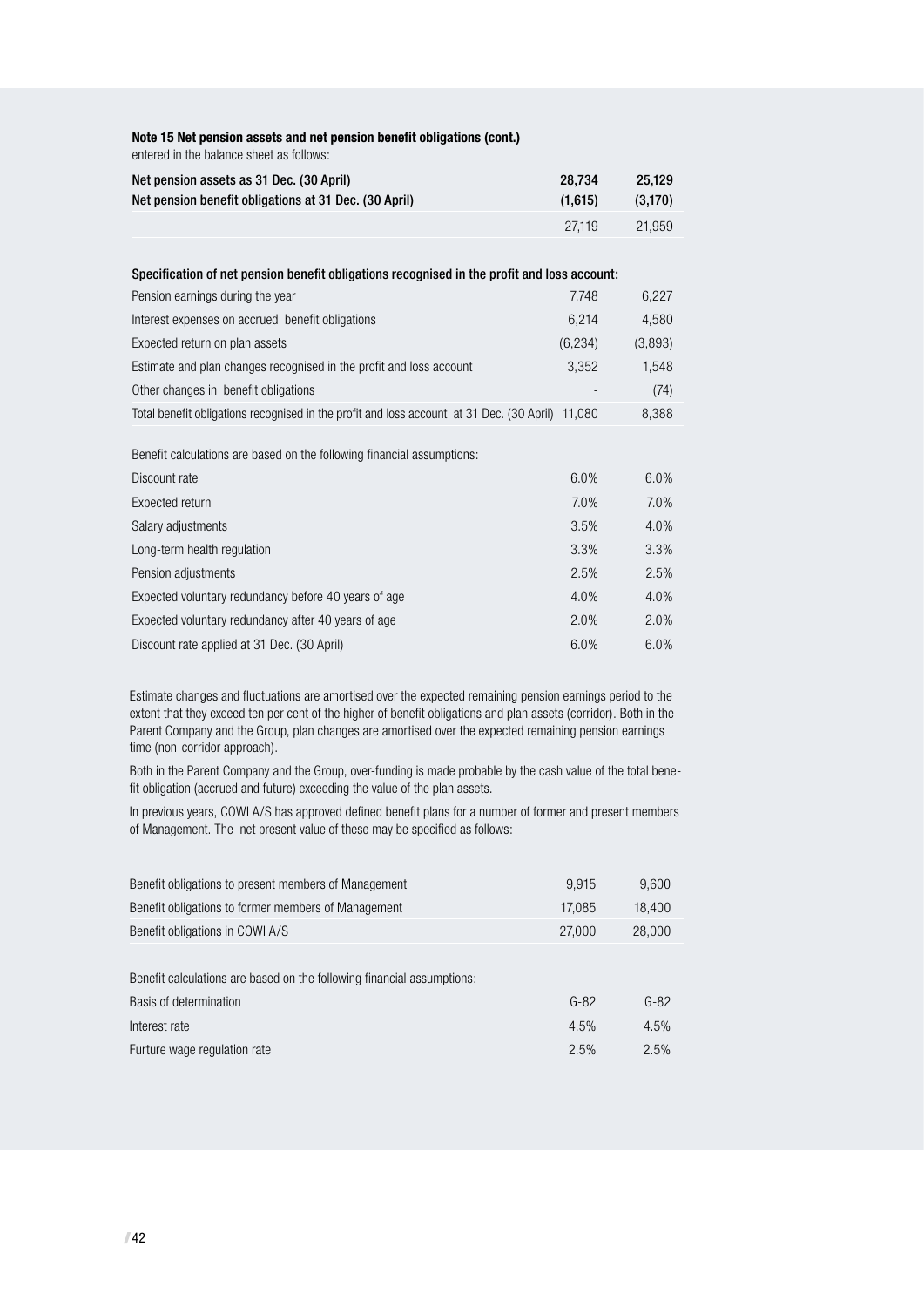| entered in the balance sheet as follows:                                                         |          |          |
|--------------------------------------------------------------------------------------------------|----------|----------|
| Net pension assets as 31 Dec. (30 April)                                                         | 28,734   | 25,129   |
| Net pension benefit obligations at 31 Dec. (30 April)                                            | (1,615)  | (3, 170) |
|                                                                                                  | 27,119   | 21,959   |
|                                                                                                  |          |          |
| Specification of net pension benefit obligations recognised in the profit and loss account:      |          |          |
| Pension earnings during the year                                                                 | 7,748    | 6,227    |
| Interest expenses on accrued benefit obligations                                                 | 6,214    | 4,580    |
| Expected return on plan assets                                                                   | (6, 234) | (3,893)  |
| Estimate and plan changes recognised in the profit and loss account                              | 3,352    | 1,548    |
| Other changes in benefit obligations                                                             |          | (74)     |
| Total benefit obligations recognised in the profit and loss account at 31 Dec. (30 April) 11,080 |          | 8,388    |
|                                                                                                  |          |          |
| Benefit calculations are based on the following financial assumptions:                           |          |          |
| Discount rate                                                                                    | 6.0%     | 6.0%     |
| Expected return                                                                                  | 7.0%     | 7.0%     |
| Salary adjustments                                                                               | 3.5%     | 4.0%     |
| Long-term health regulation                                                                      | 3.3%     | 3.3%     |
| Pension adjustments                                                                              | 2.5%     | 2.5%     |
| Expected voluntary redundancy before 40 years of age                                             | 4.0%     | 4.0%     |
| Expected voluntary redundancy after 40 years of age                                              | 2.0%     | 2.0%     |
| Discount rate applied at 31 Dec. (30 April)                                                      | 6.0%     | 6.0%     |

**Note 15 Net pension assets and net pension benefit obligations (cont.)**

Estimate changes and fluctuations are amortised over the expected remaining pension earnings period to the extent that they exceed ten per cent of the higher of benefit obligations and plan assets (corridor). Both in the Parent Company and the Group, plan changes are amortised over the expected remaining pension earnings time (non-corridor approach).

Both in the Parent Company and the Group, over-funding is made probable by the cash value of the total benefit obligation (accrued and future) exceeding the value of the plan assets.

In previous years, COWI A/S has approved defined benefit plans for a number of former and present members of Management. The net present value of these may be specified as follows:

| Benefit obligations to present members of Management                   | 9.915  | 9,600  |
|------------------------------------------------------------------------|--------|--------|
| Benefit obligations to former members of Management                    | 17,085 | 18,400 |
| Benefit obligations in COWI A/S                                        | 27,000 | 28,000 |
|                                                                        |        |        |
| Benefit calculations are based on the following financial assumptions: |        |        |
| Basis of determination                                                 | $G-82$ | $G-82$ |
| Interest rate                                                          | 4.5%   | 4.5%   |
| Furture wage regulation rate                                           | 2.5%   | 2.5%   |
|                                                                        |        |        |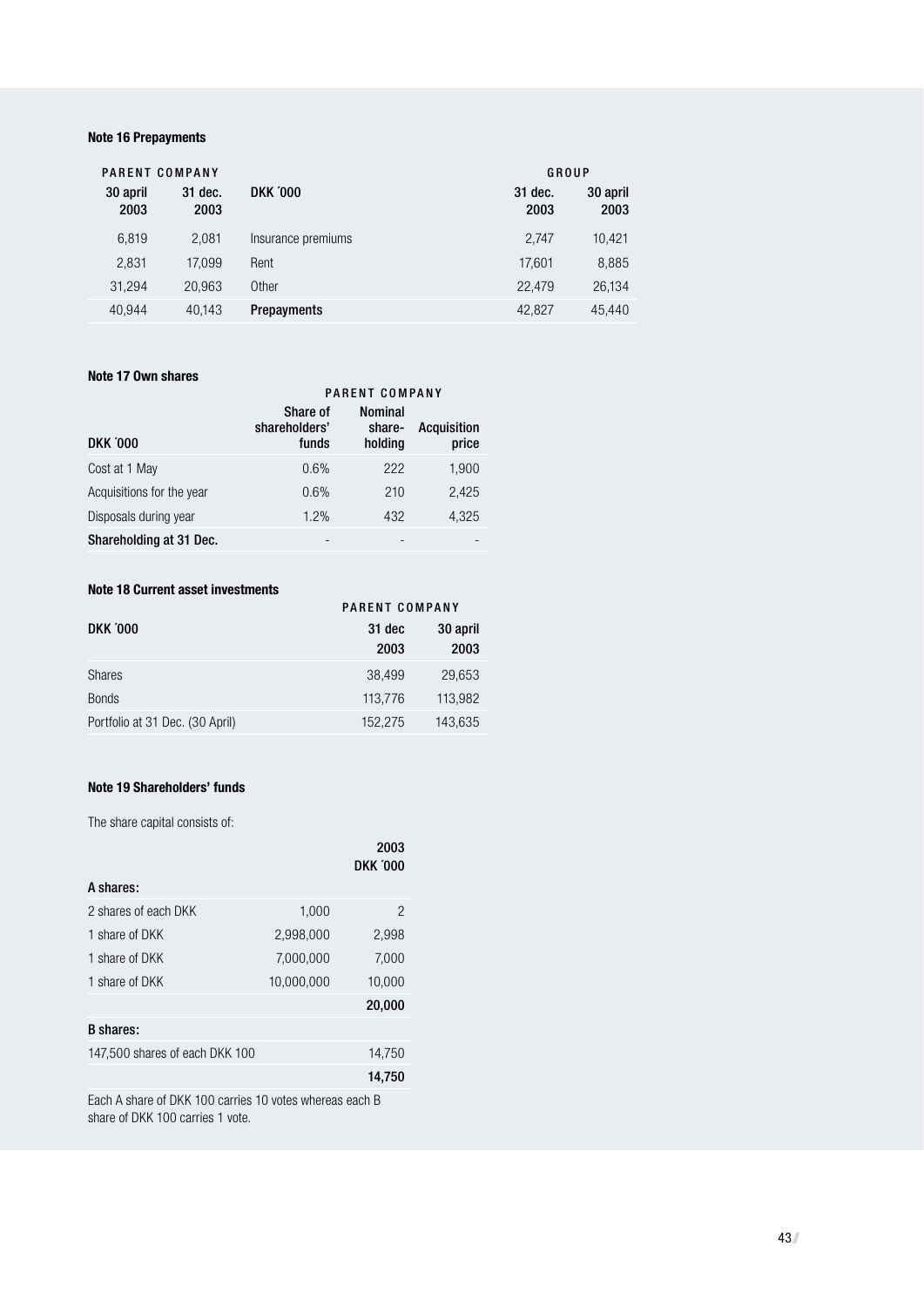#### **Note 16 Prepayments**

| PARENT COMPANY   |                 |                    |                 | GROUP            |
|------------------|-----------------|--------------------|-----------------|------------------|
| 30 april<br>2003 | 31 dec.<br>2003 | <b>DKK '000</b>    | 31 dec.<br>2003 | 30 april<br>2003 |
| 6.819            | 2.081           | Insurance premiums | 2.747           | 10.421           |
| 2,831            | 17.099          | Rent               | 17.601          | 8,885            |
| 31,294           | 20.963          | Other              | 22,479          | 26.134           |
| 40.944           | 40.143          | <b>Prepayments</b> | 42,827          | 45.440           |

#### **Note 17 Own shares**

|                           | PARENT COMPANY                     |                                     |                      |  |
|---------------------------|------------------------------------|-------------------------------------|----------------------|--|
| <b>DKK '000</b>           | Share of<br>shareholders'<br>funds | <b>Nominal</b><br>share-<br>holding | Acquisition<br>price |  |
| Cost at 1 May             | 0.6%                               | 222                                 | 1,900                |  |
| Acquisitions for the year | 0.6%                               | 210                                 | 2,425                |  |
| Disposals during year     | 1.2%                               | 432                                 | 4,325                |  |
| Shareholding at 31 Dec.   |                                    |                                     |                      |  |

#### **Note 18 Current asset investments**

| NYW IV YMITYIII MYYYI IIITYYNIIVIIIV |                |          |  |  |  |
|--------------------------------------|----------------|----------|--|--|--|
|                                      | PARENT COMPANY |          |  |  |  |
| <b>DKK '000</b>                      | 31 dec         | 30 april |  |  |  |
|                                      | 2003           | 2003     |  |  |  |
| <b>Shares</b>                        | 38,499         | 29.653   |  |  |  |
| <b>Bonds</b>                         | 113,776        | 113,982  |  |  |  |
| Portfolio at 31 Dec. (30 April)      | 152.275        | 143,635  |  |  |  |

#### **Note 19 Shareholders' funds**

The share capital consists of:

|                                |            | 2003<br><b>DKK '000</b> |
|--------------------------------|------------|-------------------------|
| A shares:                      |            |                         |
| 2 shares of each DKK           | 1,000      | $\overline{2}$          |
| 1 share of DKK                 | 2,998,000  | 2,998                   |
| 1 share of DKK                 | 7,000,000  | 7,000                   |
| 1 share of DKK                 | 10,000,000 | 10,000                  |
|                                |            | 20,000                  |
| <b>B</b> shares:               |            |                         |
| 147,500 shares of each DKK 100 |            | 14,750                  |
|                                |            | 14,750                  |
|                                |            |                         |

Each A share of DKK 100 carries 10 votes whereas each B share of DKK 100 carries 1 vote.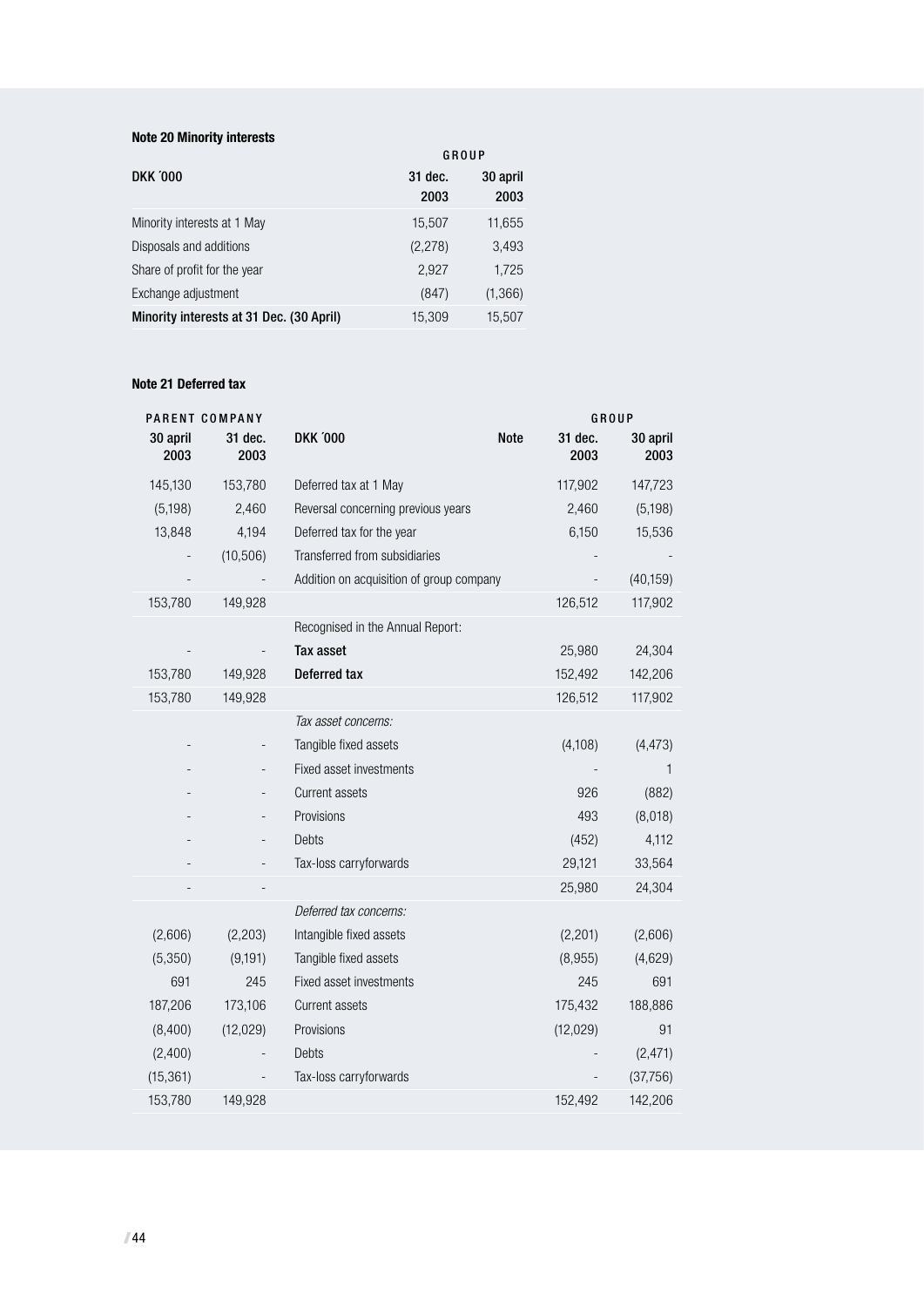#### **Note 20 Minority interests**

|                                          | GROUP           |                  |
|------------------------------------------|-----------------|------------------|
| <b>DKK '000</b>                          | 31 dec.<br>2003 | 30 april<br>2003 |
| Minority interests at 1 May              | 15,507          | 11,655           |
| Disposals and additions                  | (2,278)         | 3,493            |
| Share of profit for the year             | 2.927           | 1,725            |
| Exchange adjustment                      | (847)           | (1,366)          |
| Minority interests at 31 Dec. (30 April) | 15.309          | 15.507           |

#### **Note 21 Deferred tax**

|                  | PARENT COMPANY  |                                          |             | GROUP           |                  |
|------------------|-----------------|------------------------------------------|-------------|-----------------|------------------|
| 30 april<br>2003 | 31 dec.<br>2003 | <b>DKK '000</b>                          | <b>Note</b> | 31 dec.<br>2003 | 30 april<br>2003 |
| 145,130          | 153,780         | Deferred tax at 1 May                    |             | 117,902         | 147,723          |
| (5, 198)         | 2,460           | Reversal concerning previous years       |             | 2,460           | (5, 198)         |
| 13,848           | 4,194           | Deferred tax for the year                |             | 6,150           | 15,536           |
|                  | (10, 506)       | Transferred from subsidiaries            |             |                 |                  |
|                  |                 | Addition on acquisition of group company |             |                 | (40, 159)        |
| 153,780          | 149,928         |                                          |             | 126,512         | 117,902          |
|                  |                 | Recognised in the Annual Report:         |             |                 |                  |
|                  |                 | Tax asset                                |             | 25,980          | 24,304           |
| 153,780          | 149,928         | Deferred tax                             |             | 152,492         | 142,206          |
| 153,780          | 149,928         |                                          |             | 126,512         | 117,902          |
|                  |                 | Tax asset concerns:                      |             |                 |                  |
|                  |                 | Tangible fixed assets                    |             | (4,108)         | (4, 473)         |
|                  |                 | Fixed asset investments                  |             |                 | 1                |
|                  |                 | <b>Current assets</b>                    |             | 926             | (882)            |
|                  |                 | Provisions                               |             | 493             | (8,018)          |
|                  |                 | Debts                                    |             | (452)           | 4,112            |
|                  |                 | Tax-loss carryforwards                   |             | 29,121          | 33,564           |
|                  |                 |                                          |             | 25,980          | 24,304           |
|                  |                 | Deferred tax concerns:                   |             |                 |                  |
| (2,606)          | (2, 203)        | Intangible fixed assets                  |             | (2, 201)        | (2,606)          |
| (5,350)          | (9, 191)        | Tangible fixed assets                    |             | (8,955)         | (4,629)          |
| 691              | 245             | Fixed asset investments                  |             | 245             | 691              |
| 187,206          | 173,106         | Current assets                           |             | 175,432         | 188,886          |
| (8,400)          | (12, 029)       | Provisions                               |             | (12, 029)       | 91               |
| (2,400)          |                 | Debts                                    |             |                 | (2, 471)         |
| (15, 361)        |                 | Tax-loss carryforwards                   |             |                 | (37,756)         |
| 153,780          | 149,928         |                                          |             | 152,492         | 142,206          |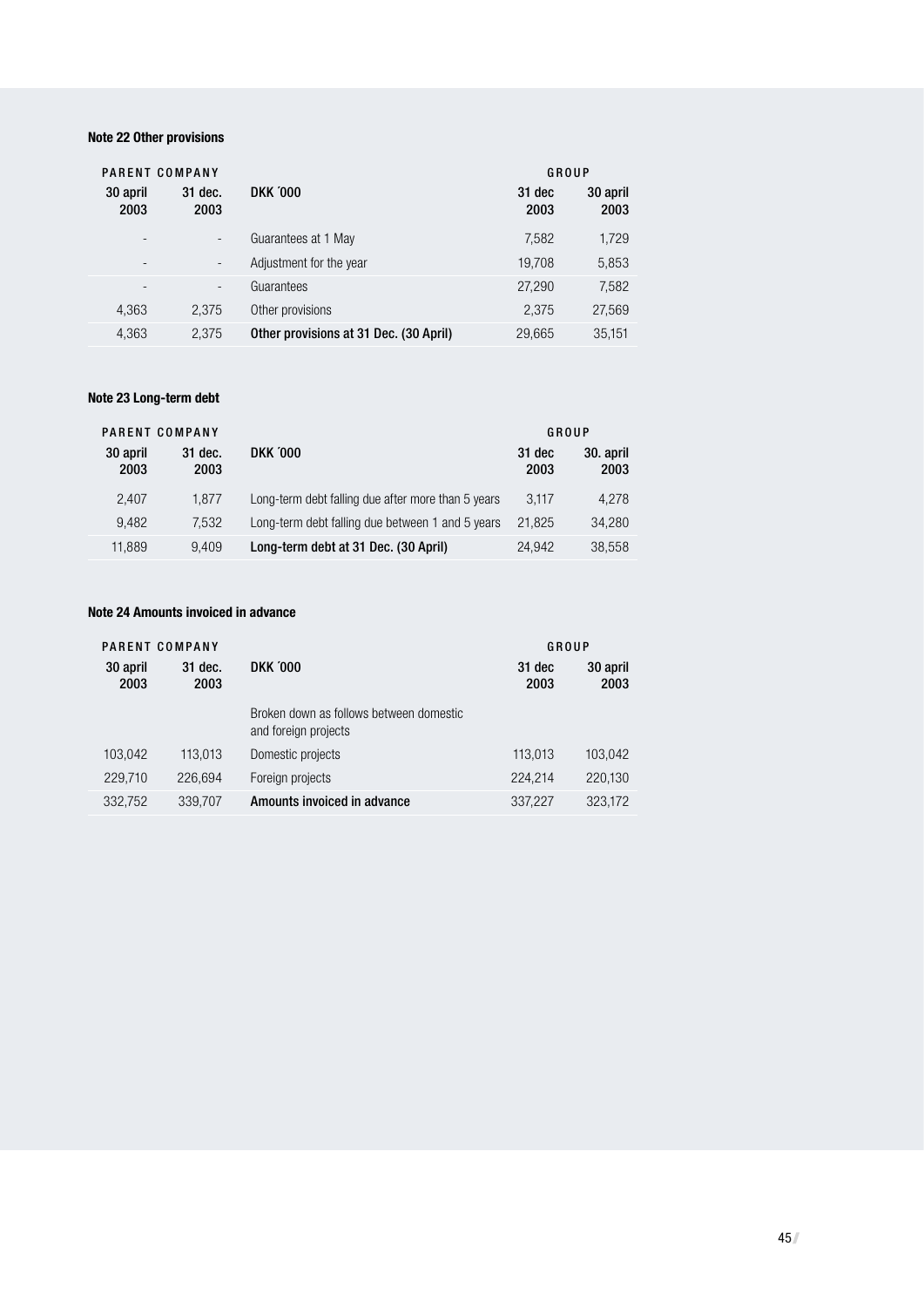#### **Note 22 Other provisions**

| PARENT COMPANY           |                          |                                        | GROUP          |                  |
|--------------------------|--------------------------|----------------------------------------|----------------|------------------|
| 30 april<br>2003         | 31 dec.<br>2003          | <b>DKK '000</b>                        | 31 dec<br>2003 | 30 april<br>2003 |
| ۰                        | $\overline{\phantom{a}}$ | Guarantees at 1 May                    | 7,582          | 1,729            |
| ۰                        | $\overline{\phantom{a}}$ | Adjustment for the year                | 19,708         | 5,853            |
| $\overline{\phantom{a}}$ | $\overline{\phantom{a}}$ | Guarantees                             | 27,290         | 7,582            |
| 4,363                    | 2,375                    | Other provisions                       | 2.375          | 27,569           |
| 4,363                    | 2,375                    | Other provisions at 31 Dec. (30 April) | 29,665         | 35,151           |

#### **Note 23 Long-term debt**

|                  | PARENT COMPANY  |                                                    |                | GROUP             |
|------------------|-----------------|----------------------------------------------------|----------------|-------------------|
| 30 april<br>2003 | 31 dec.<br>2003 | <b>DKK '000</b>                                    | 31 dec<br>2003 | 30. april<br>2003 |
| 2.407            | 1.877           | Long-term debt falling due after more than 5 years | 3.117          | 4.278             |
| 9.482            | 7.532           | Long-term debt falling due between 1 and 5 years   | 21.825         | 34.280            |
| 11.889           | 9.409           | Long-term debt at 31 Dec. (30 April)               | 24.942         | 38.558            |

#### **Note 24 Amounts invoiced in advance**

| PARENT COMPANY   |                 |                                                                 | GROUP          |                  |
|------------------|-----------------|-----------------------------------------------------------------|----------------|------------------|
| 30 april<br>2003 | 31 dec.<br>2003 | <b>DKK '000</b>                                                 | 31 dec<br>2003 | 30 april<br>2003 |
|                  |                 | Broken down as follows between domestic<br>and foreign projects |                |                  |
| 103.042          | 113,013         | Domestic projects                                               | 113,013        | 103,042          |
| 229,710          | 226.694         | Foreign projects                                                | 224,214        | 220.130          |
| 332,752          | 339,707         | Amounts invoiced in advance                                     | 337,227        | 323.172          |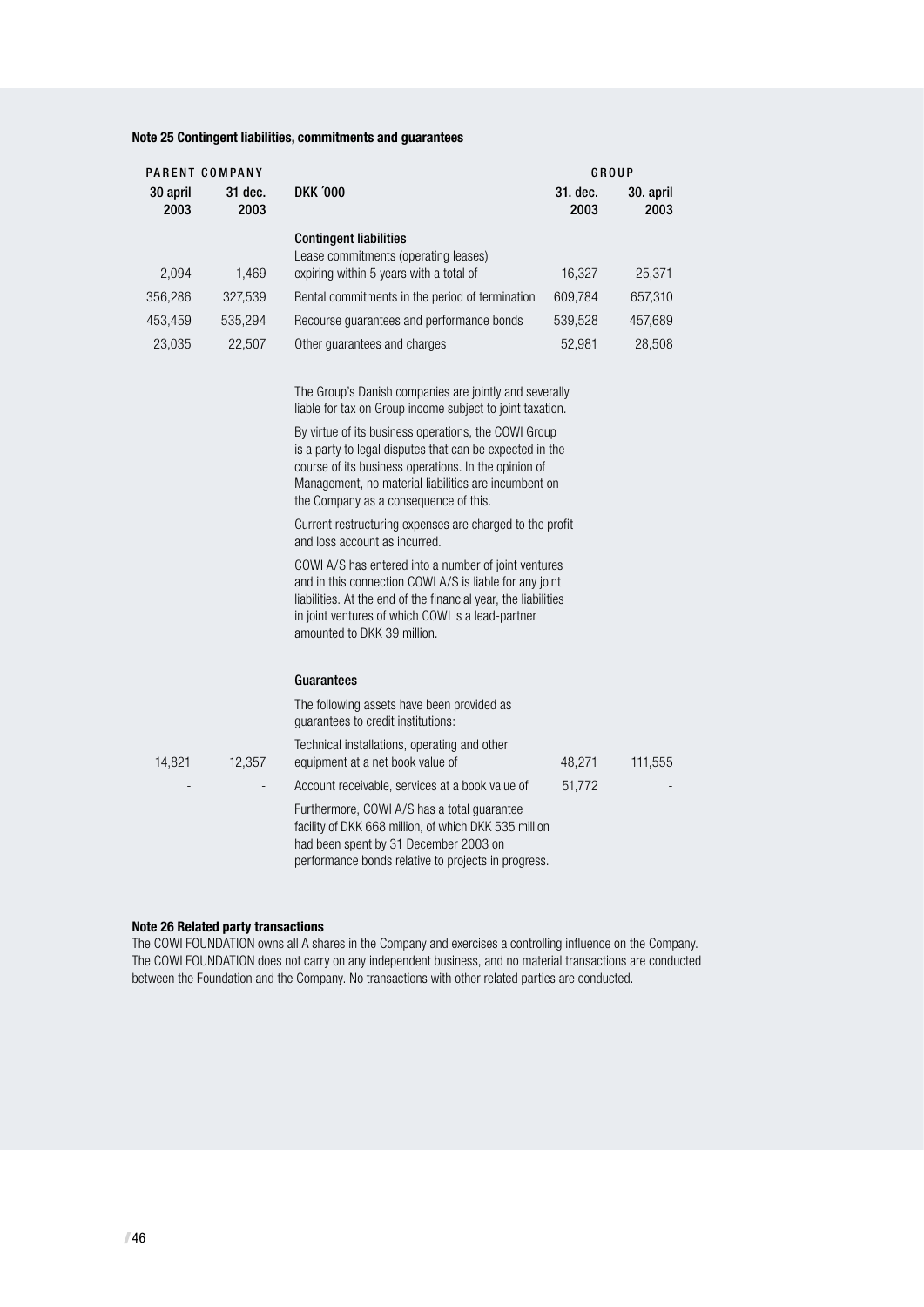#### **Note 25 Contingent liabilities, commitments and guarantees**

| PARENT COMPANY   |                 |                                                                       | GROUP            |                   |
|------------------|-----------------|-----------------------------------------------------------------------|------------------|-------------------|
| 30 april<br>2003 | 31 dec.<br>2003 | <b>DKK '000</b>                                                       | 31. dec.<br>2003 | 30. april<br>2003 |
|                  |                 | <b>Contingent liabilities</b><br>Lease commitments (operating leases) |                  |                   |
| 2,094            | 1.469           | expiring within 5 years with a total of                               | 16.327           | 25.371            |
| 356,286          | 327.539         | Rental commitments in the period of termination                       | 609,784          | 657,310           |
| 453.459          | 535.294         | Recourse quarantees and performance bonds                             | 539.528          | 457,689           |
| 23,035           | 22.507          | Other quarantees and charges                                          | 52.981           | 28,508            |

 The Group's Danish companies are jointly and severally liable for tax on Group income subject to joint taxation.

 By virtue of its business operations, the COWI Group is a party to legal disputes that can be expected in the course of its business operations. In the opinion of Management, no material liabilities are incumbent on the Company as a consequence of this.

 Current restructuring expenses are charged to the profit and loss account as incurred.

 COWI A/S has entered into a number of joint ventures and in this connection COWI A/S is liable for any joint liabilities. At the end of the financial year, the liabilities in joint ventures of which COWI is a lead-partner amounted to DKK 39 million.

#### Guarantees

|        |        | The following assets have been provided as<br>guarantees to credit institutions:                                                                                                                     |        |         |
|--------|--------|------------------------------------------------------------------------------------------------------------------------------------------------------------------------------------------------------|--------|---------|
| 14,821 | 12.357 | Technical installations, operating and other<br>equipment at a net book value of                                                                                                                     | 48.271 | 111,555 |
|        |        | Account receivable, services at a book value of                                                                                                                                                      | 51,772 |         |
|        |        | Furthermore, COWI A/S has a total quarantee<br>facility of DKK 668 million, of which DKK 535 million<br>had been spent by 31 December 2003 on<br>performance bonds relative to projects in progress. |        |         |

#### **Note 26 Related party transactions**

The COWI FOUNDATION owns all A shares in the Company and exercises a controlling influence on the Company. The COWI FOUNDATION does not carry on any independent business, and no material transactions are conducted between the Foundation and the Company. No transactions with other related parties are conducted.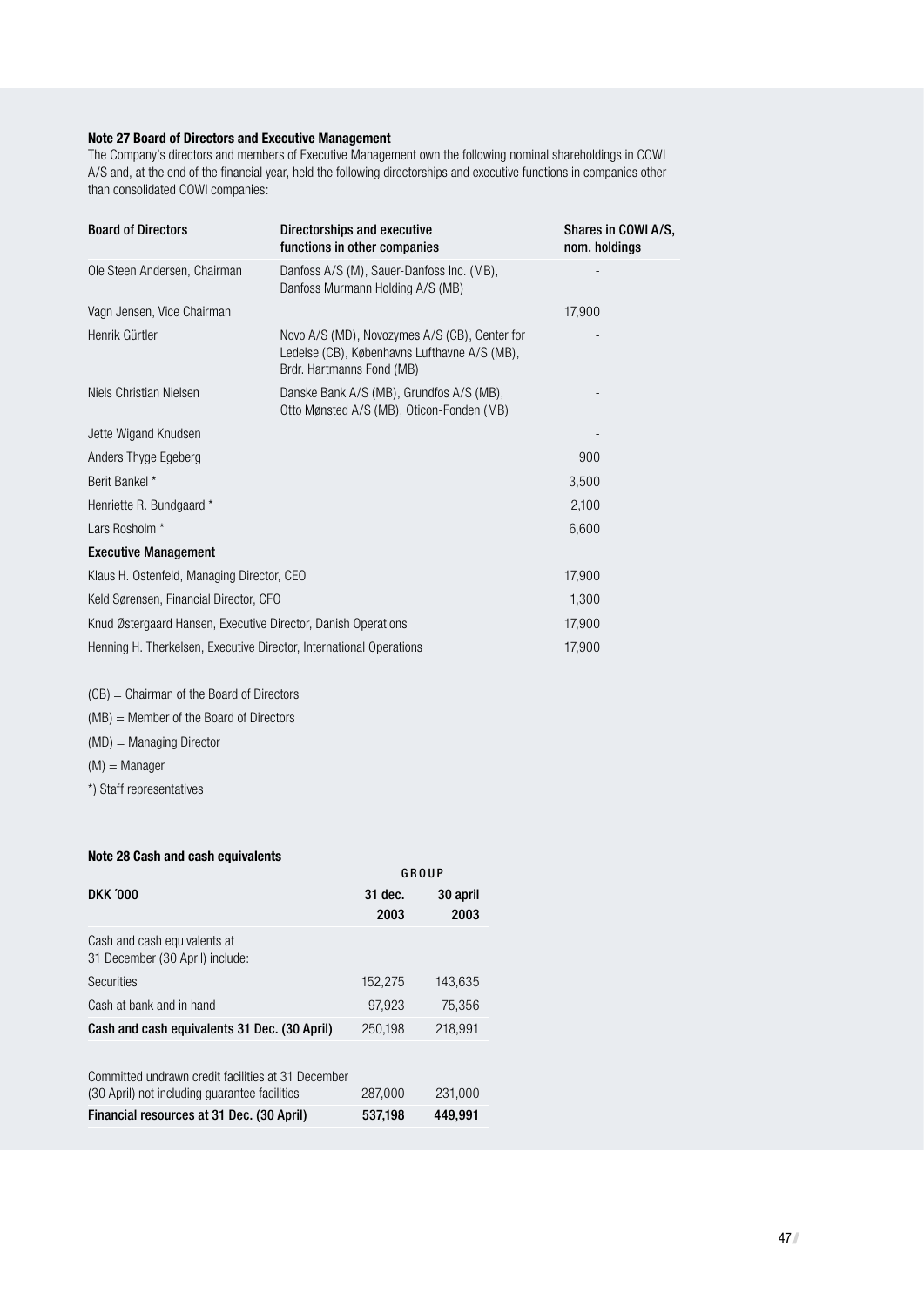#### **Note 27 Board of Directors and Executive Management**

The Company's directors and members of Executive Management own the following nominal shareholdings in COWI A/S and, at the end of the financial year, held the following directorships and executive functions in companies other than consolidated COWI companies:

| <b>Board of Directors</b>                                           | Directorships and executive<br>functions in other companies                                                                | Shares in COWI A/S,<br>nom. holdings |
|---------------------------------------------------------------------|----------------------------------------------------------------------------------------------------------------------------|--------------------------------------|
| Ole Steen Andersen, Chairman                                        | Danfoss A/S (M), Sauer-Danfoss Inc. (MB),<br>Danfoss Murmann Holding A/S (MB)                                              |                                      |
| Vagn Jensen, Vice Chairman                                          |                                                                                                                            | 17,900                               |
| Henrik Gürtler                                                      | Novo A/S (MD), Novozymes A/S (CB), Center for<br>Ledelse (CB), Københavns Lufthavne A/S (MB),<br>Brdr. Hartmanns Fond (MB) |                                      |
| Niels Christian Nielsen                                             | Danske Bank A/S (MB), Grundfos A/S (MB),<br>Otto Mønsted A/S (MB), Oticon-Fonden (MB)                                      |                                      |
| Jette Wigand Knudsen                                                |                                                                                                                            |                                      |
| Anders Thyge Egeberg                                                |                                                                                                                            | 900                                  |
| Berit Bankel *                                                      |                                                                                                                            | 3,500                                |
| Henriette R. Bundgaard *                                            |                                                                                                                            | 2,100                                |
| Lars Rosholm *                                                      |                                                                                                                            | 6,600                                |
| <b>Executive Management</b>                                         |                                                                                                                            |                                      |
| Klaus H. Ostenfeld, Managing Director, CEO                          |                                                                                                                            | 17,900                               |
| Keld Sørensen, Financial Director, CFO                              |                                                                                                                            | 1,300                                |
| Knud Østergaard Hansen, Executive Director, Danish Operations       |                                                                                                                            | 17,900                               |
| Henning H. Therkelsen, Executive Director, International Operations |                                                                                                                            | 17,900                               |

(CB) = Chairman of the Board of Directors (MB) = Member of the Board of Directors

(MD) = Managing Director

 $(M) =$ Manager

\*) Staff representatives

#### **Note 28 Cash and cash equivalents**

| 31 dec.<br>30 april<br>2003<br>2003<br>152,275<br>143,635<br>97,923<br>75,356<br>Cash and cash equivalents 31 Dec. (30 April)<br>218,991<br>250,198<br>231,000<br>287,000<br>449,991<br>537,198 |                                                                                                     | GROUP |
|-------------------------------------------------------------------------------------------------------------------------------------------------------------------------------------------------|-----------------------------------------------------------------------------------------------------|-------|
|                                                                                                                                                                                                 | <b>DKK '000</b>                                                                                     |       |
|                                                                                                                                                                                                 |                                                                                                     |       |
|                                                                                                                                                                                                 | Cash and cash equivalents at<br>31 December (30 April) include:                                     |       |
|                                                                                                                                                                                                 | <b>Securities</b>                                                                                   |       |
|                                                                                                                                                                                                 | Cash at bank and in hand                                                                            |       |
|                                                                                                                                                                                                 |                                                                                                     |       |
|                                                                                                                                                                                                 | Committed undrawn credit facilities at 31 December<br>(30 April) not including guarantee facilities |       |
|                                                                                                                                                                                                 | Financial resources at 31 Dec. (30 April)                                                           |       |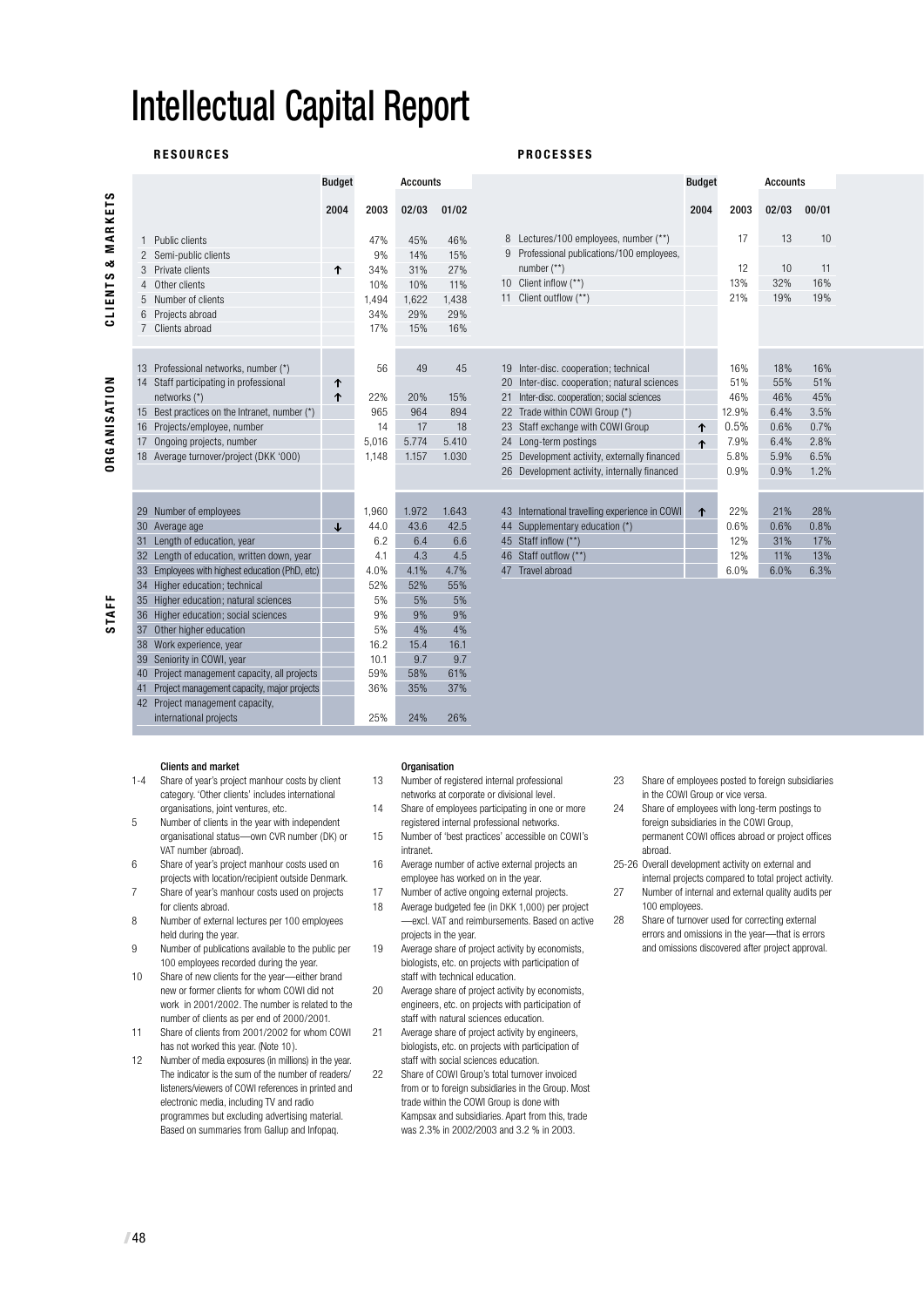# Intellectual Capital Report

#### **R E S O U R C E S P R O C E S S E S**

**CLIENTS & MARKETS** 

CLIENTS & MARKETS

**O R G A N I S AT I O N**

**DRGANISATION** 

|  | <b>PROCESSES</b> |  |
|--|------------------|--|
|--|------------------|--|

|   |                                                | <b>Budget</b> |       | <b>Accounts</b> |       |                                                | <b>Budget</b> |       | <b>Accounts</b> |       |
|---|------------------------------------------------|---------------|-------|-----------------|-------|------------------------------------------------|---------------|-------|-----------------|-------|
|   |                                                |               |       |                 |       |                                                |               |       |                 |       |
|   |                                                | 2004          | 2003  | 02/03           | 01/02 |                                                | 2004          | 2003  | 02/03           | 00/01 |
|   |                                                |               |       |                 |       |                                                |               |       |                 |       |
| 1 | Public clients                                 |               | 47%   | 45%             | 46%   | Lectures/100 employees, number (**)<br>8       |               | 17    | 13              | 10    |
|   | 2 Semi-public clients                          |               | 9%    | 14%             | 15%   | Professional publications/100 employees,<br>9  |               |       |                 |       |
| 3 | Private clients                                | ↑             | 34%   | 31%             | 27%   | number $(**)$                                  |               | 12    | 10              | 11    |
|   | Other clients                                  |               | 10%   | 10%             | 11%   | 10 Client inflow (**)                          |               | 13%   | 32%             | 16%   |
| 5 | Number of clients                              |               | 1,494 | 1,622           | 1,438 | 11 Client outflow (**)                         |               | 21%   | 19%             | 19%   |
|   | Projects abroad                                |               | 34%   | 29%             | 29%   |                                                |               |       |                 |       |
|   | 7 Clients abroad                               |               | 17%   | 15%             | 16%   |                                                |               |       |                 |       |
|   |                                                |               |       |                 |       |                                                |               |       |                 |       |
|   | 13 Professional networks, number (*)           |               | 56    | 49              | 45    | 19 Inter-disc. cooperation; technical          |               | 16%   | 18%             | 16%   |
|   | 14 Staff participating in professional         | ↑             |       |                 |       | 20 Inter-disc. cooperation; natural sciences   |               | 51%   | 55%             | 51%   |
|   | networks (*)                                   | ↑             | 22%   | 20%             | 15%   | 21 Inter-disc. cooperation; social sciences    |               | 46%   | 46%             | 45%   |
|   | 15 Best practices on the Intranet, number (*)  |               | 965   | 964             | 894   | 22 Trade within COWI Group (*)                 |               | 12.9% | 6.4%            | 3.5%  |
|   | 16 Projects/employee, number                   |               | 14    | 17              | 18    | 23 Staff exchange with COWI Group              | 个             | 0.5%  | 0.6%            | 0.7%  |
|   | 17 Ongoing projects, number                    |               | 5,016 | 5.774           | 5.410 | 24 Long-term postings                          | ↑             | 7.9%  | 6.4%            | 2.8%  |
|   | 18 Average turnover/project (DKK '000)         |               | 1,148 | 1.157           | 1.030 | 25 Development activity, externally financed   |               | 5.8%  | 5.9%            | 6.5%  |
|   |                                                |               |       |                 |       | 26 Development activity, internally financed   |               | 0.9%  | 0.9%            | 1.2%  |
|   |                                                |               |       |                 |       |                                                |               |       |                 |       |
|   | 29 Number of employees                         |               | 1,960 | 1.972           | 1.643 | 43 International travelling experience in COWI |               | 22%   | 21%             | 28%   |
|   | 30 Average age                                 | ↓             | 44.0  | 43.6            | 42.5  | 44 Supplementary education (*)                 | ↑             | 0.6%  | 0.6%            | 0.8%  |
|   | 31 Length of education, year                   |               | 6.2   | 6.4             | 6.6   | 45 Staff inflow (**)                           |               | 12%   | 31%             | 17%   |
|   | 32 Length of education, written down, year     |               | 4.1   | 4.3             | 4.5   | 46 Staff outflow (**)                          |               | 12%   | 11%             | 13%   |
|   | 33 Employees with highest education (PhD, etc) |               | 4.0%  | 4.1%            | 4.7%  | 47 Travel abroad                               |               | 6.0%  | 6.0%            | 6.3%  |
|   | 34 Higher education; technical                 |               | 52%   | 52%             | 55%   |                                                |               |       |                 |       |
|   | 35 Higher education; natural sciences          |               | 5%    | 5%              | 5%    |                                                |               |       |                 |       |
|   | 36 Higher education; social sciences           |               | 9%    | 9%              | 9%    |                                                |               |       |                 |       |
|   | 37 Other higher education                      |               | 5%    | 4%              | 4%    |                                                |               |       |                 |       |
|   | 38 Work experience, year                       |               | 16.2  | 15.4            | 16.1  |                                                |               |       |                 |       |
|   | 39 Seniority in COWI, year                     |               | 10.1  | 9.7             | 9.7   |                                                |               |       |                 |       |
|   | 40 Project management capacity, all projects   |               | 59%   | 58%             | 61%   |                                                |               |       |                 |       |
|   | 41 Project management capacity, major projects |               | 36%   | 35%             | 37%   |                                                |               |       |                 |       |

## **Clients and market**<br>1-4 Share of year's proje

42 Project management capacity,

Share of year's project manhour costs by client category. 'Other clients' includes international organisations, joint ventures, etc.

international projects 25% 24% 26%

- 5 Number of clients in the year with independent organisational status—own CVR number (DK) or VAT number (abroad).
- 6 Share of year's project manhour costs used on projects with location/recipient outside Denmark.
- 7 Share of year's manhour costs used on projects for clients abroad. 8 Number of external lectures per 100 employees
- held during the year.
- 9 Number of publications available to the public per 100 employees recorded during the year.
- 10 Share of new clients for the year—either brand new or former clients for whom COWI did not work in 2001/2002. The number is related to the number of clients as per end of 2000/2001.
- 11 Share of clients from 2001/2002 for whom COWI has not worked this year. (Note 10 ).
- 12 Number of media exposures (in millions) in the year. The indicator is the sum of the number of readers/ listeners/viewers of COWI references in printed and electronic media, including TV and radio programmes but excluding advertising material. Based on summaries from Gallup and Infopaq.

#### **Organisation**

13 Number of registered internal professional networks at corporate or divisional level.

- 14 Share of employees participating in one or more registered internal professional networks.
- 15 Number of 'best practices' accessible on COWI's intranet.
- 16 Average number of active external projects an employee has worked on in the year.
- 17 Number of active ongoing external projects.<br>18 Average budgeted fee (in DKK 1,000) per pr Average budgeted fee (in DKK 1,000) per project —excl. VAT and reimbursements. Based on active projects in the year.
- 19 Average share of project activity by economists, biologists, etc. on projects with participation of staff with technical education.
- 20 Average share of project activity by economists engineers, etc. on projects with participation of staff with natural sciences education.
- 21 Average share of project activity by engineers, biologists, etc. on projects with participation of staff with social sciences education.
- 22 Share of COWI Group's total turnover invoiced from or to foreign subsidiaries in the Group. Most trade within the COWI Group is done with Kampsax and subsidiaries. Apart from this, trade was 2.3% in 2002/2003 and 3.2 % in 2003.
- 23 Share of employees posted to foreign subsidiaries in the COWI Group or vice versa.
- 24 Share of employees with long-term postings to foreign subsidiaries in the COWI Group, permanent COWI offices abroad or project offices abroad.
- 25-26 Overall development activity on external and internal projects compared to total project activity.
- 27 Number of internal and external quality audits per 100 employees.
- 28 Share of turnover used for correcting external errors and omissions in the year—that is errors and omissions discovered after project approval.

**S TA F F**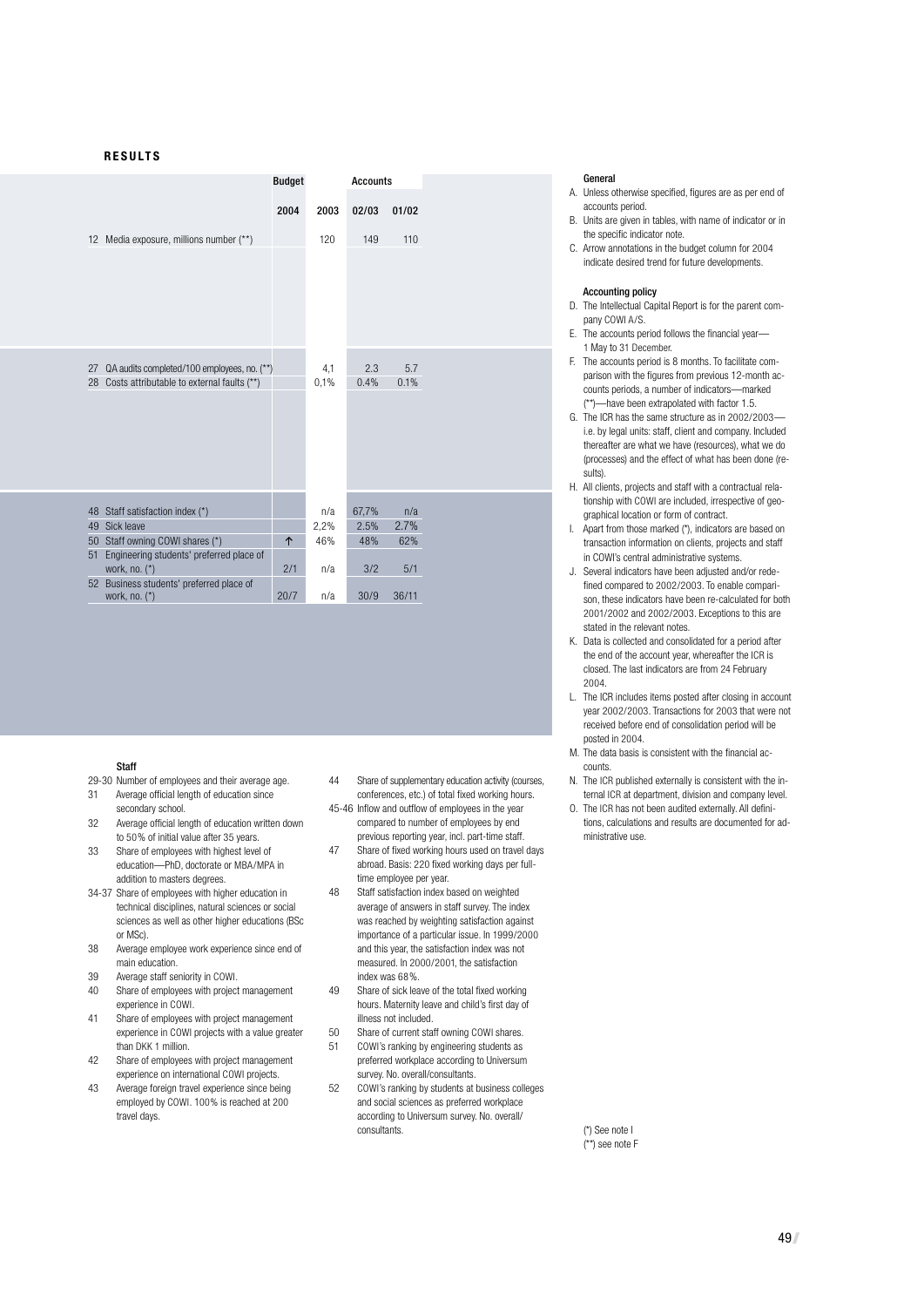#### **R E S U LT S**

|    |                                                           | <b>Budget</b> | <b>Accounts</b> |       |       |
|----|-----------------------------------------------------------|---------------|-----------------|-------|-------|
|    |                                                           | 2004          | 2003            | 02/03 | 01/02 |
|    | 12 Media exposure, millions number (**)                   |               | 120             | 149   | 110   |
|    |                                                           |               |                 |       |       |
|    |                                                           |               |                 |       |       |
|    |                                                           |               |                 |       |       |
|    |                                                           |               |                 |       |       |
|    |                                                           |               |                 |       |       |
|    |                                                           |               |                 |       |       |
| 27 | QA audits completed/100 employees, no. (**)               |               | 4,1             | 2.3   | 5.7   |
|    | 28 Costs attributable to external faults (**)             |               | 0,1%            | 0.4%  | 0.1%  |
|    |                                                           |               |                 |       |       |
|    |                                                           |               |                 |       |       |
|    |                                                           |               |                 |       |       |
|    |                                                           |               |                 |       |       |
|    |                                                           |               |                 |       |       |
|    |                                                           |               |                 |       |       |
|    | 48 Staff satisfaction index (*)                           |               | n/a             | 67,7% | n/a   |
| 49 | Sick leave                                                |               | 2,2%            | 2.5%  | 2.7%  |
| 50 | Staff owning COWI shares (*)                              | 个             | 46%             | 48%   | 62%   |
| 51 | Engineering students' preferred place of<br>work, no. (*) | 2/1           | n/a             | 3/2   | 5/1   |
|    | 52 Business students' preferred place of                  | 20/7          |                 | 30/9  | 36/11 |
|    | work, no. (*)                                             |               | n/a             |       |       |

#### Staff

- 29-30 Number of employees and their average age.<br>31 Average official length of education since 31 Average official length of education since
- secondary school 32 Average official length of education written down to 50% of initial value after 35 years.
- 33 Share of employees with highest level of education—PhD, doctorate or MBA/MPA in
- addition to masters degrees. 34-37 Share of employees with higher education in technical disciplines, natural sciences or social sciences as well as other higher educations (BSc or MSc).
- 38 Average employee work experience since end of main education.
- 39 Average staff seniority in COWI.
- 40 Share of employees with project management experience in COWI.
- 41 Share of employees with project management experience in COWI projects with a value greater than DKK 1 million.
- 42 Share of employees with project management experience on international COWI projects.
- 43 Average foreign travel experience since being employed by COWI. 100% is reached at 200 travel days.
- 44 Share of supplementary education activity (courses, conferences, etc.) of total fixed working hours.
- 45-46 Inflow and outflow of employees in the year compared to number of employees by end previous reporting year, incl. part-time staff.
- 47 Share of fixed working hours used on travel days abroad. Basis: 220 fixed working days per fulltime employee per year.
- 48 Staff satisfaction index based on weighted average of answers in staff survey. The index was reached by weighting satisfaction against importance of a particular issue. In 1999/2000 and this year, the satisfaction index was not measured. In 2000/2001, the satisfaction index was 68%.
- 49 Share of sick leave of the total fixed working hours. Maternity leave and child's first day of illness not included.
- 50 Share of current staff owning COWI shares.<br>51 COWI's ranking by engineering students as
- 51 COWI's ranking by engineering students as preferred workplace according to Universum survey. No. overall/consultants.
- 52 COWI's ranking by students at business colleges and social sciences as preferred workplace according to Universum survey. No. overall/ consultants. (\*) See note I

#### General

- A. Unless otherwise specified, figures are as per end of accounts period.
- B. Units are given in tables, with name of indicator or in the specific indicator note.
- C. Arrow annotations in the budget column for 2004 indicate desired trend for future developments.

#### Accounting policy

- D. The Intellectual Capital Report is for the parent company COWI A/S.
- E. The accounts period follows the financial year— 1 May to 31 December.
- F. The accounts period is 8 months. To facilitate comparison with the figures from previous 12-month accounts periods, a number of indicators—marked (\*\*)—have been extrapolated with factor 1.5.
- G. The ICR has the same structure as in 2002/2003 i.e. by legal units: staff, client and company. Included thereafter are what we have (resources), what we do (processes) and the effect of what has been done (results).
- H. All clients, projects and staff with a contractual relationship with COWI are included, irrespective of geographical location or form of contract.
- I. Apart from those marked (\*), indicators are based on transaction information on clients, projects and staff in COWI's central administrative systems.
- J. Several indicators have been adjusted and/or redefined compared to 2002/2003. To enable comparison, these indicators have been re-calculated for both 2001/2002 and 2002/2003. Exceptions to this are stated in the relevant notes
- K. Data is collected and consolidated for a period after the end of the account year, whereafter the ICR is closed. The last indicators are from 24 February 2004.
- L. The ICR includes items posted after closing in account year 2002/2003. Transactions for 2003 that were not received before end of consolidation period will be posted in 2004.
- M. The data basis is consistent with the financial accounts.
- N. The ICR published externally is consistent with the internal ICR at department, division and company level.
- O. The ICR has not been audited externally. All definitions, calculations and results are documented for administrative use.

(\*\*) see note F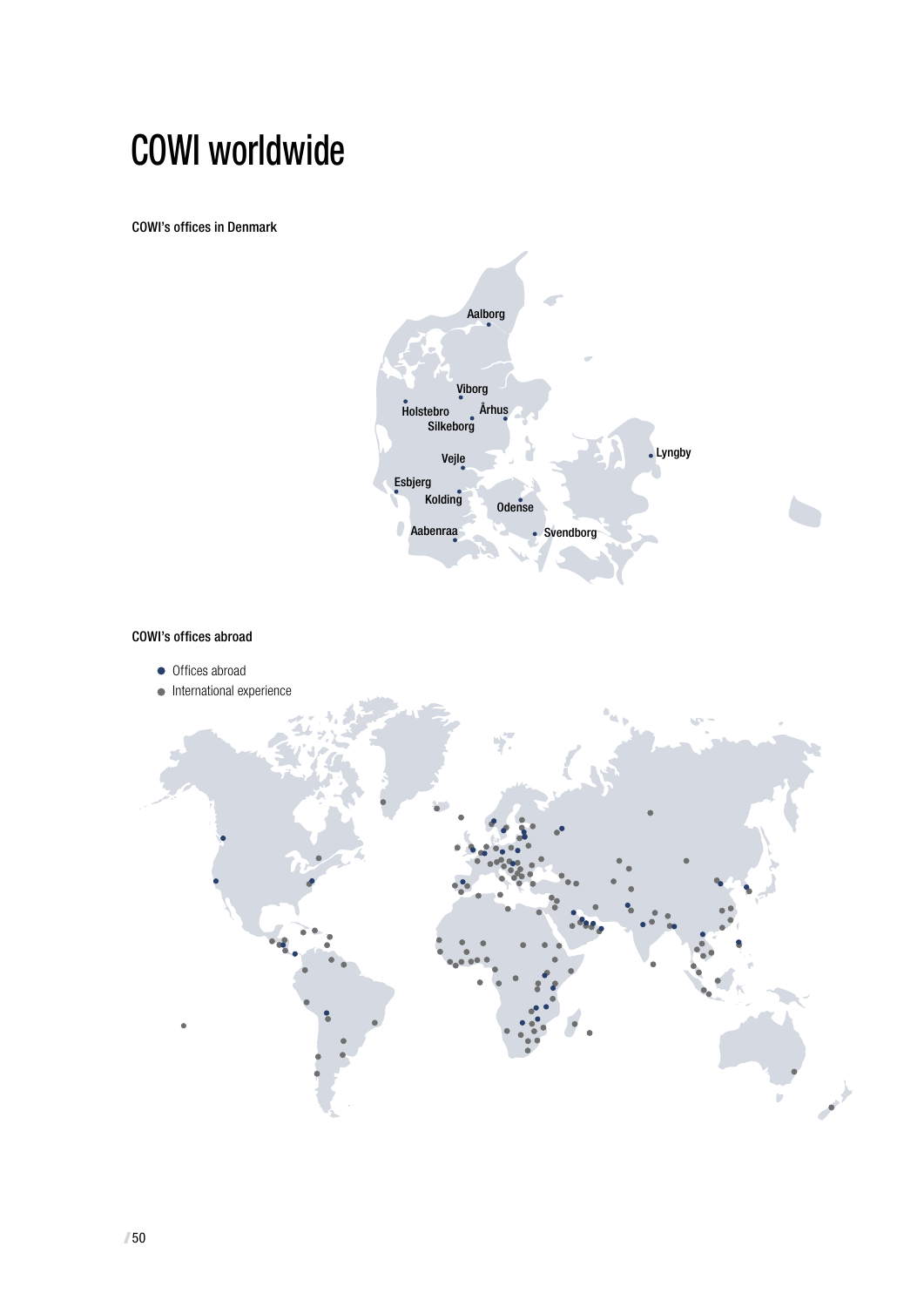# COWI worldwide

COWI's offices in Denmark



COWI's offices abroad

- Offices abroad
- $\bullet$  International experience

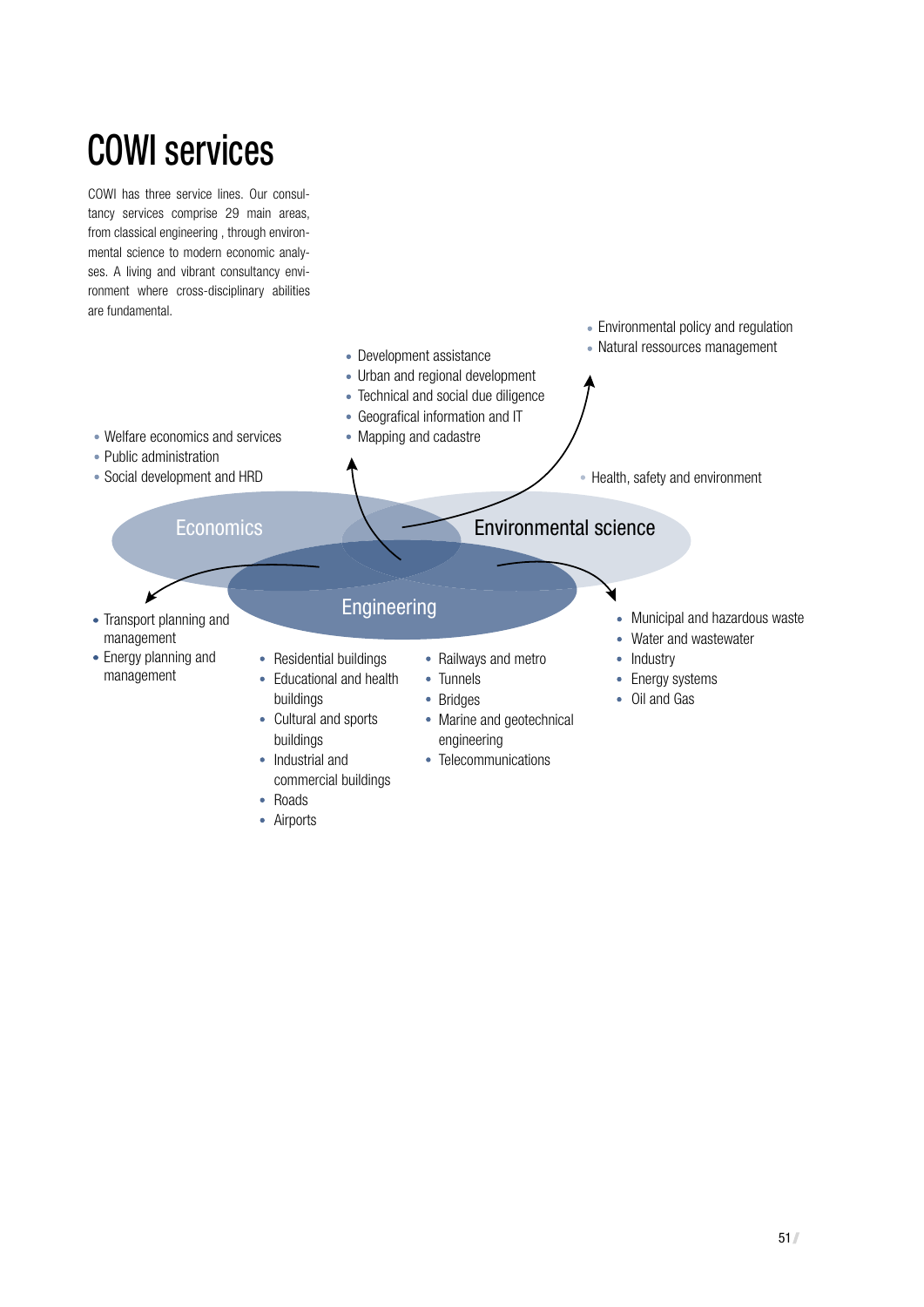# **COWI services**

COWI has three service lines. Our consultancy services comprise 29 main areas, from classical engineering, through environmental science to modern economic analyses. A living and vibrant consultancy environment where cross-disciplinary abilities